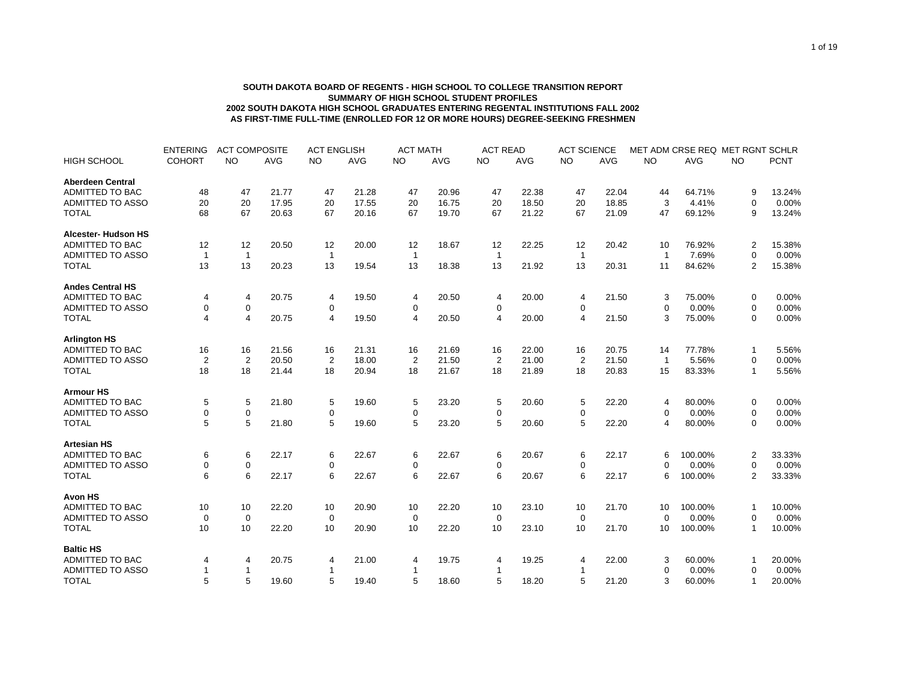## **SOUTH DAKOTA BOARD OF REGENTS - HIGH SCHOOL TO COLLEGE TRANSITION REPORT SUMMARY OF HIGH SCHOOL STUDENT PROFILES 2002 SOUTH DAKOTA HIGH SCHOOL GRADUATES ENTERING REGENTAL INSTITUTIONS FALL 2002 AS FIRST-TIME FULL-TIME (ENROLLED FOR 12 OR MORE HOURS) DEGREE-SEEKING FRESHMEN**

|                         | <b>ENTERING</b> | <b>ACT COMPOSITE</b> |            | <b>ACT ENGLISH</b> |            | <b>ACT MATH</b> |            | <b>ACT READ</b> |       | <b>ACT SCIENCE</b> |            | MET ADM CRSE REQ MET RGNT SCHLR |         |                |             |
|-------------------------|-----------------|----------------------|------------|--------------------|------------|-----------------|------------|-----------------|-------|--------------------|------------|---------------------------------|---------|----------------|-------------|
| <b>HIGH SCHOOL</b>      | <b>COHORT</b>   | <b>NO</b>            | <b>AVG</b> | <b>NO</b>          | <b>AVG</b> | <b>NO</b>       | <b>AVG</b> | <b>NO</b>       | AVG   | <b>NO</b>          | <b>AVG</b> | <b>NO</b>                       | AVG     | <b>NO</b>      | <b>PCNT</b> |
| <b>Aberdeen Central</b> |                 |                      |            |                    |            |                 |            |                 |       |                    |            |                                 |         |                |             |
| ADMITTED TO BAC         | 48              | 47                   | 21.77      | 47                 | 21.28      | 47              | 20.96      | 47              | 22.38 | 47                 | 22.04      | 44                              | 64.71%  | 9              | 13.24%      |
| <b>ADMITTED TO ASSO</b> | 20              | 20                   | 17.95      | 20                 | 17.55      | 20              | 16.75      | 20              | 18.50 | 20                 | 18.85      | 3                               | 4.41%   | $\Omega$       | 0.00%       |
| <b>TOTAL</b>            | 68              | 67                   | 20.63      | 67                 | 20.16      | 67              | 19.70      | 67              | 21.22 | 67                 | 21.09      | 47                              | 69.12%  | 9              | 13.24%      |
| Alcester- Hudson HS     |                 |                      |            |                    |            |                 |            |                 |       |                    |            |                                 |         |                |             |
| <b>ADMITTED TO BAC</b>  | 12              | 12                   | 20.50      | 12                 | 20.00      | 12              | 18.67      | 12              | 22.25 | 12                 | 20.42      | 10                              | 76.92%  | $\overline{2}$ | 15.38%      |
| ADMITTED TO ASSO        | $\mathbf{1}$    | $\mathbf{1}$         |            | $\mathbf{1}$       |            | $\mathbf{1}$    |            | $\mathbf{1}$    |       | $\mathbf{1}$       |            | $\overline{\mathbf{1}}$         | 7.69%   | $\Omega$       | 0.00%       |
| <b>TOTAL</b>            | 13              | 13                   | 20.23      | 13                 | 19.54      | 13              | 18.38      | 13              | 21.92 | 13                 | 20.31      | 11                              | 84.62%  | $\overline{2}$ | 15.38%      |
| <b>Andes Central HS</b> |                 |                      |            |                    |            |                 |            |                 |       |                    |            |                                 |         |                |             |
| <b>ADMITTED TO BAC</b>  | 4               | $\overline{4}$       | 20.75      | 4                  | 19.50      | 4               | 20.50      | 4               | 20.00 | 4                  | 21.50      | 3                               | 75.00%  | $\mathbf 0$    | 0.00%       |
| <b>ADMITTED TO ASSO</b> | 0               | $\pmb{0}$            |            | 0                  |            | 0               |            | 0               |       | 0                  |            | $\Omega$                        | 0.00%   | $\mathbf 0$    | 0.00%       |
| <b>TOTAL</b>            | $\overline{4}$  | $\overline{4}$       | 20.75      | $\overline{4}$     | 19.50      | 4               | 20.50      | 4               | 20.00 | $\overline{4}$     | 21.50      | 3                               | 75.00%  | $\Omega$       | 0.00%       |
| <b>Arlington HS</b>     |                 |                      |            |                    |            |                 |            |                 |       |                    |            |                                 |         |                |             |
| ADMITTED TO BAC         | 16              | 16                   | 21.56      | 16                 | 21.31      | 16              | 21.69      | 16              | 22.00 | 16                 | 20.75      | 14                              | 77.78%  | 1              | 5.56%       |
| <b>ADMITTED TO ASSO</b> | $\overline{2}$  | 2                    | 20.50      | $\overline{2}$     | 18.00      | $\overline{2}$  | 21.50      | 2               | 21.00 | $\overline{2}$     | 21.50      | $\overline{1}$                  | 5.56%   | $\Omega$       | 0.00%       |
| <b>TOTAL</b>            | 18              | 18                   | 21.44      | 18                 | 20.94      | 18              | 21.67      | 18              | 21.89 | 18                 | 20.83      | 15                              | 83.33%  | 1              | 5.56%       |
| <b>Armour HS</b>        |                 |                      |            |                    |            |                 |            |                 |       |                    |            |                                 |         |                |             |
| <b>ADMITTED TO BAC</b>  | 5               | 5                    | 21.80      | 5                  | 19.60      | 5               | 23.20      | 5               | 20.60 | 5                  | 22.20      | 4                               | 80.00%  | $\mathbf 0$    | 0.00%       |
| <b>ADMITTED TO ASSO</b> | 0               | 0                    |            | 0                  |            | 0               |            | 0               |       | 0                  |            | 0                               | 0.00%   | $\mathbf 0$    | 0.00%       |
| <b>TOTAL</b>            | 5               | 5                    | 21.80      | 5                  | 19.60      | 5               | 23.20      | 5               | 20.60 | 5                  | 22.20      | 4                               | 80.00%  | $\Omega$       | 0.00%       |
| <b>Artesian HS</b>      |                 |                      |            |                    |            |                 |            |                 |       |                    |            |                                 |         |                |             |
| ADMITTED TO BAC         | 6               | 6                    | 22.17      | 6                  | 22.67      | 6               | 22.67      | 6               | 20.67 | 6                  | 22.17      | 6                               | 100.00% | $\overline{2}$ | 33.33%      |
| <b>ADMITTED TO ASSO</b> | 0               | 0                    |            | 0                  |            | 0               |            | 0               |       | 0                  |            | $\mathbf 0$                     | 0.00%   | 0              | 0.00%       |
| <b>TOTAL</b>            | 6               | $6\phantom{1}$       | 22.17      | 6                  | 22.67      | 6               | 22.67      | 6               | 20.67 | 6                  | 22.17      | 6                               | 100.00% | $\overline{2}$ | 33.33%      |
| <b>Avon HS</b>          |                 |                      |            |                    |            |                 |            |                 |       |                    |            |                                 |         |                |             |
| ADMITTED TO BAC         | 10              | 10                   | 22.20      | 10                 | 20.90      | 10              | 22.20      | 10              | 23.10 | 10                 | 21.70      | 10                              | 100.00% | 1              | 10.00%      |
| <b>ADMITTED TO ASSO</b> | 0               | $\mathbf 0$          |            | $\mathbf 0$        |            | 0               |            | $\mathbf 0$     |       | $\mathbf 0$        |            | $\Omega$                        | 0.00%   | 0              | 0.00%       |
| <b>TOTAL</b>            | 10              | 10                   | 22.20      | 10                 | 20.90      | 10              | 22.20      | 10              | 23.10 | 10                 | 21.70      | 10                              | 100.00% | 1              | 10.00%      |
| <b>Baltic HS</b>        |                 |                      |            |                    |            |                 |            |                 |       |                    |            |                                 |         |                |             |
| ADMITTED TO BAC         | 4               | 4                    | 20.75      | 4                  | 21.00      | 4               | 19.75      | 4               | 19.25 | 4                  | 22.00      | 3                               | 60.00%  | 1              | 20.00%      |
| <b>ADMITTED TO ASSO</b> |                 | $\mathbf{1}$         |            | 1                  |            | 1               |            |                 |       |                    |            | $\mathbf 0$                     | 0.00%   | $\Omega$       | 0.00%       |
| <b>TOTAL</b>            | 5               | 5                    | 19.60      | 5                  | 19.40      | 5               | 18.60      | 5               | 18.20 | 5                  | 21.20      | 3                               | 60.00%  | 1              | 20.00%      |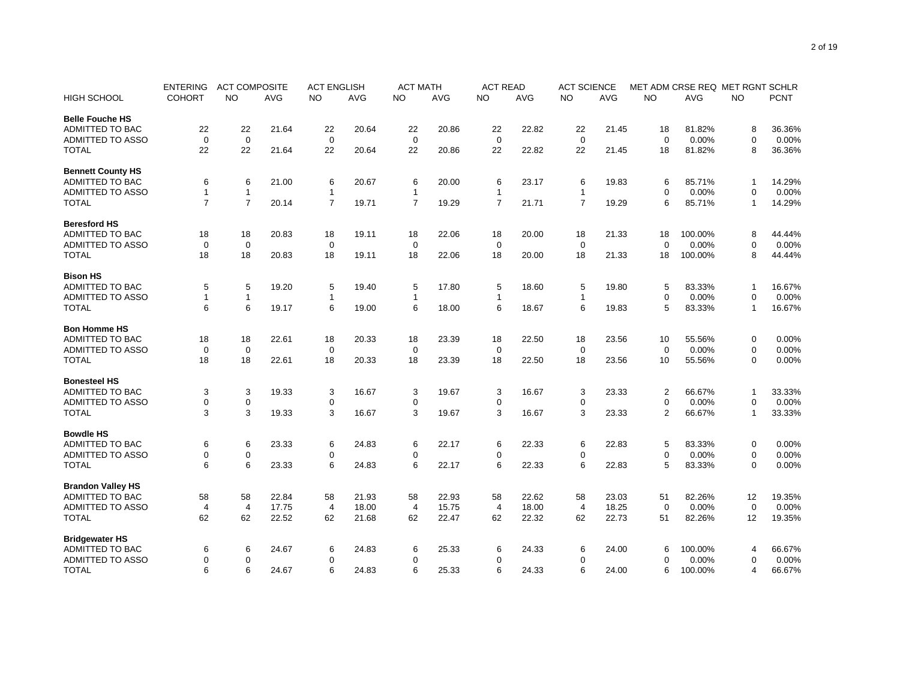|                          | <b>ENTERING</b> | <b>ACT COMPOSITE</b> |       | <b>ACT ENGLISH</b> |       | <b>ACT MATH</b> |       | <b>ACT READ</b> |       | <b>ACT SCIENCE</b> |       | MET ADM CRSE REQ MET RGNT SCHLR |          |                |             |
|--------------------------|-----------------|----------------------|-------|--------------------|-------|-----------------|-------|-----------------|-------|--------------------|-------|---------------------------------|----------|----------------|-------------|
| <b>HIGH SCHOOL</b>       | <b>COHORT</b>   | NO.                  | AVG   | NO                 | AVG   | NO.             | AVG   | NO              | AVG   | NO                 | AVG   | <b>NO</b>                       | AVG      | NO             | <b>PCNT</b> |
| <b>Belle Fouche HS</b>   |                 |                      |       |                    |       |                 |       |                 |       |                    |       |                                 |          |                |             |
| <b>ADMITTED TO BAC</b>   | 22              | 22                   | 21.64 | 22                 | 20.64 | 22              | 20.86 | 22              | 22.82 | 22                 | 21.45 | 18                              | 81.82%   | 8              | 36.36%      |
| <b>ADMITTED TO ASSO</b>  | $\mathbf 0$     | $\mathbf 0$          |       | $\mathbf 0$        |       | $\mathbf 0$     |       | $\mathbf 0$     |       | 0                  |       | $\mathbf 0$                     | 0.00%    | $\mathbf 0$    | 0.00%       |
| <b>TOTAL</b>             | 22              | 22                   | 21.64 | 22                 | 20.64 | 22              | 20.86 | 22              | 22.82 | 22                 | 21.45 | 18                              | 81.82%   | 8              | 36.36%      |
| <b>Bennett County HS</b> |                 |                      |       |                    |       |                 |       |                 |       |                    |       |                                 |          |                |             |
| <b>ADMITTED TO BAC</b>   | 6               | 6                    | 21.00 | 6                  | 20.67 | 6               | 20.00 | 6               | 23.17 | 6                  | 19.83 | 6                               | 85.71%   | $\mathbf{1}$   | 14.29%      |
| <b>ADMITTED TO ASSO</b>  | 1               | $\mathbf{1}$         |       | $\mathbf{1}$       |       | $\mathbf{1}$    |       | $\mathbf{1}$    |       | $\mathbf{1}$       |       | $\Omega$                        | 0.00%    | $\mathbf 0$    | 0.00%       |
| <b>TOTAL</b>             | $\overline{7}$  | $\overline{7}$       | 20.14 | $\overline{7}$     | 19.71 | $\overline{7}$  | 19.29 | $\overline{7}$  | 21.71 | $\overline{7}$     | 19.29 | 6                               | 85.71%   | $\mathbf{1}$   | 14.29%      |
| <b>Beresford HS</b>      |                 |                      |       |                    |       |                 |       |                 |       |                    |       |                                 |          |                |             |
| <b>ADMITTED TO BAC</b>   | 18              | 18                   | 20.83 | 18                 | 19.11 | 18              | 22.06 | 18              | 20.00 | 18                 | 21.33 | 18                              | 100.00%  | 8              | 44.44%      |
| <b>ADMITTED TO ASSO</b>  | 0               | $\mathbf 0$          |       | 0                  |       | $\mathbf 0$     |       | 0               |       | 0                  |       | $\Omega$                        | 0.00%    | 0              | 0.00%       |
| <b>TOTAL</b>             | 18              | 18                   | 20.83 | 18                 | 19.11 | 18              | 22.06 | 18              | 20.00 | 18                 | 21.33 | 18                              | 100.00%  | 8              | 44.44%      |
| <b>Bison HS</b>          |                 |                      |       |                    |       |                 |       |                 |       |                    |       |                                 |          |                |             |
| <b>ADMITTED TO BAC</b>   | 5               | 5                    | 19.20 | 5                  | 19.40 | 5               | 17.80 | 5               | 18.60 | 5                  | 19.80 | 5                               | 83.33%   | 1              | 16.67%      |
| <b>ADMITTED TO ASSO</b>  | $\overline{1}$  | $\mathbf{1}$         |       | $\mathbf{1}$       |       | 1               |       | $\mathbf{1}$    |       | $\mathbf{1}$       |       | $\mathbf 0$                     | 0.00%    | $\overline{0}$ | 0.00%       |
| <b>TOTAL</b>             | 6               | 6                    | 19.17 | 6                  | 19.00 | 6               | 18.00 | 6               | 18.67 | 6                  | 19.83 | 5                               | 83.33%   | $\mathbf{1}$   | 16.67%      |
| <b>Bon Homme HS</b>      |                 |                      |       |                    |       |                 |       |                 |       |                    |       |                                 |          |                |             |
| <b>ADMITTED TO BAC</b>   | 18              | 18                   | 22.61 | 18                 | 20.33 | 18              | 23.39 | 18              | 22.50 | 18                 | 23.56 | 10                              | 55.56%   | 0              | 0.00%       |
| <b>ADMITTED TO ASSO</b>  | 0               | $\mathbf 0$          |       | $\mathbf 0$        |       | $\mathbf 0$     |       | $\mathbf 0$     |       | 0                  |       | $\mathbf 0$                     | 0.00%    | $\mathbf 0$    | 0.00%       |
| <b>TOTAL</b>             | 18              | 18                   | 22.61 | 18                 | 20.33 | 18              | 23.39 | 18              | 22.50 | 18                 | 23.56 | 10                              | 55.56%   | $\mathbf 0$    | 0.00%       |
| <b>Bonesteel HS</b>      |                 |                      |       |                    |       |                 |       |                 |       |                    |       |                                 |          |                |             |
| <b>ADMITTED TO BAC</b>   | 3               | 3                    | 19.33 | 3                  | 16.67 | 3               | 19.67 | 3               | 16.67 | 3                  | 23.33 | $\overline{2}$                  | 66.67%   | 1              | 33.33%      |
| <b>ADMITTED TO ASSO</b>  | 0               | $\mathbf 0$          |       | $\mathbf 0$        |       | $\mathbf 0$     |       | 0               |       | $\mathbf 0$        |       | $\Omega$                        | 0.00%    | $\mathbf 0$    | 0.00%       |
| <b>TOTAL</b>             | 3               | 3                    | 19.33 | 3                  | 16.67 | 3               | 19.67 | 3               | 16.67 | 3                  | 23.33 | 2                               | 66.67%   | $\mathbf{1}$   | 33.33%      |
| <b>Bowdle HS</b>         |                 |                      |       |                    |       |                 |       |                 |       |                    |       |                                 |          |                |             |
| <b>ADMITTED TO BAC</b>   | 6               | 6                    | 23.33 | 6                  | 24.83 | 6               | 22.17 | 6               | 22.33 | 6                  | 22.83 | 5                               | 83.33%   | $\mathbf 0$    | 0.00%       |
| <b>ADMITTED TO ASSO</b>  | 0               | $\mathbf 0$          |       | $\mathbf 0$        |       | $\mathbf 0$     |       | 0               |       | 0                  |       | $\Omega$                        | 0.00%    | 0              | 0.00%       |
| <b>TOTAL</b>             | 6               | 6                    | 23.33 | 6                  | 24.83 | 6               | 22.17 | 6               | 22.33 | 6                  | 22.83 | 5                               | 83.33%   | 0              | 0.00%       |
| <b>Brandon Valley HS</b> |                 |                      |       |                    |       |                 |       |                 |       |                    |       |                                 |          |                |             |
| ADMITTED TO BAC          | 58              | 58                   | 22.84 | 58                 | 21.93 | 58              | 22.93 | 58              | 22.62 | 58                 | 23.03 | 51                              | 82.26%   | 12             | 19.35%      |
| ADMITTED TO ASSO         | $\overline{4}$  | $\overline{4}$       | 17.75 | $\overline{4}$     | 18.00 | $\overline{4}$  | 15.75 | $\overline{4}$  | 18.00 | $\overline{4}$     | 18.25 | $\mathbf 0$                     | 0.00%    | $\mathbf 0$    | 0.00%       |
| <b>TOTAL</b>             | 62              | 62                   | 22.52 | 62                 | 21.68 | 62              | 22.47 | 62              | 22.32 | 62                 | 22.73 | 51                              | 82.26%   | 12             | 19.35%      |
| <b>Bridgewater HS</b>    |                 |                      |       |                    |       |                 |       |                 |       |                    |       |                                 |          |                |             |
| ADMITTED TO BAC          | 6               | 6                    | 24.67 | 6                  | 24.83 | 6               | 25.33 | 6               | 24.33 | 6                  | 24.00 | 6                               | 100.00%  | $\overline{4}$ | 66.67%      |
| <b>ADMITTED TO ASSO</b>  | 0               | $\mathbf 0$          |       | $\mathbf 0$        |       | $\mathbf 0$     |       | 0               |       | $\mathbf 0$        |       | $\Omega$                        | $0.00\%$ | $\mathbf 0$    | 0.00%       |
| <b>TOTAL</b>             | 6               | 6                    | 24.67 | 6                  | 24.83 | 6               | 25.33 | 6               | 24.33 | 6                  | 24.00 | 6                               | 100.00%  | $\overline{4}$ | 66.67%      |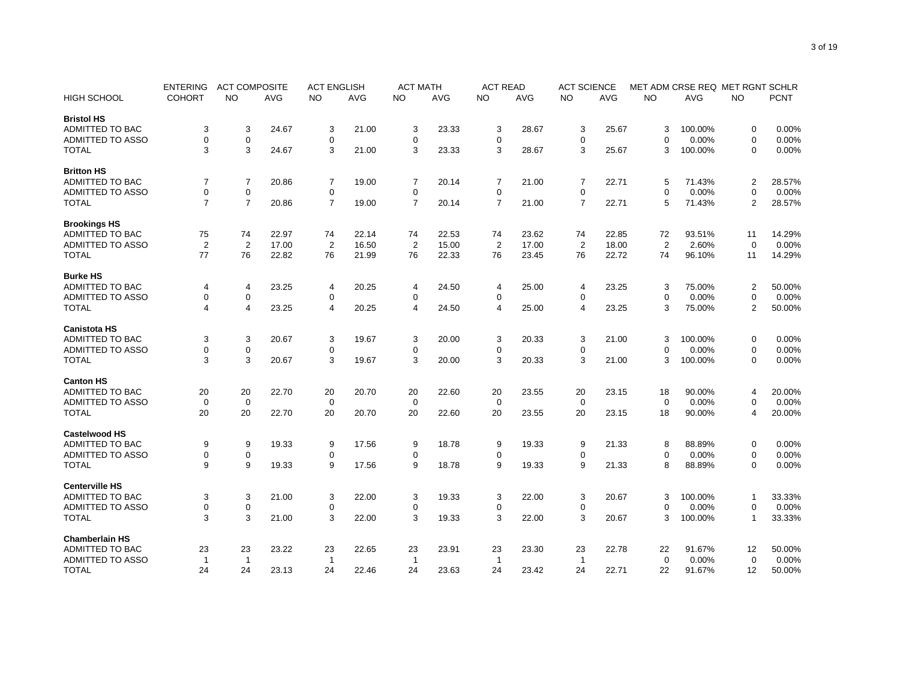|                         | <b>ENTERING</b> | <b>ACT COMPOSITE</b> |       | <b>ACT ENGLISH</b> |       | <b>ACT MATH</b> |       | <b>ACT READ</b> |       | <b>ACT SCIENCE</b> |       | MET ADM CRSE REQ MET RGNT SCHLR |         |                |             |
|-------------------------|-----------------|----------------------|-------|--------------------|-------|-----------------|-------|-----------------|-------|--------------------|-------|---------------------------------|---------|----------------|-------------|
| <b>HIGH SCHOOL</b>      | <b>COHORT</b>   | NO.                  | AVG   | NO                 | AVG   | NO              | AVG   | NO              | AVG   | NO                 | AVG   | <b>NO</b>                       | AVG     | NO.            | <b>PCNT</b> |
| <b>Bristol HS</b>       |                 |                      |       |                    |       |                 |       |                 |       |                    |       |                                 |         |                |             |
| <b>ADMITTED TO BAC</b>  | 3               | 3                    | 24.67 | 3                  | 21.00 | 3               | 23.33 | 3               | 28.67 | 3                  | 25.67 | 3                               | 100.00% | 0              | 0.00%       |
| <b>ADMITTED TO ASSO</b> | 0               | $\mathbf 0$          |       | $\mathbf 0$        |       | 0               |       | 0               |       | 0                  |       | $\Omega$                        | 0.00%   | $\mathbf 0$    | 0.00%       |
| <b>TOTAL</b>            | 3               | 3                    | 24.67 | 3                  | 21.00 | 3               | 23.33 | 3               | 28.67 | 3                  | 25.67 | 3                               | 100.00% | $\mathbf 0$    | 0.00%       |
| <b>Britton HS</b>       |                 |                      |       |                    |       |                 |       |                 |       |                    |       |                                 |         |                |             |
| <b>ADMITTED TO BAC</b>  | 7               | $\overline{7}$       | 20.86 | 7                  | 19.00 | 7               | 20.14 | 7               | 21.00 | $\overline{7}$     | 22.71 | 5                               | 71.43%  | $\overline{2}$ | 28.57%      |
| <b>ADMITTED TO ASSO</b> | 0               | $\mathbf 0$          |       | $\mathbf 0$        |       | $\mathbf 0$     |       | $\mathbf 0$     |       | 0                  |       | $\Omega$                        | 0.00%   | $\mathbf 0$    | 0.00%       |
| <b>TOTAL</b>            | $\overline{7}$  | $\overline{7}$       | 20.86 | $\overline{7}$     | 19.00 | $\overline{7}$  | 20.14 | $\overline{7}$  | 21.00 | $\overline{7}$     | 22.71 | 5                               | 71.43%  | $\overline{2}$ | 28.57%      |
| <b>Brookings HS</b>     |                 |                      |       |                    |       |                 |       |                 |       |                    |       |                                 |         |                |             |
| ADMITTED TO BAC         | 75              | 74                   | 22.97 | 74                 | 22.14 | 74              | 22.53 | 74              | 23.62 | 74                 | 22.85 | 72                              | 93.51%  | 11             | 14.29%      |
| <b>ADMITTED TO ASSO</b> | $\overline{2}$  | $\overline{2}$       | 17.00 | $\overline{2}$     | 16.50 | $\overline{2}$  | 15.00 | $\overline{2}$  | 17.00 | $\overline{2}$     | 18.00 | 2                               | 2.60%   | $\mathbf 0$    | 0.00%       |
| <b>TOTAL</b>            | 77              | 76                   | 22.82 | 76                 | 21.99 | 76              | 22.33 | 76              | 23.45 | 76                 | 22.72 | 74                              | 96.10%  | 11             | 14.29%      |
|                         |                 |                      |       |                    |       |                 |       |                 |       |                    |       |                                 |         |                |             |
| <b>Burke HS</b>         |                 |                      |       |                    |       |                 |       |                 |       |                    |       |                                 |         |                |             |
| ADMITTED TO BAC         | 4               | 4                    | 23.25 | $\overline{4}$     | 20.25 | 4               | 24.50 | 4               | 25.00 | 4                  | 23.25 | 3                               | 75.00%  | $\overline{2}$ | 50.00%      |
| <b>ADMITTED TO ASSO</b> | 0               | $\mathbf 0$          |       | $\mathbf 0$        |       | 0               |       | $\mathbf 0$     |       | 0                  |       | $\mathbf 0$                     | 0.00%   | $\mathbf 0$    | 0.00%       |
| <b>TOTAL</b>            | 4               | $\overline{4}$       | 23.25 | 4                  | 20.25 | 4               | 24.50 | 4               | 25.00 | $\overline{4}$     | 23.25 | 3                               | 75.00%  | 2              | 50.00%      |
| <b>Canistota HS</b>     |                 |                      |       |                    |       |                 |       |                 |       |                    |       |                                 |         |                |             |
| <b>ADMITTED TO BAC</b>  | 3               | 3                    | 20.67 | 3                  | 19.67 | 3               | 20.00 | 3               | 20.33 | 3                  | 21.00 | 3                               | 100.00% | 0              | 0.00%       |
| ADMITTED TO ASSO        | 0               | $\pmb{0}$            |       | $\mathbf 0$        |       | 0               |       | 0               |       | 0                  |       | $\Omega$                        | 0.00%   | $\mathbf 0$    | 0.00%       |
| <b>TOTAL</b>            | 3               | 3                    | 20.67 | 3                  | 19.67 | 3               | 20.00 | 3               | 20.33 | 3                  | 21.00 | 3                               | 100.00% | $\mathbf 0$    | 0.00%       |
| <b>Canton HS</b>        |                 |                      |       |                    |       |                 |       |                 |       |                    |       |                                 |         |                |             |
| <b>ADMITTED TO BAC</b>  | 20              | 20                   | 22.70 | 20                 | 20.70 | 20              | 22.60 | 20              | 23.55 | 20                 | 23.15 | 18                              | 90.00%  | $\overline{4}$ | 20.00%      |
| <b>ADMITTED TO ASSO</b> | $\mathbf 0$     | $\mathbf 0$          |       | $\mathbf 0$        |       | $\mathbf 0$     |       | $\mathbf 0$     |       | $\mathbf 0$        |       | $\Omega$                        | 0.00%   | $\Omega$       | 0.00%       |
| <b>TOTAL</b>            | 20              | 20                   | 22.70 | 20                 | 20.70 | 20              | 22.60 | 20              | 23.55 | 20                 | 23.15 | 18                              | 90.00%  | $\overline{4}$ | 20.00%      |
|                         |                 |                      |       |                    |       |                 |       |                 |       |                    |       |                                 |         |                |             |
| <b>Castelwood HS</b>    |                 |                      |       |                    |       |                 |       |                 |       |                    |       |                                 |         |                |             |
| <b>ADMITTED TO BAC</b>  | 9               | 9                    | 19.33 | 9                  | 17.56 | 9               | 18.78 | 9               | 19.33 | 9                  | 21.33 | 8                               | 88.89%  | 0              | 0.00%       |
| <b>ADMITTED TO ASSO</b> | 0               | $\mathbf 0$          |       | $\mathbf 0$        |       | $\mathbf 0$     |       | $\mathbf 0$     |       | 0                  |       | $\Omega$                        | 0.00%   | $\mathbf 0$    | 0.00%       |
| <b>TOTAL</b>            | 9               | 9                    | 19.33 | 9                  | 17.56 | 9               | 18.78 | 9               | 19.33 | 9                  | 21.33 | 8                               | 88.89%  | $\mathbf 0$    | 0.00%       |
| <b>Centerville HS</b>   |                 |                      |       |                    |       |                 |       |                 |       |                    |       |                                 |         |                |             |
| ADMITTED TO BAC         | 3               | 3                    | 21.00 | 3                  | 22.00 | 3               | 19.33 | 3               | 22.00 | 3                  | 20.67 | 3                               | 100.00% | $\mathbf 1$    | 33.33%      |
| ADMITTED TO ASSO        | 0               | $\mathbf 0$          |       | $\mathbf 0$        |       | $\mathbf 0$     |       | 0               |       | 0                  |       | $\Omega$                        | 0.00%   | $\mathbf 0$    | 0.00%       |
| <b>TOTAL</b>            | 3               | 3                    | 21.00 | 3                  | 22.00 | 3               | 19.33 | 3               | 22.00 | 3                  | 20.67 | 3                               | 100.00% | $\mathbf 1$    | 33.33%      |
| <b>Chamberlain HS</b>   |                 |                      |       |                    |       |                 |       |                 |       |                    |       |                                 |         |                |             |
| <b>ADMITTED TO BAC</b>  | 23              | 23                   | 23.22 | 23                 | 22.65 | 23              | 23.91 | 23              | 23.30 | 23                 | 22.78 | 22                              | 91.67%  | 12             | 50.00%      |
| <b>ADMITTED TO ASSO</b> | $\overline{1}$  | $\mathbf{1}$         |       | $\mathbf{1}$       |       | 1               |       | $\overline{1}$  |       | $\mathbf{1}$       |       | $\mathbf 0$                     | 0.00%   | $\mathbf 0$    | 0.00%       |
| <b>TOTAL</b>            | 24              | 24                   | 23.13 | 24                 | 22.46 | 24              | 23.63 | 24              | 23.42 | 24                 | 22.71 | 22                              | 91.67%  | 12             | 50.00%      |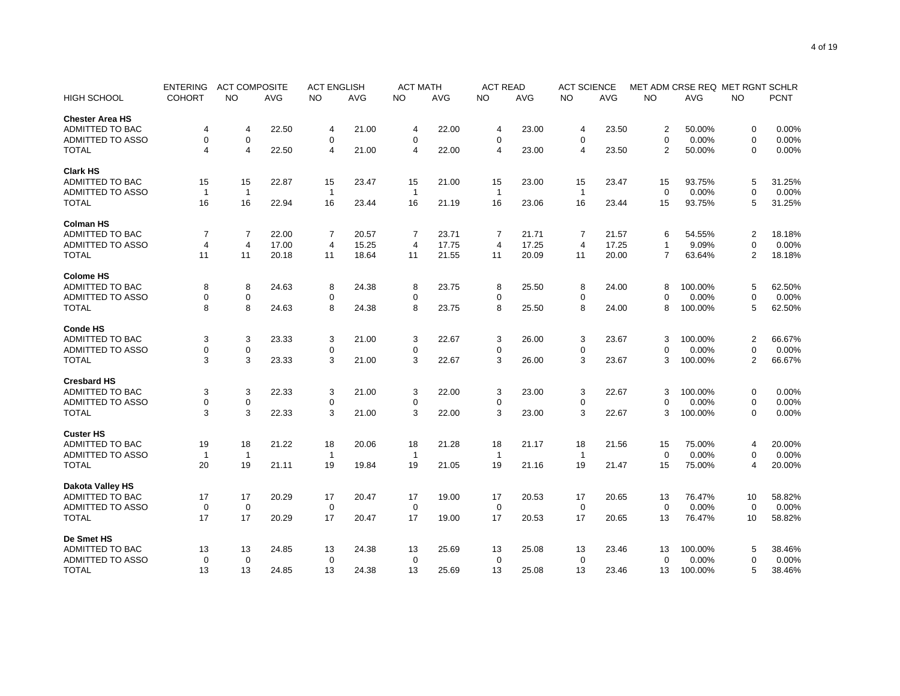|                         | <b>ENTERING</b> | <b>ACT COMPOSITE</b> |            | <b>ACT ENGLISH</b> |            | <b>ACT MATH</b> |            | <b>ACT READ</b> |            | <b>ACT SCIENCE</b> |            | MET ADM CRSE REQ MET RGNT SCHLR |          |                |             |
|-------------------------|-----------------|----------------------|------------|--------------------|------------|-----------------|------------|-----------------|------------|--------------------|------------|---------------------------------|----------|----------------|-------------|
| <b>HIGH SCHOOL</b>      | <b>COHORT</b>   | NO.                  | <b>AVG</b> | <b>NO</b>          | <b>AVG</b> | <b>NO</b>       | <b>AVG</b> | <b>NO</b>       | <b>AVG</b> | <b>NO</b>          | <b>AVG</b> | <b>NO</b>                       | AVG      | <b>NO</b>      | <b>PCNT</b> |
| <b>Chester Area HS</b>  |                 |                      |            |                    |            |                 |            |                 |            |                    |            |                                 |          |                |             |
| <b>ADMITTED TO BAC</b>  | 4               | 4                    | 22.50      | 4                  | 21.00      | 4               | 22.00      | 4               | 23.00      | 4                  | 23.50      | $\overline{2}$                  | 50.00%   | 0              | 0.00%       |
| <b>ADMITTED TO ASSO</b> | 0               | $\mathbf 0$          |            | $\mathbf 0$        |            | $\mathbf 0$     |            | $\mathbf 0$     |            | 0                  |            | $\Omega$                        | 0.00%    | $\mathbf 0$    | 0.00%       |
| <b>TOTAL</b>            | 4               | $\overline{4}$       | 22.50      | $\overline{4}$     | 21.00      | $\overline{4}$  | 22.00      | 4               | 23.00      | $\overline{4}$     | 23.50      | $\overline{2}$                  | 50.00%   | $\mathbf 0$    | 0.00%       |
| <b>Clark HS</b>         |                 |                      |            |                    |            |                 |            |                 |            |                    |            |                                 |          |                |             |
| ADMITTED TO BAC         | 15              | 15                   | 22.87      | 15                 | 23.47      | 15              | 21.00      | 15              | 23.00      | 15                 | 23.47      | 15                              | 93.75%   | 5              | 31.25%      |
| <b>ADMITTED TO ASSO</b> | $\overline{1}$  | $\mathbf{1}$         |            | $\mathbf{1}$       |            | $\mathbf{1}$    |            | $\overline{1}$  |            | $\mathbf{1}$       |            | $\mathbf 0$                     | 0.00%    | $\mathbf 0$    | 0.00%       |
| <b>TOTAL</b>            | 16              | 16                   | 22.94      | 16                 | 23.44      | 16              | 21.19      | 16              | 23.06      | 16                 | 23.44      | 15                              | 93.75%   | 5              | 31.25%      |
| <b>Colman HS</b>        |                 |                      |            |                    |            |                 |            |                 |            |                    |            |                                 |          |                |             |
| ADMITTED TO BAC         | $\overline{7}$  | $\overline{7}$       | 22.00      | $\overline{7}$     | 20.57      | $\overline{7}$  | 23.71      | 7               | 21.71      | $\overline{7}$     | 21.57      | 6                               | 54.55%   | $\overline{c}$ | 18.18%      |
| <b>ADMITTED TO ASSO</b> | 4               | $\overline{4}$       | 17.00      | $\overline{4}$     | 15.25      | $\overline{4}$  | 17.75      | 4               | 17.25      | $\overline{4}$     | 17.25      | $\mathbf{1}$                    | 9.09%    | $\mathbf 0$    | 0.00%       |
| <b>TOTAL</b>            | 11              | 11                   | 20.18      | 11                 | 18.64      | 11              | 21.55      | 11              | 20.09      | 11                 | 20.00      | $\overline{7}$                  | 63.64%   | $\overline{2}$ | 18.18%      |
| <b>Colome HS</b>        |                 |                      |            |                    |            |                 |            |                 |            |                    |            |                                 |          |                |             |
| <b>ADMITTED TO BAC</b>  | 8               | 8                    | 24.63      | 8                  | 24.38      | 8               | 23.75      | 8               | 25.50      | 8                  | 24.00      | 8                               | 100.00%  | 5              | 62.50%      |
| <b>ADMITTED TO ASSO</b> | 0               | $\mathbf 0$          |            | 0                  |            | $\mathbf 0$     |            | 0               |            | 0                  |            | $\Omega$                        | 0.00%    | $\mathbf 0$    | 0.00%       |
| <b>TOTAL</b>            | 8               | 8                    | 24.63      | 8                  | 24.38      | 8               | 23.75      | 8               | 25.50      | 8                  | 24.00      | 8                               | 100.00%  | 5              | 62.50%      |
| <b>Conde HS</b>         |                 |                      |            |                    |            |                 |            |                 |            |                    |            |                                 |          |                |             |
| <b>ADMITTED TO BAC</b>  | 3               | 3                    | 23.33      | 3                  | 21.00      | 3               | 22.67      | 3               | 26.00      | 3                  | 23.67      | 3                               | 100.00%  | $\overline{2}$ | 66.67%      |
| <b>ADMITTED TO ASSO</b> | 0               | $\mathbf 0$          |            | 0                  |            | 0               |            | 0               |            | 0                  |            | $\Omega$                        | 0.00%    | $\mathbf 0$    | 0.00%       |
| <b>TOTAL</b>            | 3               | 3                    | 23.33      | 3                  | 21.00      | 3               | 22.67      | 3               | 26.00      | 3                  | 23.67      | 3                               | 100.00%  | 2              | 66.67%      |
|                         |                 |                      |            |                    |            |                 |            |                 |            |                    |            |                                 |          |                |             |
| <b>Cresbard HS</b>      |                 |                      |            |                    |            |                 |            |                 |            |                    |            |                                 |          |                |             |
| <b>ADMITTED TO BAC</b>  | 3               | 3                    | 22.33      | 3                  | 21.00      | 3               | 22.00      | 3               | 23.00      | 3                  | 22.67      | 3                               | 100.00%  | 0              | 0.00%       |
| ADMITTED TO ASSO        | 0               | $\mathsf 0$          |            | $\mathbf 0$        |            | 0               |            | 0               |            | $\mathbf 0$        |            | $\mathbf 0$                     | 0.00%    | $\mathbf 0$    | 0.00%       |
| <b>TOTAL</b>            | 3               | 3                    | 22.33      | 3                  | 21.00      | 3               | 22.00      | 3               | 23.00      | 3                  | 22.67      | 3                               | 100.00%  | $\mathbf 0$    | 0.00%       |
| <b>Custer HS</b>        |                 |                      |            |                    |            |                 |            |                 |            |                    |            |                                 |          |                |             |
| <b>ADMITTED TO BAC</b>  | 19              | 18                   | 21.22      | 18                 | 20.06      | 18              | 21.28      | 18              | 21.17      | 18                 | 21.56      | 15                              | 75.00%   | $\overline{4}$ | 20.00%      |
| <b>ADMITTED TO ASSO</b> | -1              | $\mathbf 1$          |            | $\mathbf{1}$       |            | -1              |            | -1              |            | $\mathbf{1}$       |            | $\Omega$                        | 0.00%    | $\mathbf 0$    | 0.00%       |
| <b>TOTAL</b>            | 20              | 19                   | 21.11      | 19                 | 19.84      | 19              | 21.05      | 19              | 21.16      | 19                 | 21.47      | 15                              | 75.00%   | $\overline{4}$ | 20.00%      |
| <b>Dakota Valley HS</b> |                 |                      |            |                    |            |                 |            |                 |            |                    |            |                                 |          |                |             |
| <b>ADMITTED TO BAC</b>  | 17              | 17                   | 20.29      | 17                 | 20.47      | 17              | 19.00      | 17              | 20.53      | 17                 | 20.65      | 13                              | 76.47%   | 10             | 58.82%      |
| ADMITTED TO ASSO        | 0               | $\mathbf 0$          |            | $\mathbf 0$        |            | 0               |            | $\mathbf 0$     |            | 0                  |            | $\mathbf 0$                     | 0.00%    | $\mathbf 0$    | 0.00%       |
| <b>TOTAL</b>            | 17              | 17                   | 20.29      | 17                 | 20.47      | 17              | 19.00      | 17              | 20.53      | 17                 | 20.65      | 13                              | 76.47%   | 10             | 58.82%      |
| De Smet HS              |                 |                      |            |                    |            |                 |            |                 |            |                    |            |                                 |          |                |             |
| <b>ADMITTED TO BAC</b>  | 13              | 13                   | 24.85      | 13                 | 24.38      | 13              | 25.69      | 13              | 25.08      | 13                 | 23.46      | 13                              | 100.00%  | 5              | 38.46%      |
| <b>ADMITTED TO ASSO</b> | 0               | $\mathbf 0$          |            | $\mathbf 0$        |            | 0               |            | 0               |            | 0                  |            | $\Omega$                        | $0.00\%$ | $\mathbf 0$    | 0.00%       |
| <b>TOTAL</b>            | 13              | 13                   | 24.85      | 13                 | 24.38      | 13              | 25.69      | 13              | 25.08      | 13                 | 23.46      | 13                              | 100.00%  | 5              | 38.46%      |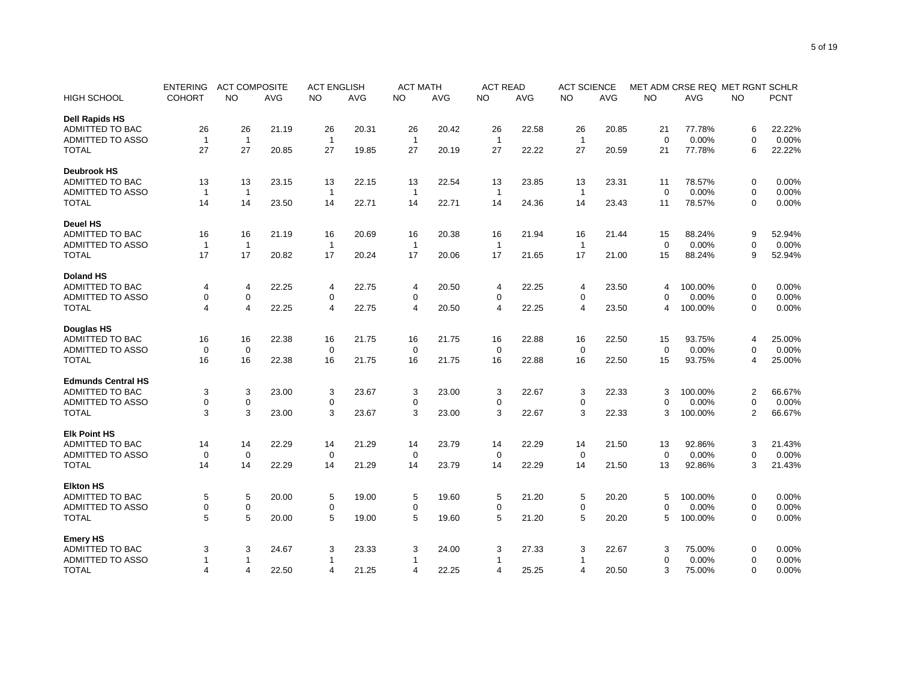|                           | <b>ENTERING</b> | <b>ACT COMPOSITE</b> |            | <b>ACT ENGLISH</b> |            | <b>ACT MATH</b> |            | <b>ACT READ</b> |            | <b>ACT SCIENCE</b> |            | MET ADM CRSE REQ MET RGNT SCHLR |          |                |             |
|---------------------------|-----------------|----------------------|------------|--------------------|------------|-----------------|------------|-----------------|------------|--------------------|------------|---------------------------------|----------|----------------|-------------|
| <b>HIGH SCHOOL</b>        | <b>COHORT</b>   | <b>NO</b>            | <b>AVG</b> | <b>NO</b>          | <b>AVG</b> | <b>NO</b>       | <b>AVG</b> | NO.             | <b>AVG</b> | <b>NO</b>          | <b>AVG</b> | <b>NO</b>                       | AVG      | <b>NO</b>      | <b>PCNT</b> |
| <b>Dell Rapids HS</b>     |                 |                      |            |                    |            |                 |            |                 |            |                    |            |                                 |          |                |             |
| <b>ADMITTED TO BAC</b>    | 26              | 26                   | 21.19      | 26                 | 20.31      | 26              | 20.42      | 26              | 22.58      | 26                 | 20.85      | 21                              | 77.78%   | 6              | 22.22%      |
| <b>ADMITTED TO ASSO</b>   | $\overline{1}$  | $\mathbf{1}$         |            | $\mathbf{1}$       |            | $\overline{1}$  |            | $\overline{1}$  |            | $\overline{1}$     |            | $\Omega$                        | 0.00%    | $\Omega$       | 0.00%       |
| <b>TOTAL</b>              | 27              | 27                   | 20.85      | 27                 | 19.85      | 27              | 20.19      | 27              | 22.22      | 27                 | 20.59      | 21                              | 77.78%   | 6              | 22.22%      |
| <b>Deubrook HS</b>        |                 |                      |            |                    |            |                 |            |                 |            |                    |            |                                 |          |                |             |
| <b>ADMITTED TO BAC</b>    | 13              | 13                   | 23.15      | 13                 | 22.15      | 13              | 22.54      | 13              | 23.85      | 13                 | 23.31      | 11                              | 78.57%   | 0              | 0.00%       |
| <b>ADMITTED TO ASSO</b>   | $\overline{1}$  | $\mathbf{1}$         |            | $\mathbf{1}$       |            | $\mathbf{1}$    |            | $\overline{1}$  |            | $\mathbf{1}$       |            | $\Omega$                        | 0.00%    | $\mathbf 0$    | 0.00%       |
| <b>TOTAL</b>              | 14              | 14                   | 23.50      | 14                 | 22.71      | 14              | 22.71      | 14              | 24.36      | 14                 | 23.43      | 11                              | 78.57%   | $\mathbf 0$    | 0.00%       |
| <b>Deuel HS</b>           |                 |                      |            |                    |            |                 |            |                 |            |                    |            |                                 |          |                |             |
| ADMITTED TO BAC           | 16              | 16                   | 21.19      | 16                 | 20.69      | 16              | 20.38      | 16              | 21.94      | 16                 | 21.44      | 15                              | 88.24%   | 9              | 52.94%      |
| ADMITTED TO ASSO          | $\overline{1}$  | $\mathbf{1}$         |            | $\mathbf{1}$       |            | $\mathbf{1}$    |            | $\overline{1}$  |            | $\mathbf{1}$       |            | $\mathbf 0$                     | 0.00%    | $\mathbf 0$    | 0.00%       |
| <b>TOTAL</b>              | 17              | 17                   | 20.82      | 17                 | 20.24      | 17              | 20.06      | 17              | 21.65      | 17                 | 21.00      | 15                              | 88.24%   | 9              | 52.94%      |
| <b>Doland HS</b>          |                 |                      |            |                    |            |                 |            |                 |            |                    |            |                                 |          |                |             |
| <b>ADMITTED TO BAC</b>    | 4               | 4                    | 22.25      | 4                  | 22.75      | 4               | 20.50      | 4               | 22.25      | 4                  | 23.50      | 4                               | 100.00%  | 0              | 0.00%       |
| <b>ADMITTED TO ASSO</b>   | 0               | $\mathbf 0$          |            | 0                  |            | $\mathbf 0$     |            | 0               |            | $\mathbf 0$        |            | $\Omega$                        | 0.00%    | $\mathbf 0$    | 0.00%       |
| <b>TOTAL</b>              | 4               | $\overline{4}$       | 22.25      | $\overline{4}$     | 22.75      | $\overline{4}$  | 20.50      | 4               | 22.25      | $\overline{4}$     | 23.50      | 4                               | 100.00%  | $\mathbf 0$    | 0.00%       |
| <b>Douglas HS</b>         |                 |                      |            |                    |            |                 |            |                 |            |                    |            |                                 |          |                |             |
| ADMITTED TO BAC           | 16              | 16                   | 22.38      | 16                 | 21.75      | 16              | 21.75      | 16              | 22.88      | 16                 | 22.50      | 15                              | 93.75%   | $\overline{4}$ | 25.00%      |
| <b>ADMITTED TO ASSO</b>   | 0               | $\mathbf 0$          |            | 0                  |            | 0               |            | $\mathbf 0$     |            | 0                  |            | $\mathbf 0$                     | 0.00%    | $\mathbf 0$    | 0.00%       |
| <b>TOTAL</b>              | 16              | 16                   | 22.38      | 16                 |            | 16              | 21.75      | 16              | 22.88      |                    | 22.50      | 15                              | 93.75%   |                | 25.00%      |
|                           |                 |                      |            |                    | 21.75      |                 |            |                 |            | 16                 |            |                                 |          | $\overline{4}$ |             |
| <b>Edmunds Central HS</b> |                 |                      |            |                    |            |                 |            |                 |            |                    |            |                                 |          |                |             |
| <b>ADMITTED TO BAC</b>    | 3               | 3                    | 23.00      | 3                  | 23.67      | 3               | 23.00      | 3               | 22.67      | 3                  | 22.33      | 3                               | 100.00%  | $\overline{2}$ | 66.67%      |
| <b>ADMITTED TO ASSO</b>   | 0               | $\mathsf 0$          |            | $\mathbf 0$        |            | 0               |            | 0               |            | $\mathbf 0$        |            | $\Omega$                        | $0.00\%$ | $\mathbf 0$    | 0.00%       |
| <b>TOTAL</b>              | 3               | 3                    | 23.00      | 3                  | 23.67      | 3               | 23.00      | 3               | 22.67      | 3                  | 22.33      | 3                               | 100.00%  | $\overline{2}$ | 66.67%      |
| <b>Elk Point HS</b>       |                 |                      |            |                    |            |                 |            |                 |            |                    |            |                                 |          |                |             |
| <b>ADMITTED TO BAC</b>    | 14              | 14                   | 22.29      | 14                 | 21.29      | 14              | 23.79      | 14              | 22.29      | 14                 | 21.50      | 13                              | 92.86%   | 3              | 21.43%      |
| <b>ADMITTED TO ASSO</b>   | $\mathbf 0$     | $\mathbf 0$          |            | $\mathbf 0$        |            | $\mathbf 0$     |            | $\mathbf 0$     |            | $\mathbf 0$        |            | $\Omega$                        | 0.00%    | $\mathbf 0$    | 0.00%       |
| <b>TOTAL</b>              | 14              | 14                   | 22.29      | 14                 | 21.29      | 14              | 23.79      | 14              | 22.29      | 14                 | 21.50      | 13                              | 92.86%   | 3              | 21.43%      |
| <b>Elkton HS</b>          |                 |                      |            |                    |            |                 |            |                 |            |                    |            |                                 |          |                |             |
| <b>ADMITTED TO BAC</b>    | 5               | 5                    | 20.00      | 5                  | 19.00      | 5               | 19.60      | 5               | 21.20      | 5                  | 20.20      | 5                               | 100.00%  | 0              | 0.00%       |
| ADMITTED TO ASSO          | 0               | $\mathbf 0$          |            | $\mathbf 0$        |            | 0               |            | 0               |            | 0                  |            | $\Omega$                        | 0.00%    | $\mathbf 0$    | 0.00%       |
| <b>TOTAL</b>              | 5               | 5                    | 20.00      | 5                  | 19.00      | 5               | 19.60      | 5               | 21.20      | 5                  | 20.20      | 5                               | 100.00%  | 0              | 0.00%       |
| <b>Emery HS</b>           |                 |                      |            |                    |            |                 |            |                 |            |                    |            |                                 |          |                |             |
| <b>ADMITTED TO BAC</b>    | 3               | 3                    | 24.67      | 3                  | 23.33      | 3               | 24.00      | 3               | 27.33      | 3                  | 22.67      | 3                               | 75.00%   | 0              | 0.00%       |
| <b>ADMITTED TO ASSO</b>   |                 | -1                   |            | -1                 |            | 1               |            | 1               |            | -1                 |            | $\Omega$                        | 0.00%    | $\mathbf 0$    | 0.00%       |
| <b>TOTAL</b>              | 4               | $\overline{4}$       | 22.50      | $\overline{4}$     | 21.25      | 4               | 22.25      | 4               | 25.25      | 4                  | 20.50      | 3                               | 75.00%   | $\mathbf 0$    | 0.00%       |
|                           |                 |                      |            |                    |            |                 |            |                 |            |                    |            |                                 |          |                |             |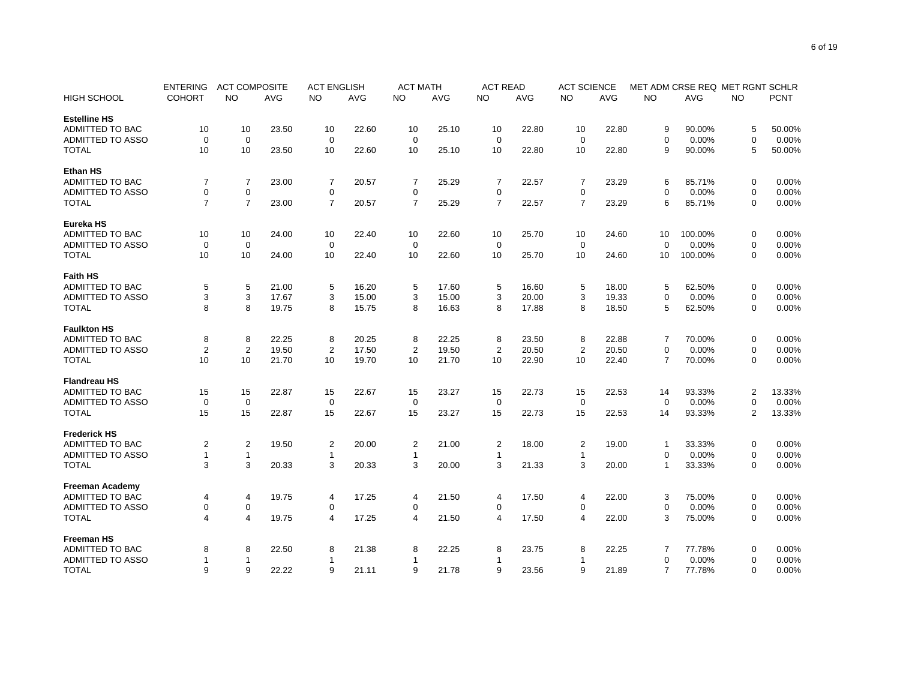|                         | <b>ENTERING</b>         | <b>ACT COMPOSITE</b> |       | <b>ACT ENGLISH</b> |       | <b>ACT MATH</b> |       | <b>ACT READ</b> |       | <b>ACT SCIENCE</b> |       | MET ADM CRSE REQ MET RGNT SCHLR |         |                |             |
|-------------------------|-------------------------|----------------------|-------|--------------------|-------|-----------------|-------|-----------------|-------|--------------------|-------|---------------------------------|---------|----------------|-------------|
| <b>HIGH SCHOOL</b>      | <b>COHORT</b>           | NO.                  | AVG   | NO                 | AVG   | NO.             | AVG   | NO.             | AVG   | NO                 | AVG   | NO                              | AVG     | NO             | <b>PCNT</b> |
| <b>Estelline HS</b>     |                         |                      |       |                    |       |                 |       |                 |       |                    |       |                                 |         |                |             |
| <b>ADMITTED TO BAC</b>  | 10                      | 10                   | 23.50 | 10                 | 22.60 | 10              | 25.10 | 10              | 22.80 | 10                 | 22.80 | 9                               | 90.00%  | 5              | 50.00%      |
| <b>ADMITTED TO ASSO</b> | 0                       | $\mathbf 0$          |       | $\mathbf 0$        |       | $\mathbf 0$     |       | 0               |       | 0                  |       | $\mathbf 0$                     | 0.00%   | $\mathbf 0$    | 0.00%       |
| <b>TOTAL</b>            | 10                      | 10                   | 23.50 | 10                 | 22.60 | 10              | 25.10 | 10              | 22.80 | 10                 | 22.80 | 9                               | 90.00%  | 5              | 50.00%      |
| <b>Ethan HS</b>         |                         |                      |       |                    |       |                 |       |                 |       |                    |       |                                 |         |                |             |
| <b>ADMITTED TO BAC</b>  | 7                       | $\overline{7}$       | 23.00 | 7                  | 20.57 | 7               | 25.29 | 7               | 22.57 | $\overline{7}$     | 23.29 | 6                               | 85.71%  | 0              | 0.00%       |
| <b>ADMITTED TO ASSO</b> | 0                       | $\mathbf 0$          |       | $\mathbf 0$        |       | $\mathbf 0$     |       | $\mathbf 0$     |       | $\mathbf 0$        |       | $\Omega$                        | 0.00%   | $\mathbf 0$    | 0.00%       |
| <b>TOTAL</b>            | $\overline{7}$          | $\overline{7}$       | 23.00 | $\overline{7}$     | 20.57 | $\overline{7}$  | 25.29 | $\overline{7}$  | 22.57 | $\overline{7}$     | 23.29 | 6                               | 85.71%  | $\mathbf 0$    | 0.00%       |
| Eureka HS               |                         |                      |       |                    |       |                 |       |                 |       |                    |       |                                 |         |                |             |
| <b>ADMITTED TO BAC</b>  | 10                      | 10                   | 24.00 | 10                 | 22.40 | 10              | 22.60 | 10              | 25.70 | 10                 | 24.60 | 10                              | 100.00% | 0              | 0.00%       |
| <b>ADMITTED TO ASSO</b> | 0                       | $\mathbf 0$          |       | $\mathbf 0$        |       | $\mathbf 0$     |       | $\mathbf 0$     |       | 0                  |       | $\Omega$                        | 0.00%   | 0              | 0.00%       |
| <b>TOTAL</b>            | 10                      | 10                   | 24.00 | 10                 | 22.40 | 10              | 22.60 | 10              | 25.70 | 10                 | 24.60 | 10                              | 100.00% | $\Omega$       | 0.00%       |
|                         |                         |                      |       |                    |       |                 |       |                 |       |                    |       |                                 |         |                |             |
| <b>Faith HS</b>         |                         |                      |       |                    |       |                 |       |                 |       |                    |       |                                 |         |                |             |
| ADMITTED TO BAC         | 5                       | 5                    | 21.00 | 5                  | 16.20 | 5               | 17.60 | 5               | 16.60 | 5                  | 18.00 | 5                               | 62.50%  | 0              | 0.00%       |
| <b>ADMITTED TO ASSO</b> | 3                       | 3                    | 17.67 | 3                  | 15.00 | 3               | 15.00 | 3               | 20.00 | 3                  | 19.33 | $\mathbf 0$                     | 0.00%   | $\mathbf 0$    | 0.00%       |
| <b>TOTAL</b>            | 8                       | 8                    | 19.75 | 8                  | 15.75 | 8               | 16.63 | 8               | 17.88 | 8                  | 18.50 | 5                               | 62.50%  | 0              | 0.00%       |
| <b>Faulkton HS</b>      |                         |                      |       |                    |       |                 |       |                 |       |                    |       |                                 |         |                |             |
| <b>ADMITTED TO BAC</b>  | 8                       | 8                    | 22.25 | 8                  | 20.25 | 8               | 22.25 | 8               | 23.50 | 8                  | 22.88 | 7                               | 70.00%  | 0              | 0.00%       |
| <b>ADMITTED TO ASSO</b> | $\overline{2}$          | 2                    | 19.50 | $\overline{2}$     | 17.50 | $\overline{2}$  | 19.50 | 2               | 20.50 | $\overline{2}$     | 20.50 | $\mathbf 0$                     | 0.00%   | $\mathbf 0$    | 0.00%       |
| <b>TOTAL</b>            | 10                      | 10                   | 21.70 | 10                 | 19.70 | 10              | 21.70 | 10              | 22.90 | 10                 | 22.40 | $\overline{7}$                  | 70.00%  | $\mathbf 0$    | 0.00%       |
| <b>Flandreau HS</b>     |                         |                      |       |                    |       |                 |       |                 |       |                    |       |                                 |         |                |             |
| <b>ADMITTED TO BAC</b>  | 15                      | 15                   | 22.87 | 15                 | 22.67 | 15              | 23.27 | 15              | 22.73 | 15                 | 22.53 | 14                              | 93.33%  | $\overline{c}$ | 13.33%      |
| <b>ADMITTED TO ASSO</b> | $\mathbf 0$             | $\mathbf 0$          |       | $\mathbf 0$        |       | $\mathbf 0$     |       | $\mathbf 0$     |       | $\mathbf 0$        |       | $\Omega$                        | 0.00%   | $\mathbf 0$    | 0.00%       |
| <b>TOTAL</b>            | 15                      | 15                   | 22.87 | 15                 | 22.67 | 15              | 23.27 | 15              | 22.73 | 15                 | 22.53 | 14                              | 93.33%  | $\overline{2}$ | 13.33%      |
| <b>Frederick HS</b>     |                         |                      |       |                    |       |                 |       |                 |       |                    |       |                                 |         |                |             |
| <b>ADMITTED TO BAC</b>  | $\overline{\mathbf{c}}$ | 2                    | 19.50 | 2                  | 20.00 | $\overline{2}$  | 21.00 | $\overline{2}$  | 18.00 | $\overline{c}$     | 19.00 | $\overline{1}$                  | 33.33%  | 0              | 0.00%       |
| <b>ADMITTED TO ASSO</b> | 1                       | $\mathbf{1}$         |       | $\mathbf{1}$       |       | 1               |       | 1               |       | $\mathbf{1}$       |       | $\Omega$                        | 0.00%   | $\mathbf 0$    | 0.00%       |
| <b>TOTAL</b>            | 3                       | 3                    | 20.33 | 3                  | 20.33 | 3               | 20.00 | 3               | 21.33 | 3                  | 20.00 | 1                               | 33.33%  | 0              | 0.00%       |
|                         |                         |                      |       |                    |       |                 |       |                 |       |                    |       |                                 |         |                |             |
| <b>Freeman Academy</b>  |                         |                      |       |                    |       |                 |       |                 |       |                    |       |                                 |         |                |             |
| <b>ADMITTED TO BAC</b>  | 4                       | 4                    | 19.75 | 4                  | 17.25 | 4               | 21.50 | 4               | 17.50 | 4                  | 22.00 | 3                               | 75.00%  | 0              | 0.00%       |
| ADMITTED TO ASSO        | 0                       | $\mathsf 0$          |       | $\mathbf 0$        |       | $\Omega$        |       | 0               |       | 0                  |       | $\Omega$                        | 0.00%   | $\mathbf 0$    | 0.00%       |
| <b>TOTAL</b>            | 4                       | $\overline{4}$       | 19.75 | $\overline{4}$     | 17.25 | $\overline{4}$  | 21.50 | 4               | 17.50 | 4                  | 22.00 | 3                               | 75.00%  | 0              | 0.00%       |
| <b>Freeman HS</b>       |                         |                      |       |                    |       |                 |       |                 |       |                    |       |                                 |         |                |             |
| ADMITTED TO BAC         | 8                       | 8                    | 22.50 | 8                  | 21.38 | 8               | 22.25 | 8               | 23.75 | 8                  | 22.25 | 7                               | 77.78%  | 0              | 0.00%       |
| ADMITTED TO ASSO        |                         | $\mathbf{1}$         |       |                    |       | 1               |       | 1               |       | 1                  |       | $\mathbf 0$                     | 0.00%   | $\mathbf 0$    | 0.00%       |
| <b>TOTAL</b>            | 9                       | 9                    | 22.22 | 9                  | 21.11 | 9               | 21.78 | 9               | 23.56 | 9                  | 21.89 | $\overline{7}$                  | 77.78%  | $\mathbf 0$    | 0.00%       |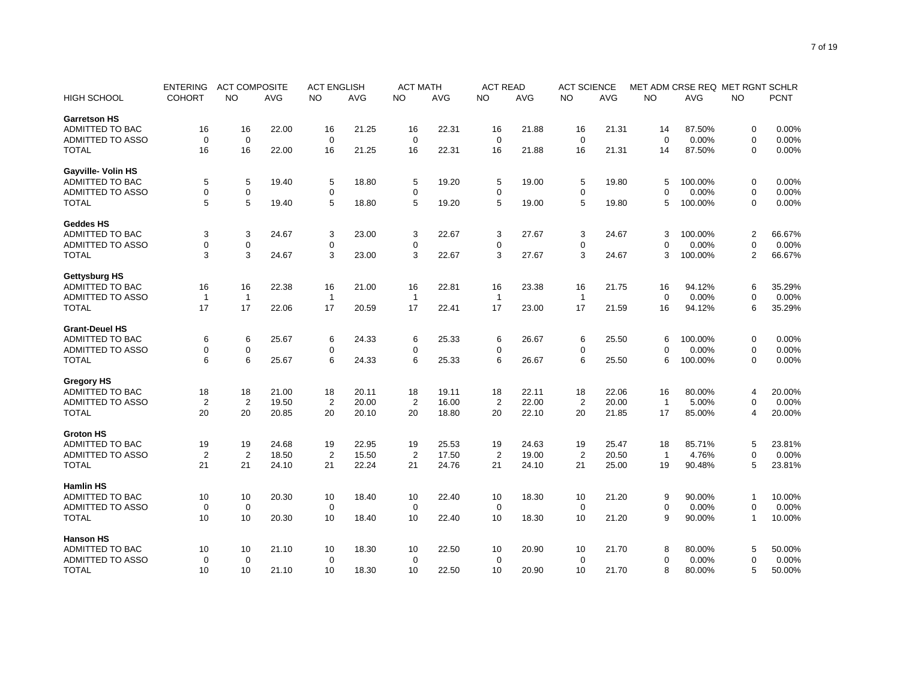|                         | <b>ENTERING</b> | <b>ACT COMPOSITE</b> |            | <b>ACT ENGLISH</b> |            | <b>ACT MATH</b> |            | <b>ACT READ</b> |            | <b>ACT SCIENCE</b> |            | MET ADM CRSE REQ MET RGNT SCHLR |            |                |        |
|-------------------------|-----------------|----------------------|------------|--------------------|------------|-----------------|------------|-----------------|------------|--------------------|------------|---------------------------------|------------|----------------|--------|
| <b>HIGH SCHOOL</b>      | <b>COHORT</b>   | <b>NO</b>            | <b>AVG</b> | <b>NO</b>          | <b>AVG</b> | <b>NO</b>       | <b>AVG</b> | <b>NO</b>       | <b>AVG</b> | <b>NO</b>          | <b>AVG</b> | <b>NO</b>                       | <b>AVG</b> | <b>NO</b>      | PCNT   |
| <b>Garretson HS</b>     |                 |                      |            |                    |            |                 |            |                 |            |                    |            |                                 |            |                |        |
| <b>ADMITTED TO BAC</b>  | 16              | 16                   | 22.00      | 16                 | 21.25      | 16              | 22.31      | 16              | 21.88      | 16                 | 21.31      | 14                              | 87.50%     | 0              | 0.00%  |
| <b>ADMITTED TO ASSO</b> | $\mathbf 0$     | $\mathbf 0$          |            | $\mathbf 0$        |            | $\mathbf 0$     |            | $\mathbf 0$     |            | $\mathbf 0$        |            | $\Omega$                        | 0.00%      | $\mathbf 0$    | 0.00%  |
| <b>TOTAL</b>            | 16              | 16                   | 22.00      | 16                 | 21.25      | 16              | 22.31      | 16              | 21.88      | 16                 | 21.31      | 14                              | 87.50%     | $\mathbf 0$    | 0.00%  |
| Gayville- Volin HS      |                 |                      |            |                    |            |                 |            |                 |            |                    |            |                                 |            |                |        |
| <b>ADMITTED TO BAC</b>  | 5               | 5                    | 19.40      | 5                  | 18.80      | 5               | 19.20      | 5               | 19.00      | 5                  | 19.80      | 5                               | 100.00%    | 0              | 0.00%  |
| <b>ADMITTED TO ASSO</b> | 0               | $\mathbf 0$          |            | $\mathbf 0$        |            | 0               |            | 0               |            | 0                  |            | $\Omega$                        | 0.00%      | $\mathbf 0$    | 0.00%  |
| <b>TOTAL</b>            | 5               | 5                    | 19.40      | 5                  | 18.80      | 5               | 19.20      | 5               | 19.00      | 5                  | 19.80      | 5                               | 100.00%    | $\mathbf 0$    | 0.00%  |
| <b>Geddes HS</b>        |                 |                      |            |                    |            |                 |            |                 |            |                    |            |                                 |            |                |        |
| ADMITTED TO BAC         | 3               | 3                    | 24.67      | 3                  | 23.00      | 3               | 22.67      | 3               | 27.67      | 3                  | 24.67      | 3                               | 100.00%    | $\overline{2}$ | 66.67% |
| <b>ADMITTED TO ASSO</b> | 0               | $\mathbf 0$          |            | $\mathbf 0$        |            | 0               |            | 0               |            | 0                  |            | $\Omega$                        | 0.00%      | $\mathbf 0$    | 0.00%  |
| <b>TOTAL</b>            | 3               | 3                    | 24.67      | 3                  | 23.00      | 3               | 22.67      | 3               | 27.67      | 3                  | 24.67      | 3                               | 100.00%    | $\overline{2}$ | 66.67% |
| <b>Gettysburg HS</b>    |                 |                      |            |                    |            |                 |            |                 |            |                    |            |                                 |            |                |        |
| <b>ADMITTED TO BAC</b>  | 16              | 16                   | 22.38      | 16                 | 21.00      | 16              | 22.81      | 16              | 23.38      | 16                 | 21.75      | 16                              | 94.12%     | 6              | 35.29% |
| <b>ADMITTED TO ASSO</b> | $\overline{1}$  | $\overline{1}$       |            | $\mathbf{1}$       |            | $\mathbf{1}$    |            | $\mathbf{1}$    |            | $\mathbf{1}$       |            | $\Omega$                        | 0.00%      | $\mathbf 0$    | 0.00%  |
| <b>TOTAL</b>            | 17              | 17                   | 22.06      | 17                 | 20.59      | 17              | 22.41      | 17              | 23.00      | 17                 | 21.59      | 16                              | 94.12%     | 6              | 35.29% |
|                         |                 |                      |            |                    |            |                 |            |                 |            |                    |            |                                 |            |                |        |
| <b>Grant-Deuel HS</b>   |                 |                      |            |                    |            |                 |            |                 |            |                    |            |                                 |            |                |        |
| <b>ADMITTED TO BAC</b>  | 6               | 6                    | 25.67      | 6                  | 24.33      | 6               | 25.33      | 6               | 26.67      | 6                  | 25.50      | 6                               | 100.00%    | $\mathbf 0$    | 0.00%  |
| <b>ADMITTED TO ASSO</b> | 0               | $\mathbf 0$          |            | 0                  |            | 0               |            | 0               |            | 0                  |            | 0                               | 0.00%      | $\mathbf 0$    | 0.00%  |
| <b>TOTAL</b>            | 6               | 6                    | 25.67      | 6                  | 24.33      | 6               | 25.33      | 6               | 26.67      | 6                  | 25.50      | 6                               | 100.00%    | $\mathbf 0$    | 0.00%  |
| <b>Gregory HS</b>       |                 |                      |            |                    |            |                 |            |                 |            |                    |            |                                 |            |                |        |
| <b>ADMITTED TO BAC</b>  | 18              | 18                   | 21.00      | 18                 | 20.11      | 18              | 19.11      | 18              | 22.11      | 18                 | 22.06      | 16                              | 80.00%     | $\overline{4}$ | 20.00% |
| <b>ADMITTED TO ASSO</b> | $\overline{2}$  | $\overline{2}$       | 19.50      | $\overline{2}$     | 20.00      | $\overline{2}$  | 16.00      | $\overline{2}$  | 22.00      | $\overline{2}$     | 20.00      | $\mathbf{1}$                    | 5.00%      | $\mathbf 0$    | 0.00%  |
| <b>TOTAL</b>            | 20              | 20                   | 20.85      | 20                 | 20.10      | 20              | 18.80      | 20              | 22.10      | 20                 | 21.85      | 17                              | 85.00%     | $\overline{4}$ | 20.00% |
| <b>Groton HS</b>        |                 |                      |            |                    |            |                 |            |                 |            |                    |            |                                 |            |                |        |
| <b>ADMITTED TO BAC</b>  | 19              | 19                   | 24.68      | 19                 | 22.95      | 19              | 25.53      | 19              | 24.63      | 19                 | 25.47      | 18                              | 85.71%     | 5              | 23.81% |
| <b>ADMITTED TO ASSO</b> | $\overline{2}$  | $\overline{2}$       | 18.50      | $\overline{2}$     | 15.50      | $\overline{2}$  | 17.50      | $\overline{2}$  | 19.00      | $\overline{2}$     | 20.50      | $\mathbf{1}$                    | 4.76%      | $\mathbf 0$    | 0.00%  |
| <b>TOTAL</b>            | 21              | 21                   | 24.10      | 21                 | 22.24      | 21              | 24.76      | 21              | 24.10      | 21                 | 25.00      | 19                              | 90.48%     | 5              | 23.81% |
| <b>Hamlin HS</b>        |                 |                      |            |                    |            |                 |            |                 |            |                    |            |                                 |            |                |        |
| <b>ADMITTED TO BAC</b>  | 10              | 10                   | 20.30      | 10                 | 18.40      | 10              | 22.40      | 10              | 18.30      | 10                 | 21.20      | 9                               | 90.00%     | $\mathbf{1}$   | 10.00% |
| <b>ADMITTED TO ASSO</b> | $\mathbf 0$     | $\mathbf 0$          |            | $\mathbf 0$        |            | $\mathbf 0$     |            | $\mathbf 0$     |            | $\mathbf 0$        |            | $\mathbf 0$                     | 0.00%      | $\mathbf 0$    | 0.00%  |
| <b>TOTAL</b>            | 10              |                      | 20.30      | 10                 | 18.40      | 10              | 22.40      | 10              | 18.30      | 10                 |            | 9                               |            | $\mathbf 1$    | 10.00% |
|                         |                 | 10                   |            |                    |            |                 |            |                 |            |                    | 21.20      |                                 | 90.00%     |                |        |
| <b>Hanson HS</b>        |                 |                      |            |                    |            |                 |            |                 |            |                    |            |                                 |            |                |        |
| <b>ADMITTED TO BAC</b>  | 10              | 10                   | 21.10      | 10                 | 18.30      | 10              | 22.50      | 10              | 20.90      | 10                 | 21.70      | 8                               | 80.00%     | 5              | 50.00% |
| ADMITTED TO ASSO        | 0               | $\mathbf 0$          |            | $\mathbf 0$        |            | $\mathbf 0$     |            | 0               |            | 0                  |            | $\mathbf 0$                     | 0.00%      | $\overline{0}$ | 0.00%  |
| <b>TOTAL</b>            | 10              | 10                   | 21.10      | 10                 | 18.30      | 10              | 22.50      | 10              | 20.90      | 10                 | 21.70      | 8                               | 80.00%     | 5              | 50.00% |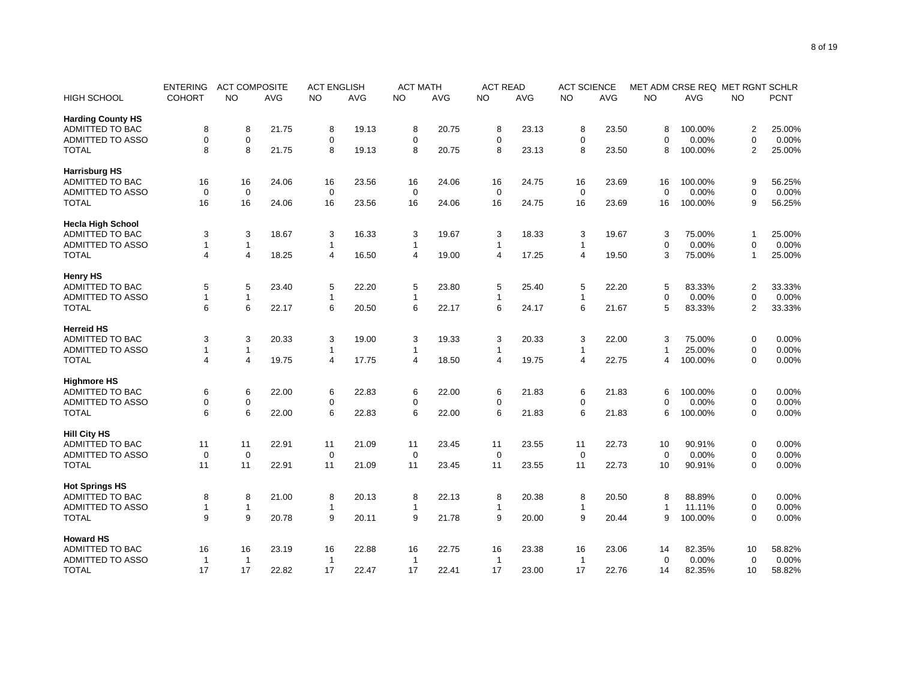|                          | <b>ENTERING</b> | <b>ACT COMPOSITE</b> |            | <b>ACT ENGLISH</b> |            | <b>ACT MATH</b> |            | <b>ACT READ</b> |            | <b>ACT SCIENCE</b> |            | MET ADM CRSE REQ MET RGNT SCHLR |         |                |             |
|--------------------------|-----------------|----------------------|------------|--------------------|------------|-----------------|------------|-----------------|------------|--------------------|------------|---------------------------------|---------|----------------|-------------|
| <b>HIGH SCHOOL</b>       | <b>COHORT</b>   | NO.                  | <b>AVG</b> | <b>NO</b>          | <b>AVG</b> | <b>NO</b>       | <b>AVG</b> | NO.             | <b>AVG</b> | <b>NO</b>          | <b>AVG</b> | <b>NO</b>                       | AVG     | <b>NO</b>      | <b>PCNT</b> |
| <b>Harding County HS</b> |                 |                      |            |                    |            |                 |            |                 |            |                    |            |                                 |         |                |             |
| <b>ADMITTED TO BAC</b>   | 8               | 8                    | 21.75      | 8                  | 19.13      | 8               | 20.75      | 8               | 23.13      | 8                  | 23.50      | 8                               | 100.00% | $\overline{2}$ | 25.00%      |
| <b>ADMITTED TO ASSO</b>  | $\mathbf 0$     | $\mathbf 0$          |            | $\mathbf 0$        |            | $\mathbf 0$     |            | $\mathbf 0$     |            | 0                  |            | $\Omega$                        | 0.00%   | $\mathbf 0$    | 0.00%       |
| <b>TOTAL</b>             | 8               | 8                    | 21.75      | 8                  | 19.13      | 8               | 20.75      | 8               | 23.13      | 8                  | 23.50      | 8                               | 100.00% | $\overline{2}$ | 25.00%      |
| <b>Harrisburg HS</b>     |                 |                      |            |                    |            |                 |            |                 |            |                    |            |                                 |         |                |             |
| ADMITTED TO BAC          | 16              | 16                   | 24.06      | 16                 | 23.56      | 16              | 24.06      | 16              | 24.75      | 16                 | 23.69      | 16                              | 100.00% | 9              | 56.25%      |
| <b>ADMITTED TO ASSO</b>  | 0               | $\mathbf 0$          |            | 0                  |            | $\mathbf 0$     |            | 0               |            | $\mathbf 0$        |            | $\Omega$                        | 0.00%   | $\mathbf 0$    | 0.00%       |
| <b>TOTAL</b>             | 16              | 16                   | 24.06      | 16                 | 23.56      | 16              | 24.06      | 16              | 24.75      | 16                 | 23.69      | 16                              | 100.00% | 9              | 56.25%      |
| <b>Hecla High School</b> |                 |                      |            |                    |            |                 |            |                 |            |                    |            |                                 |         |                |             |
| ADMITTED TO BAC          | 3               | 3                    | 18.67      | 3                  | 16.33      | 3               | 19.67      | 3               | 18.33      | 3                  | 19.67      | 3                               | 75.00%  | 1              | 25.00%      |
| <b>ADMITTED TO ASSO</b>  | 1               | $\mathbf{1}$         |            | $\mathbf{1}$       |            | 1               |            | $\mathbf{1}$    |            | $\mathbf{1}$       |            | $\mathbf 0$                     | 0.00%   | $\mathbf 0$    | 0.00%       |
| <b>TOTAL</b>             | 4               | $\overline{4}$       | 18.25      | $\overline{4}$     | 16.50      | 4               | 19.00      | 4               | 17.25      | 4                  | 19.50      | 3                               | 75.00%  | $\mathbf{1}$   | 25.00%      |
| <b>Henry HS</b>          |                 |                      |            |                    |            |                 |            |                 |            |                    |            |                                 |         |                |             |
| <b>ADMITTED TO BAC</b>   | 5               | 5                    | 23.40      | 5                  | 22.20      | 5               | 23.80      | 5               | 25.40      | 5                  | 22.20      | 5                               | 83.33%  | $\overline{c}$ | 33.33%      |
| <b>ADMITTED TO ASSO</b>  | 1               | $\mathbf{1}$         |            | $\mathbf{1}$       |            | 1               |            | 1               |            | $\mathbf{1}$       |            | $\Omega$                        | 0.00%   | $\mathbf 0$    | 0.00%       |
| <b>TOTAL</b>             | 6               | 6                    | 22.17      | 6                  | 20.50      | 6               | 22.17      | 6               | 24.17      | 6                  | 21.67      | 5                               | 83.33%  | $\overline{2}$ | 33.33%      |
| <b>Herreid HS</b>        |                 |                      |            |                    |            |                 |            |                 |            |                    |            |                                 |         |                |             |
| <b>ADMITTED TO BAC</b>   | 3               | 3                    | 20.33      | 3                  | 19.00      | 3               | 19.33      | 3               | 20.33      | 3                  | 22.00      | 3                               | 75.00%  | $\pmb{0}$      | 0.00%       |
| <b>ADMITTED TO ASSO</b>  | 1               | $\mathbf{1}$         |            | $\mathbf{1}$       |            | 1               |            | 1               |            | $\mathbf{1}$       |            | -1                              | 25.00%  | $\mathbf 0$    | 0.00%       |
| <b>TOTAL</b>             | 4               | $\overline{4}$       | 19.75      | $\overline{4}$     | 17.75      | 4               | 18.50      | 4               | 19.75      | $\overline{4}$     | 22.75      | 4                               | 100.00% | $\mathbf 0$    | 0.00%       |
|                          |                 |                      |            |                    |            |                 |            |                 |            |                    |            |                                 |         |                |             |
| <b>Highmore HS</b>       |                 |                      |            |                    |            |                 |            |                 |            |                    |            |                                 |         |                |             |
| <b>ADMITTED TO BAC</b>   | 6               | 6                    | 22.00      | 6                  | 22.83      | 6               | 22.00      | 6               | 21.83      | 6                  | 21.83      | 6                               | 100.00% | 0              | 0.00%       |
| ADMITTED TO ASSO         | 0               | $\mathsf 0$          |            | $\mathbf 0$        |            | 0               |            | 0               |            | 0                  |            | $\Omega$                        | 0.00%   | $\mathbf 0$    | 0.00%       |
| <b>TOTAL</b>             | 6               | $6\phantom{1}6$      | 22.00      | 6                  | 22.83      | 6               | 22.00      | 6               | 21.83      | 6                  | 21.83      | 6                               | 100.00% | $\mathbf 0$    | 0.00%       |
| <b>Hill City HS</b>      |                 |                      |            |                    |            |                 |            |                 |            |                    |            |                                 |         |                |             |
| <b>ADMITTED TO BAC</b>   | 11              | 11                   | 22.91      | 11                 | 21.09      | 11              | 23.45      | 11              | 23.55      | 11                 | 22.73      | 10                              | 90.91%  | 0              | 0.00%       |
| <b>ADMITTED TO ASSO</b>  | $\mathbf 0$     | $\mathbf 0$          |            | $\mathbf 0$        |            | $\mathbf 0$     |            | $\mathbf 0$     |            | $\mathbf 0$        |            | $\Omega$                        | 0.00%   | $\mathbf 0$    | 0.00%       |
| <b>TOTAL</b>             | 11              | 11                   | 22.91      | 11                 | 21.09      | 11              | 23.45      | 11              | 23.55      | 11                 | 22.73      | 10                              | 90.91%  | $\mathbf 0$    | 0.00%       |
| <b>Hot Springs HS</b>    |                 |                      |            |                    |            |                 |            |                 |            |                    |            |                                 |         |                |             |
| ADMITTED TO BAC          | 8               | 8                    | 21.00      | 8                  | 20.13      | 8               | 22.13      | 8               | 20.38      | 8                  | 20.50      | 8                               | 88.89%  | 0              | 0.00%       |
| ADMITTED TO ASSO         | $\mathbf{1}$    | $\mathbf{1}$         |            | $\mathbf{1}$       |            | 1               |            | 1               |            | $\mathbf{1}$       |            | -1                              | 11.11%  | $\mathbf 0$    | 0.00%       |
| <b>TOTAL</b>             | 9               | 9                    | 20.78      | 9                  | 20.11      | 9               | 21.78      | 9               | 20.00      | 9                  | 20.44      | 9                               | 100.00% | 0              | 0.00%       |
| <b>Howard HS</b>         |                 |                      |            |                    |            |                 |            |                 |            |                    |            |                                 |         |                |             |
| <b>ADMITTED TO BAC</b>   | 16              | 16                   | 23.19      | 16                 | 22.88      | 16              | 22.75      | 16              | 23.38      | 16                 | 23.06      | 14                              | 82.35%  | 10             | 58.82%      |
| <b>ADMITTED TO ASSO</b>  | -1              | $\mathbf 1$          |            | -1                 |            | 1               |            | -1              |            | $\mathbf{1}$       |            | $\mathbf 0$                     | 0.00%   | $\mathbf 0$    | 0.00%       |
| <b>TOTAL</b>             | 17              | 17                   | 22.82      | 17                 | 22.47      | 17              | 22.41      | 17              | 23.00      | 17                 | 22.76      | 14                              | 82.35%  | 10             | 58.82%      |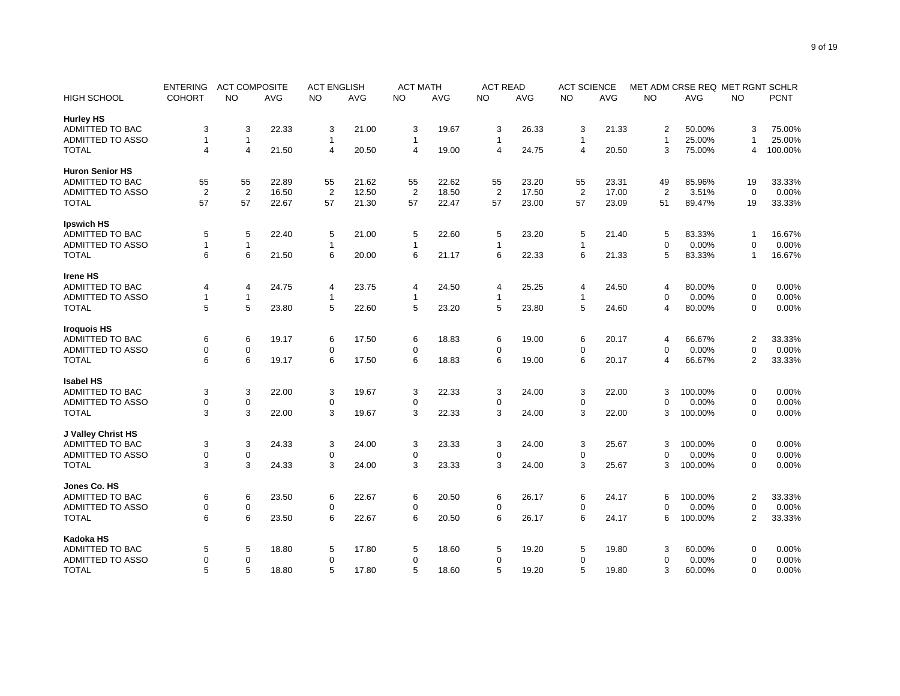|                         | <b>ENTERING</b> | <b>ACT COMPOSITE</b> |       | <b>ACT ENGLISH</b> |       | <b>ACT MATH</b> |       | <b>ACT READ</b> |       | <b>ACT SCIENCE</b> |       | MET ADM CRSE REQ MET RGNT SCHLR |         |                |             |
|-------------------------|-----------------|----------------------|-------|--------------------|-------|-----------------|-------|-----------------|-------|--------------------|-------|---------------------------------|---------|----------------|-------------|
| <b>HIGH SCHOOL</b>      | <b>COHORT</b>   | NO.                  | AVG   | <b>NO</b>          | AVG   | NO.             | AVG   | NO.             | AVG   | NO                 | AVG   | <b>NO</b>                       | AVG     | NO             | <b>PCNT</b> |
| <b>Hurley HS</b>        |                 |                      |       |                    |       |                 |       |                 |       |                    |       |                                 |         |                |             |
| ADMITTED TO BAC         | 3               | 3                    | 22.33 | 3                  | 21.00 | 3               | 19.67 | 3               | 26.33 | 3                  | 21.33 | 2                               | 50.00%  | 3              | 75.00%      |
| <b>ADMITTED TO ASSO</b> | $\mathbf{1}$    | $\overline{1}$       |       | $\mathbf{1}$       |       | 1               |       | $\mathbf{1}$    |       | 1                  |       | $\mathbf{1}$                    | 25.00%  | $\overline{1}$ | 25.00%      |
| <b>TOTAL</b>            | 4               | $\overline{4}$       | 21.50 | $\overline{4}$     | 20.50 | 4               | 19.00 | 4               | 24.75 | $\overline{4}$     | 20.50 | 3                               | 75.00%  | $\overline{4}$ | 100.00%     |
| <b>Huron Senior HS</b>  |                 |                      |       |                    |       |                 |       |                 |       |                    |       |                                 |         |                |             |
| <b>ADMITTED TO BAC</b>  | 55              | 55                   | 22.89 | 55                 | 21.62 | 55              | 22.62 | 55              | 23.20 | 55                 | 23.31 | 49                              | 85.96%  | 19             | 33.33%      |
| <b>ADMITTED TO ASSO</b> | $\overline{2}$  | $\overline{2}$       | 16.50 | 2                  | 12.50 | $\overline{2}$  | 18.50 | $\overline{2}$  | 17.50 | $\overline{2}$     | 17.00 | 2                               | 3.51%   | $\mathbf 0$    | 0.00%       |
| <b>TOTAL</b>            | 57              | 57                   | 22.67 | 57                 | 21.30 | 57              | 22.47 | 57              | 23.00 | 57                 | 23.09 | 51                              | 89.47%  | 19             | 33.33%      |
| <b>Ipswich HS</b>       |                 |                      |       |                    |       |                 |       |                 |       |                    |       |                                 |         |                |             |
| ADMITTED TO BAC         | 5               | 5                    | 22.40 | 5                  | 21.00 | 5               | 22.60 | 5               | 23.20 | 5                  | 21.40 | 5                               | 83.33%  | -1             | 16.67%      |
| <b>ADMITTED TO ASSO</b> | 1               | $\overline{1}$       |       | $\mathbf 1$        |       | 1               |       | 1               |       | $\mathbf{1}$       |       | $\Omega$                        | 0.00%   | $\mathbf 0$    | 0.00%       |
| <b>TOTAL</b>            | 6               | 6                    | 21.50 | 6                  | 20.00 | 6               | 21.17 | 6               | 22.33 | 6                  | 21.33 | 5                               | 83.33%  | $\mathbf{1}$   | 16.67%      |
| <b>Irene HS</b>         |                 |                      |       |                    |       |                 |       |                 |       |                    |       |                                 |         |                |             |
| ADMITTED TO BAC         | 4               | 4                    | 24.75 | 4                  | 23.75 | 4               | 24.50 | 4               | 25.25 | 4                  | 24.50 | 4                               | 80.00%  | 0              | 0.00%       |
| <b>ADMITTED TO ASSO</b> | 1               | $\overline{1}$       |       | $\mathbf{1}$       |       | 1               |       | $\mathbf{1}$    |       | $\mathbf{1}$       |       | $\Omega$                        | 0.00%   | $\mathbf 0$    | 0.00%       |
| <b>TOTAL</b>            | 5               | 5                    | 23.80 | 5                  | 22.60 | 5               | 23.20 | 5               | 23.80 | 5                  | 24.60 | 4                               | 80.00%  | 0              | 0.00%       |
|                         |                 |                      |       |                    |       |                 |       |                 |       |                    |       |                                 |         |                |             |
| <b>Iroquois HS</b>      |                 |                      |       |                    |       |                 |       |                 |       |                    |       |                                 |         |                |             |
| ADMITTED TO BAC         | 6               | 6                    | 19.17 | 6                  | 17.50 | 6               | 18.83 | 6               | 19.00 | 6                  | 20.17 | 4                               | 66.67%  | $\overline{c}$ | 33.33%      |
| <b>ADMITTED TO ASSO</b> | 0               | 0                    |       | $\mathbf 0$        |       | $\mathbf 0$     |       | 0               |       | 0                  |       | $\mathbf 0$                     | 0.00%   | $\mathbf 0$    | 0.00%       |
| <b>TOTAL</b>            | 6               | 6                    | 19.17 | 6                  | 17.50 | 6               | 18.83 | 6               | 19.00 | 6                  | 20.17 | 4                               | 66.67%  | $\overline{2}$ | 33.33%      |
| <b>Isabel HS</b>        |                 |                      |       |                    |       |                 |       |                 |       |                    |       |                                 |         |                |             |
| <b>ADMITTED TO BAC</b>  | 3               | 3                    | 22.00 | 3                  | 19.67 | 3               | 22.33 | 3               | 24.00 | 3                  | 22.00 | 3                               | 100.00% | 0              | 0.00%       |
| <b>ADMITTED TO ASSO</b> | 0               | 0                    |       | $\mathbf 0$        |       | 0               |       | 0               |       | $\mathbf 0$        |       | ∩                               | 0.00%   | $\mathbf 0$    | 0.00%       |
| <b>TOTAL</b>            | 3               | 3                    | 22.00 | 3                  | 19.67 | 3               | 22.33 | 3               | 24.00 | 3                  | 22.00 | 3                               | 100.00% | $\mathbf 0$    | 0.00%       |
| J Valley Christ HS      |                 |                      |       |                    |       |                 |       |                 |       |                    |       |                                 |         |                |             |
| <b>ADMITTED TO BAC</b>  | 3               | 3                    | 24.33 | 3                  | 24.00 | 3               | 23.33 | 3               | 24.00 | 3                  | 25.67 | 3                               | 100.00% | $\mathbf 0$    | 0.00%       |
| <b>ADMITTED TO ASSO</b> | 0               | $\mathbf 0$          |       | $\mathbf 0$        |       | $\mathbf 0$     |       | 0               |       | 0                  |       | $\Omega$                        | 0.00%   | $\mathbf 0$    | 0.00%       |
| <b>TOTAL</b>            | 3               | 3                    | 24.33 | 3                  | 24.00 | 3               | 23.33 | 3               | 24.00 | 3                  | 25.67 | 3                               | 100.00% | $\mathbf 0$    | 0.00%       |
| Jones Co. HS            |                 |                      |       |                    |       |                 |       |                 |       |                    |       |                                 |         |                |             |
| ADMITTED TO BAC         | 6               | 6                    | 23.50 | 6                  | 22.67 | 6               | 20.50 | 6               | 26.17 | 6                  | 24.17 | 6                               | 100.00% | $\overline{c}$ | 33.33%      |
| ADMITTED TO ASSO        | 0               | 0                    |       | $\mathbf 0$        |       | 0               |       | 0               |       | 0                  |       | $\Omega$                        | 0.00%   | $\mathbf 0$    | 0.00%       |
| <b>TOTAL</b>            | 6               | 6                    | 23.50 | 6                  | 22.67 | 6               | 20.50 | 6               | 26.17 | 6                  | 24.17 | 6                               | 100.00% | $\overline{2}$ | 33.33%      |
| Kadoka HS               |                 |                      |       |                    |       |                 |       |                 |       |                    |       |                                 |         |                |             |
| <b>ADMITTED TO BAC</b>  | 5               | 5                    | 18.80 | 5                  | 17.80 | 5               | 18.60 | 5               | 19.20 | 5                  | 19.80 | 3                               | 60.00%  | $\mathbf 0$    | 0.00%       |
| <b>ADMITTED TO ASSO</b> | 0               | $\mathbf 0$          |       | $\mathbf 0$        |       | 0               |       | 0               |       | 0                  |       | $\Omega$                        | 0.00%   | $\mathbf 0$    | 0.00%       |
| <b>TOTAL</b>            | 5               | 5                    | 18.80 | 5                  | 17.80 | 5               | 18.60 | 5               | 19.20 | 5                  | 19.80 | 3                               | 60.00%  | $\mathbf 0$    | 0.00%       |
|                         |                 |                      |       |                    |       |                 |       |                 |       |                    |       |                                 |         |                |             |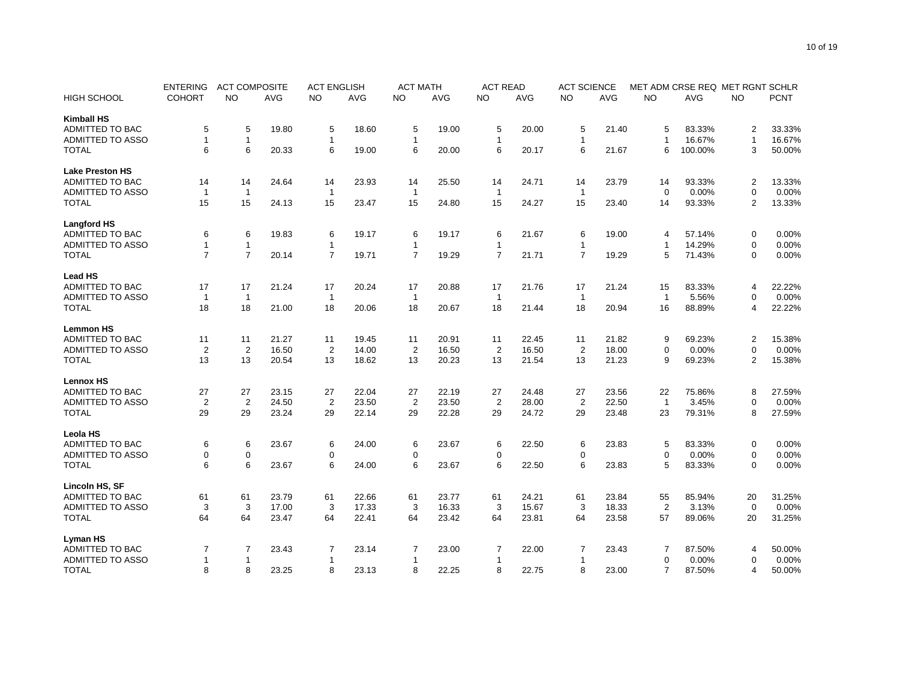|                         | <b>ENTERING</b> | <b>ACT COMPOSITE</b> |       | <b>ACT ENGLISH</b> |       | <b>ACT MATH</b> |       | <b>ACT READ</b> |       | <b>ACT SCIENCE</b> |            |                | MET ADM CRSE REQ MET RGNT SCHLR |                  |             |
|-------------------------|-----------------|----------------------|-------|--------------------|-------|-----------------|-------|-----------------|-------|--------------------|------------|----------------|---------------------------------|------------------|-------------|
| <b>HIGH SCHOOL</b>      | <b>COHORT</b>   | NO.                  | AVG   | NO                 | AVG   | NO              | AVG   | NO              | AVG   | NO                 | <b>AVG</b> | <b>NO</b>      | AVG                             | NO.              | <b>PCNT</b> |
| <b>Kimball HS</b>       |                 |                      |       |                    |       |                 |       |                 |       |                    |            |                |                                 |                  |             |
| <b>ADMITTED TO BAC</b>  | 5               | 5                    | 19.80 | 5                  | 18.60 | 5               | 19.00 | 5               | 20.00 | 5                  | 21.40      | 5              | 83.33%                          | $\overline{2}$   | 33.33%      |
| <b>ADMITTED TO ASSO</b> | 1               | $\mathbf{1}$         |       | $\mathbf{1}$       |       | 1               |       | $\mathbf{1}$    |       | $\mathbf{1}$       |            | $\mathbf{1}$   | 16.67%                          | $\mathbf{1}$     | 16.67%      |
| <b>TOTAL</b>            | 6               | $6\phantom{1}6$      | 20.33 | 6                  | 19.00 | 6               | 20.00 | 6               | 20.17 | 6                  | 21.67      | 6              | 100.00%                         | 3                | 50.00%      |
| <b>Lake Preston HS</b>  |                 |                      |       |                    |       |                 |       |                 |       |                    |            |                |                                 |                  |             |
| <b>ADMITTED TO BAC</b>  | 14              | 14                   | 24.64 | 14                 | 23.93 | 14              | 25.50 | 14              | 24.71 | 14                 | 23.79      | 14             | 93.33%                          | $\overline{c}$   | 13.33%      |
| <b>ADMITTED TO ASSO</b> | $\overline{1}$  | $\overline{1}$       |       | $\mathbf{1}$       |       | $\mathbf{1}$    |       | $\mathbf{1}$    |       | $\mathbf{1}$       |            | $\Omega$       | 0.00%                           | $\mathbf 0$      | $0.00\%$    |
| <b>TOTAL</b>            | 15              | 15                   | 24.13 | 15                 | 23.47 | 15              | 24.80 | 15              | 24.27 | 15                 | 23.40      | 14             | 93.33%                          | $\overline{2}$   | 13.33%      |
| <b>Langford HS</b>      |                 |                      |       |                    |       |                 |       |                 |       |                    |            |                |                                 |                  |             |
| ADMITTED TO BAC         | 6               | 6                    | 19.83 | 6                  | 19.17 | 6               | 19.17 | 6               | 21.67 | 6                  | 19.00      | 4              | 57.14%                          | 0                | 0.00%       |
| <b>ADMITTED TO ASSO</b> | $\mathbf{1}$    | $\mathbf{1}$         |       | $\mathbf{1}$       |       | $\mathbf{1}$    |       | $\mathbf{1}$    |       | $\mathbf{1}$       |            | $\mathbf 1$    | 14.29%                          | $\mathbf 0$      | 0.00%       |
| <b>TOTAL</b>            | $\overline{7}$  | $\overline{7}$       | 20.14 | $\overline{7}$     | 19.71 | $\overline{7}$  | 19.29 | $\overline{7}$  | 21.71 | $\overline{7}$     | 19.29      | 5              | 71.43%                          | $\mathbf 0$      | 0.00%       |
| <b>Lead HS</b>          |                 |                      |       |                    |       |                 |       |                 |       |                    |            |                |                                 |                  |             |
| ADMITTED TO BAC         | 17              | 17                   | 21.24 | 17                 | 20.24 | 17              | 20.88 | 17              | 21.76 | 17                 | 21.24      | 15             | 83.33%                          | $\overline{4}$   | 22.22%      |
| <b>ADMITTED TO ASSO</b> | $\overline{1}$  | $\overline{1}$       |       | $\mathbf{1}$       |       | $\mathbf{1}$    |       | $\mathbf{1}$    |       | $\mathbf{1}$       |            | $\mathbf{1}$   | 5.56%                           | $\mathbf 0$      | 0.00%       |
| <b>TOTAL</b>            | 18              | 18                   | 21.00 | 18                 | 20.06 | 18              | 20.67 | 18              | 21.44 | 18                 | 20.94      | 16             | 88.89%                          | $\overline{4}$   | 22.22%      |
| <b>Lemmon HS</b>        |                 |                      |       |                    |       |                 |       |                 |       |                    |            |                |                                 |                  |             |
| <b>ADMITTED TO BAC</b>  | 11              | 11                   | 21.27 | 11                 | 19.45 | 11              | 20.91 | 11              | 22.45 | 11                 | 21.82      | 9              | 69.23%                          | $\overline{2}$   | 15.38%      |
| ADMITTED TO ASSO        | $\overline{2}$  | $\overline{2}$       | 16.50 | $\overline{2}$     | 14.00 | $\overline{2}$  | 16.50 | $\overline{c}$  | 16.50 | $\overline{2}$     | 18.00      | $\mathbf 0$    | 0.00%                           | $\mathbf 0$      | 0.00%       |
| <b>TOTAL</b>            | 13              | 13                   | 20.54 | 13                 | 18.62 | 13              | 20.23 | 13              | 21.54 | 13                 | 21.23      | 9              | 69.23%                          | $\overline{2}$   | 15.38%      |
|                         |                 |                      |       |                    |       |                 |       |                 |       |                    |            |                |                                 |                  |             |
| <b>Lennox HS</b>        |                 |                      |       |                    |       |                 |       |                 |       |                    |            |                |                                 |                  |             |
| <b>ADMITTED TO BAC</b>  | 27              | 27                   | 23.15 | 27                 | 22.04 | 27              | 22.19 | 27              | 24.48 | 27                 | 23.56      | 22             | 75.86%                          | 8                | 27.59%      |
| <b>ADMITTED TO ASSO</b> | $\overline{2}$  | $\overline{2}$       | 24.50 | $\overline{2}$     | 23.50 | $\overline{2}$  | 23.50 | $\overline{2}$  | 28.00 | $\overline{2}$     | 22.50      | $\overline{1}$ | 3.45%                           | $\Omega$         | 0.00%       |
| <b>TOTAL</b>            | 29              | 29                   | 23.24 | 29                 | 22.14 | 29              | 22.28 | 29              | 24.72 | 29                 | 23.48      | 23             | 79.31%                          | 8                | 27.59%      |
| <b>Leola HS</b>         |                 |                      |       |                    |       |                 |       |                 |       |                    |            |                |                                 |                  |             |
| <b>ADMITTED TO BAC</b>  | 6               | 6                    | 23.67 | 6                  | 24.00 | 6               | 23.67 | 6               | 22.50 | 6                  | 23.83      | 5              | 83.33%                          | 0                | 0.00%       |
| <b>ADMITTED TO ASSO</b> | 0               | $\mathbf 0$          |       | $\mathbf 0$        |       | $\mathbf 0$     |       | 0               |       | $\mathbf 0$        |            | $\Omega$       | 0.00%                           | $\mathbf 0$      | 0.00%       |
| <b>TOTAL</b>            | 6               | 6                    | 23.67 | 6                  | 24.00 | 6               | 23.67 | 6               | 22.50 | 6                  | 23.83      | 5              | 83.33%                          | $\mathbf 0$      | 0.00%       |
| Lincoln HS, SF          |                 |                      |       |                    |       |                 |       |                 |       |                    |            |                |                                 |                  |             |
| ADMITTED TO BAC         | 61              | 61                   | 23.79 | 61                 | 22.66 | 61              | 23.77 | 61              | 24.21 | 61                 | 23.84      | 55             | 85.94%                          | 20               | 31.25%      |
| ADMITTED TO ASSO        | 3               | 3                    | 17.00 | 3                  | 17.33 | 3               | 16.33 | 3               | 15.67 | 3                  | 18.33      | $\overline{2}$ | 3.13%                           | $\boldsymbol{0}$ | 0.00%       |
| <b>TOTAL</b>            | 64              | 64                   | 23.47 | 64                 | 22.41 | 64              | 23.42 | 64              | 23.81 | 64                 | 23.58      | 57             | 89.06%                          | 20               | 31.25%      |
| Lyman HS                |                 |                      |       |                    |       |                 |       |                 |       |                    |            |                |                                 |                  |             |
| ADMITTED TO BAC         | 7               | 7                    | 23.43 | 7                  | 23.14 | 7               | 23.00 | 7               | 22.00 | 7                  | 23.43      | 7              | 87.50%                          | $\overline{4}$   | 50.00%      |
| <b>ADMITTED TO ASSO</b> | 1               | $\mathbf{1}$         |       | 1                  |       | 1               |       | $\mathbf{1}$    |       | 1                  |            | 0              | 0.00%                           | $\mathbf 0$      | 0.00%       |
| <b>TOTAL</b>            | 8               | 8                    | 23.25 | 8                  | 23.13 | 8               | 22.25 | 8               | 22.75 | 8                  | 23.00      | $\overline{7}$ | 87.50%                          | $\overline{4}$   | 50.00%      |
|                         |                 |                      |       |                    |       |                 |       |                 |       |                    |            |                |                                 |                  |             |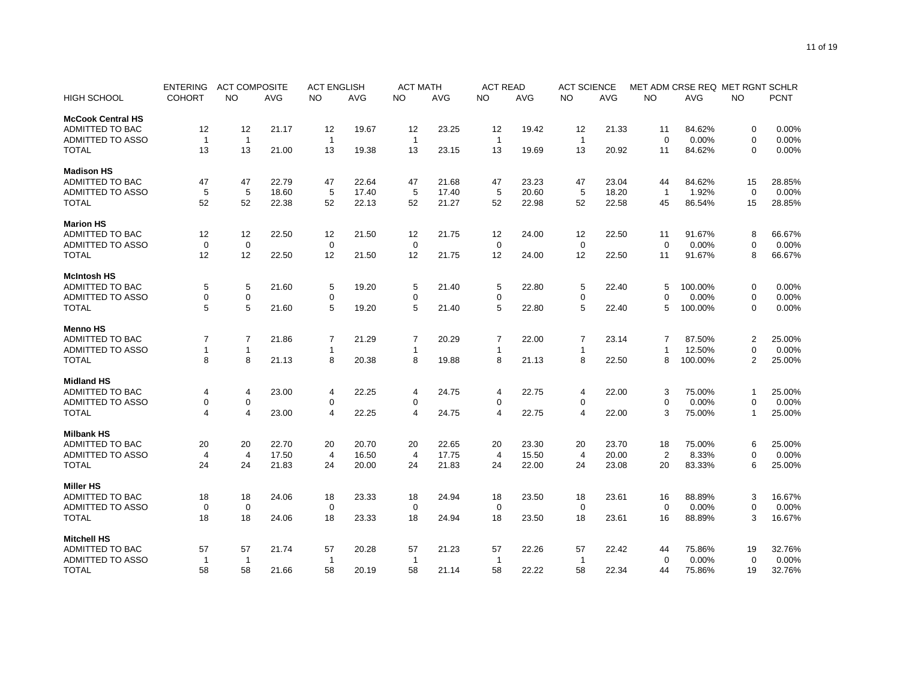|                          | <b>ENTERING</b> | <b>ACT COMPOSITE</b> |            | <b>ACT ENGLISH</b> |            | <b>ACT MATH</b> |            | <b>ACT READ</b> |            | <b>ACT SCIENCE</b> |            | MET ADM CRSE REQ MET RGNT SCHLR |            |                |             |
|--------------------------|-----------------|----------------------|------------|--------------------|------------|-----------------|------------|-----------------|------------|--------------------|------------|---------------------------------|------------|----------------|-------------|
| <b>HIGH SCHOOL</b>       | <b>COHORT</b>   | <b>NO</b>            | <b>AVG</b> | <b>NO</b>          | <b>AVG</b> | <b>NO</b>       | <b>AVG</b> | <b>NO</b>       | <b>AVG</b> | <b>NO</b>          | <b>AVG</b> | <b>NO</b>                       | <b>AVG</b> | <b>NO</b>      | <b>PCNT</b> |
| <b>McCook Central HS</b> |                 |                      |            |                    |            |                 |            |                 |            |                    |            |                                 |            |                |             |
| <b>ADMITTED TO BAC</b>   | 12              | 12                   | 21.17      | 12                 | 19.67      | 12              | 23.25      | 12              | 19.42      | 12                 | 21.33      | 11                              | 84.62%     | 0              | 0.00%       |
| <b>ADMITTED TO ASSO</b>  | $\overline{1}$  | $\mathbf{1}$         |            | $\mathbf{1}$       |            | $\mathbf{1}$    |            | $\mathbf{1}$    |            | $\mathbf{1}$       |            | $\Omega$                        | 0.00%      | $\mathbf 0$    | 0.00%       |
| <b>TOTAL</b>             | 13              | 13                   | 21.00      | 13                 | 19.38      | 13              | 23.15      | 13              | 19.69      | 13                 | 20.92      | 11                              | 84.62%     | $\Omega$       | 0.00%       |
| <b>Madison HS</b>        |                 |                      |            |                    |            |                 |            |                 |            |                    |            |                                 |            |                |             |
| <b>ADMITTED TO BAC</b>   | 47              | 47                   | 22.79      | 47                 | 22.64      | 47              | 21.68      | 47              | 23.23      | 47                 | 23.04      | 44                              | 84.62%     | 15             | 28.85%      |
| <b>ADMITTED TO ASSO</b>  | 5               | 5                    | 18.60      | 5                  | 17.40      | 5               | 17.40      | 5               | 20.60      | 5                  | 18.20      | $\overline{1}$                  | 1.92%      | $\mathbf 0$    | 0.00%       |
| <b>TOTAL</b>             | 52              | 52                   | 22.38      | 52                 | 22.13      | 52              | 21.27      | 52              | 22.98      | 52                 | 22.58      | 45                              | 86.54%     | 15             | 28.85%      |
| <b>Marion HS</b>         |                 |                      |            |                    |            |                 |            |                 |            |                    |            |                                 |            |                |             |
| <b>ADMITTED TO BAC</b>   | 12              | 12                   | 22.50      | 12                 | 21.50      | 12              | 21.75      | 12              | 24.00      | 12                 | 22.50      | 11                              | 91.67%     | 8              | 66.67%      |
| <b>ADMITTED TO ASSO</b>  | $\mathbf 0$     | $\mathbf 0$          |            | $\mathbf 0$        |            | $\mathbf 0$     |            | $\mathbf 0$     |            | $\mathbf 0$        |            | $\Omega$                        | 0.00%      | $\mathbf 0$    | 0.00%       |
| <b>TOTAL</b>             | 12              | 12                   | 22.50      | 12                 | 21.50      | 12              | 21.75      | 12              | 24.00      | 12                 | 22.50      | 11                              | 91.67%     | 8              | 66.67%      |
|                          |                 |                      |            |                    |            |                 |            |                 |            |                    |            |                                 |            |                |             |
| <b>McIntosh HS</b>       |                 |                      |            |                    |            |                 |            |                 |            |                    |            |                                 |            |                |             |
| ADMITTED TO BAC          | 5               | $\,$ 5 $\,$          | 21.60      | 5                  | 19.20      | 5               | 21.40      | 5               | 22.80      | 5                  | 22.40      | 5                               | 100.00%    | 0              | 0.00%       |
| <b>ADMITTED TO ASSO</b>  | 0               | $\mathbf 0$          |            | $\mathbf 0$        |            | 0               |            | 0               |            | 0                  |            | $\Omega$                        | 0.00%      | $\mathbf 0$    | 0.00%       |
| <b>TOTAL</b>             | 5               | 5                    | 21.60      | 5                  | 19.20      | 5               | 21.40      | 5               | 22.80      | 5                  | 22.40      | 5                               | 100.00%    | $\mathbf 0$    | 0.00%       |
| <b>Menno HS</b>          |                 |                      |            |                    |            |                 |            |                 |            |                    |            |                                 |            |                |             |
| <b>ADMITTED TO BAC</b>   | 7               | $\overline{7}$       | 21.86      | 7                  | 21.29      | 7               | 20.29      | $\overline{7}$  | 22.00      | $\overline{7}$     | 23.14      | 7                               | 87.50%     | 2              | 25.00%      |
| <b>ADMITTED TO ASSO</b>  | -1              | $\mathbf{1}$         |            | $\mathbf{1}$       |            | $\mathbf{1}$    |            | $\mathbf{1}$    |            | $\mathbf{1}$       |            | $\mathbf{1}$                    | 12.50%     | $\mathbf 0$    | 0.00%       |
| <b>TOTAL</b>             | 8               | 8                    | 21.13      | 8                  | 20.38      | 8               | 19.88      | 8               | 21.13      | 8                  | 22.50      | 8                               | 100.00%    | $\overline{2}$ | 25.00%      |
| <b>Midland HS</b>        |                 |                      |            |                    |            |                 |            |                 |            |                    |            |                                 |            |                |             |
| <b>ADMITTED TO BAC</b>   | 4               | 4                    | 23.00      | 4                  | 22.25      | 4               | 24.75      | 4               | 22.75      | 4                  | 22.00      | 3                               | 75.00%     | -1             | 25.00%      |
| <b>ADMITTED TO ASSO</b>  | 0               | $\mathbf 0$          |            | 0                  |            | 0               |            | 0               |            | $\mathbf 0$        |            | $\Omega$                        | 0.00%      | $\mathbf 0$    | 0.00%       |
| <b>TOTAL</b>             | $\overline{4}$  | $\overline{4}$       | 23.00      | $\overline{4}$     | 22.25      | 4               | 24.75      | 4               | 22.75      | $\overline{4}$     | 22.00      | 3                               | 75.00%     | $\mathbf{1}$   | 25.00%      |
|                          |                 |                      |            |                    |            |                 |            |                 |            |                    |            |                                 |            |                |             |
| <b>Milbank HS</b>        |                 |                      |            |                    |            |                 |            |                 |            |                    |            |                                 |            |                |             |
| <b>ADMITTED TO BAC</b>   | 20              | 20                   | 22.70      | 20                 | 20.70      | 20              | 22.65      | 20              | 23.30      | 20                 | 23.70      | 18                              | 75.00%     | 6              | 25.00%      |
| <b>ADMITTED TO ASSO</b>  | 4               | $\overline{4}$       | 17.50      | 4                  | 16.50      | 4               | 17.75      | 4               | 15.50      | 4                  | 20.00      | 2                               | 8.33%      | $\mathbf 0$    | 0.00%       |
| <b>TOTAL</b>             | 24              | 24                   | 21.83      | 24                 | 20.00      | 24              | 21.83      | 24              | 22.00      | 24                 | 23.08      | 20                              | 83.33%     | 6              | 25.00%      |
| <b>Miller HS</b>         |                 |                      |            |                    |            |                 |            |                 |            |                    |            |                                 |            |                |             |
| <b>ADMITTED TO BAC</b>   | 18              | 18                   | 24.06      | 18                 | 23.33      | 18              | 24.94      | 18              | 23.50      | 18                 | 23.61      | 16                              | 88.89%     | 3              | 16.67%      |
| <b>ADMITTED TO ASSO</b>  | $\mathbf 0$     | $\mathbf 0$          |            | 0                  |            | 0               |            | 0               |            | $\mathbf 0$        |            | $\mathbf 0$                     | 0.00%      | $\mathbf 0$    | $0.00\%$    |
| <b>TOTAL</b>             | 18              | 18                   | 24.06      | 18                 | 23.33      | 18              | 24.94      | 18              | 23.50      | 18                 | 23.61      | 16                              | 88.89%     | 3              | 16.67%      |
| <b>Mitchell HS</b>       |                 |                      |            |                    |            |                 |            |                 |            |                    |            |                                 |            |                |             |
| <b>ADMITTED TO BAC</b>   | 57              | 57                   | 21.74      | 57                 | 20.28      | 57              | 21.23      | 57              | 22.26      | 57                 | 22.42      | 44                              | 75.86%     | 19             | 32.76%      |
| ADMITTED TO ASSO         | -1              | $\mathbf 1$          |            | $\mathbf{1}$       |            | $\mathbf{1}$    |            | $\mathbf 1$     |            | $\mathbf{1}$       |            | $\mathbf 0$                     | 0.00%      | $\mathbf 0$    | 0.00%       |
| <b>TOTAL</b>             | 58              | 58                   | 21.66      | 58                 | 20.19      | 58              | 21.14      | 58              | 22.22      | 58                 | 22.34      | 44                              | 75.86%     | 19             | 32.76%      |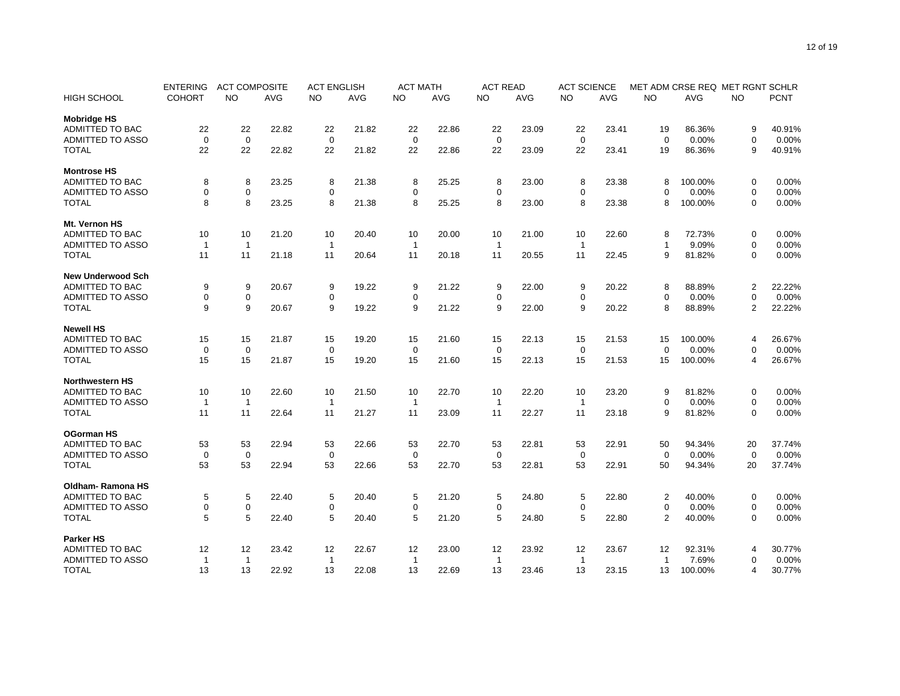|                          | <b>ENTERING</b> | <b>ACT COMPOSITE</b> |            | <b>ACT ENGLISH</b> |            | <b>ACT MATH</b> |            | <b>ACT READ</b> |            | <b>ACT SCIENCE</b> |            | MET ADM CRSE REQ MET RGNT SCHLR |            |                |             |
|--------------------------|-----------------|----------------------|------------|--------------------|------------|-----------------|------------|-----------------|------------|--------------------|------------|---------------------------------|------------|----------------|-------------|
| <b>HIGH SCHOOL</b>       | <b>COHORT</b>   | <b>NO</b>            | <b>AVG</b> | <b>NO</b>          | <b>AVG</b> | <b>NO</b>       | <b>AVG</b> | <b>NO</b>       | <b>AVG</b> | <b>NO</b>          | <b>AVG</b> | <b>NO</b>                       | <b>AVG</b> | <b>NO</b>      | <b>PCNT</b> |
| <b>Mobridge HS</b>       |                 |                      |            |                    |            |                 |            |                 |            |                    |            |                                 |            |                |             |
| <b>ADMITTED TO BAC</b>   | 22              | 22                   | 22.82      | 22                 | 21.82      | 22              | 22.86      | 22              | 23.09      | 22                 | 23.41      | 19                              | 86.36%     | 9              | 40.91%      |
| <b>ADMITTED TO ASSO</b>  | $\mathbf 0$     | $\mathbf 0$          |            | $\mathbf 0$        |            | $\mathbf 0$     |            | $\mathbf 0$     |            | $\mathbf 0$        |            | $\Omega$                        | 0.00%      | $\mathbf 0$    | 0.00%       |
| <b>TOTAL</b>             | 22              | 22                   | 22.82      | 22                 | 21.82      | 22              | 22.86      | 22              | 23.09      | 22                 | 23.41      | 19                              | 86.36%     | 9              | 40.91%      |
| <b>Montrose HS</b>       |                 |                      |            |                    |            |                 |            |                 |            |                    |            |                                 |            |                |             |
| <b>ADMITTED TO BAC</b>   | 8               | 8                    | 23.25      | 8                  | 21.38      | 8               | 25.25      | 8               | 23.00      | 8                  | 23.38      | 8                               | 100.00%    | 0              | 0.00%       |
| <b>ADMITTED TO ASSO</b>  | 0               | $\mathbf 0$          |            | 0                  |            | $\mathbf 0$     |            | 0               |            | 0                  |            | $\Omega$                        | 0.00%      | $\mathbf 0$    | 0.00%       |
| <b>TOTAL</b>             | 8               | 8                    | 23.25      | 8                  | 21.38      | 8               | 25.25      | 8               | 23.00      | 8                  | 23.38      | 8                               | 100.00%    | $\mathbf 0$    | 0.00%       |
| Mt. Vernon HS            |                 |                      |            |                    |            |                 |            |                 |            |                    |            |                                 |            |                |             |
| ADMITTED TO BAC          | 10              | 10                   | 21.20      | 10                 | 20.40      | 10              | 20.00      | 10              | 21.00      | 10                 | 22.60      | 8                               | 72.73%     | 0              | 0.00%       |
| <b>ADMITTED TO ASSO</b>  | $\overline{1}$  | $\mathbf{1}$         |            | $\mathbf{1}$       |            | $\mathbf{1}$    |            | $\mathbf{1}$    |            | $\mathbf{1}$       |            | $\mathbf{1}$                    | 9.09%      | $\mathbf 0$    | 0.00%       |
| <b>TOTAL</b>             | 11              | 11                   | 21.18      | 11                 | 20.64      | 11              | 20.18      | 11              | 20.55      | 11                 | 22.45      | 9                               | 81.82%     | $\mathbf 0$    | 0.00%       |
| <b>New Underwood Sch</b> |                 |                      |            |                    |            |                 |            |                 |            |                    |            |                                 |            |                |             |
| <b>ADMITTED TO BAC</b>   | 9               | 9                    | 20.67      | 9                  | 19.22      | 9               | 21.22      | 9               | 22.00      | 9                  | 20.22      | 8                               | 88.89%     | $\overline{2}$ | 22.22%      |
| <b>ADMITTED TO ASSO</b>  | 0               | $\mathbf 0$          |            | $\mathbf 0$        |            | $\mathbf 0$     |            | 0               |            | $\mathbf 0$        |            | $\Omega$                        | 0.00%      | $\mathbf 0$    | 0.00%       |
| <b>TOTAL</b>             | 9               | 9                    | 20.67      | 9                  | 19.22      | 9               | 21.22      | 9               | 22.00      | 9                  | 20.22      | 8                               | 88.89%     | $\overline{2}$ | 22.22%      |
|                          |                 |                      |            |                    |            |                 |            |                 |            |                    |            |                                 |            |                |             |
| <b>Newell HS</b>         |                 |                      |            |                    |            |                 |            |                 |            |                    |            |                                 |            |                |             |
| <b>ADMITTED TO BAC</b>   | 15              | 15                   | 21.87      | 15                 | 19.20      | 15              | 21.60      | 15              | 22.13      | 15                 | 21.53      | 15                              | 100.00%    | $\overline{4}$ | 26.67%      |
| <b>ADMITTED TO ASSO</b>  | 0               | $\mathbf 0$          |            | 0                  |            | 0               |            | 0               |            | $\mathbf 0$        |            | $\Omega$                        | 0.00%      | $\mathbf 0$    | 0.00%       |
| <b>TOTAL</b>             | 15              | 15                   | 21.87      | 15                 | 19.20      | 15              | 21.60      | 15              | 22.13      | 15                 | 21.53      | 15                              | 100.00%    | $\overline{4}$ | 26.67%      |
| <b>Northwestern HS</b>   |                 |                      |            |                    |            |                 |            |                 |            |                    |            |                                 |            |                |             |
| <b>ADMITTED TO BAC</b>   | 10              | 10                   | 22.60      | 10                 | 21.50      | 10              | 22.70      | 10              | 22.20      | 10                 | 23.20      | 9                               | 81.82%     | $\mathbf 0$    | 0.00%       |
| ADMITTED TO ASSO         | -1              | $\overline{1}$       |            | $\mathbf{1}$       |            | $\mathbf{1}$    |            | $\mathbf{1}$    |            | $\mathbf{1}$       |            | $\mathbf 0$                     | 0.00%      | $\mathbf 0$    | 0.00%       |
| <b>TOTAL</b>             | 11              | 11                   | 22.64      | 11                 | 21.27      | 11              | 23.09      | 11              | 22.27      | 11                 | 23.18      | 9                               | 81.82%     | $\mathbf 0$    | 0.00%       |
| <b>OGorman HS</b>        |                 |                      |            |                    |            |                 |            |                 |            |                    |            |                                 |            |                |             |
| <b>ADMITTED TO BAC</b>   | 53              | 53                   | 22.94      | 53                 | 22.66      | 53              | 22.70      | 53              | 22.81      | 53                 | 22.91      | 50                              | 94.34%     | 20             | 37.74%      |
| <b>ADMITTED TO ASSO</b>  | $\mathbf 0$     | $\mathbf 0$          |            | $\mathbf 0$        |            | $\mathbf 0$     |            | $\mathbf 0$     |            | $\mathbf 0$        |            | $\mathbf 0$                     | 0.00%      | $\mathbf 0$    | 0.00%       |
| <b>TOTAL</b>             | 53              | 53                   | 22.94      | 53                 | 22.66      | 53              | 22.70      | 53              | 22.81      | 53                 | 22.91      | 50                              | 94.34%     | 20             | 37.74%      |
| <b>Oldham-Ramona HS</b>  |                 |                      |            |                    |            |                 |            |                 |            |                    |            |                                 |            |                |             |
| <b>ADMITTED TO BAC</b>   | 5               | 5                    | 22.40      | 5                  | 20.40      | 5               | 21.20      | 5               | 24.80      | 5                  | 22.80      | 2                               | 40.00%     | 0              | 0.00%       |
| ADMITTED TO ASSO         | 0               | $\mathbf 0$          |            | $\mathbf 0$        |            | 0               |            | 0               |            | 0                  |            | $\mathbf 0$                     | 0.00%      | $\mathbf 0$    | 0.00%       |
| <b>TOTAL</b>             | 5               | 5                    | 22.40      | 5                  | 20.40      | 5               | 21.20      | 5               | 24.80      | 5                  | 22.80      | 2                               | 40.00%     | $\mathbf 0$    | 0.00%       |
| <b>Parker HS</b>         |                 |                      |            |                    |            |                 |            |                 |            |                    |            |                                 |            |                |             |
| <b>ADMITTED TO BAC</b>   | 12              | 12                   | 23.42      | 12                 | 22.67      | 12              | 23.00      | 12              | 23.92      | 12                 | 23.67      | 12                              | 92.31%     | $\overline{4}$ | 30.77%      |
| <b>ADMITTED TO ASSO</b>  | $\overline{1}$  | $\mathbf{1}$         |            | $\mathbf{1}$       |            | $\mathbf{1}$    |            | $\mathbf{1}$    |            | 1                  |            | $\mathbf 1$                     | 7.69%      | $\mathbf 0$    | 0.00%       |
| <b>TOTAL</b>             | 13              | 13                   | 22.92      | 13                 | 22.08      | 13              | 22.69      | 13              | 23.46      | 13                 | 23.15      | 13                              | 100.00%    | $\overline{4}$ | 30.77%      |
|                          |                 |                      |            |                    |            |                 |            |                 |            |                    |            |                                 |            |                |             |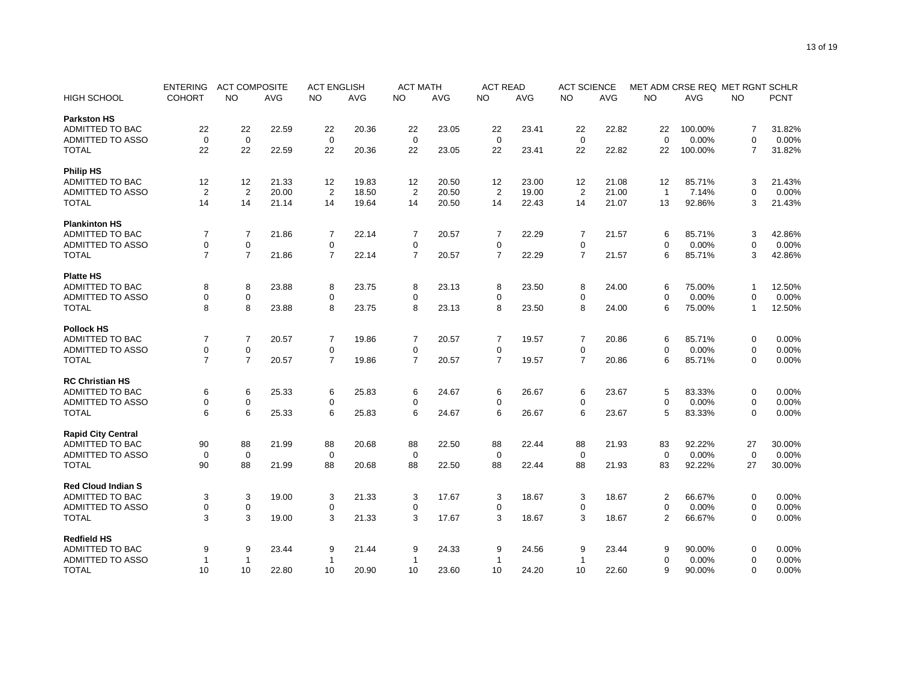|                                                                                                                                                                            | MET ADM CRSE REQ MET RGNT SCHLR              |
|----------------------------------------------------------------------------------------------------------------------------------------------------------------------------|----------------------------------------------|
| <b>HIGH SCHOOL</b><br><b>COHORT</b><br>NO.<br><b>AVG</b><br><b>NO</b><br><b>AVG</b><br><b>NO</b><br>AVG<br><b>NO</b><br><b>AVG</b><br><b>NO</b><br><b>AVG</b><br><b>NO</b> | <b>PCNT</b><br><b>AVG</b><br><b>NO</b>       |
| <b>Parkston HS</b>                                                                                                                                                         |                                              |
| <b>ADMITTED TO BAC</b><br>22<br>22<br>22.59<br>22<br>20.36<br>23.05<br>23.41<br>22<br>22.82<br>22<br>22<br>22                                                              | 100.00%<br>7<br>31.82%                       |
| <b>ADMITTED TO ASSO</b><br>$\mathbf 0$<br>$\mathbf 0$<br>$\mathbf 0$<br>$\mathbf 0$<br>$\mathbf 0$<br>$\mathbf 0$<br>$\Omega$                                              | 0.00%<br>$\mathbf 0$<br>0.00%                |
| <b>TOTAL</b><br>22<br>22<br>22.59<br>22<br>22<br>22<br>22<br>20.36<br>23.05<br>23.41<br>22.82<br>22                                                                        | 100.00%<br>$\overline{7}$<br>31.82%          |
| <b>Philip HS</b>                                                                                                                                                           |                                              |
| ADMITTED TO BAC<br>12<br>12<br>21.33<br>12<br>19.83<br>12<br>20.50<br>12<br>23.00<br>12<br>21.08<br>12                                                                     | 85.71%<br>21.43%<br>3                        |
| 2<br><b>ADMITTED TO ASSO</b><br>$\overline{2}$<br>20.00<br>2<br>18.50<br>$\overline{2}$<br>20.50<br>$\overline{2}$<br>19.00<br>2<br>21.00<br>$\overline{1}$                | 7.14%<br>$\mathbf 0$<br>0.00%                |
| 14<br>14<br>21.14<br>20.50<br>14<br>22.43<br>14<br>21.07<br>13<br><b>TOTAL</b><br>14<br>19.64<br>14                                                                        | 92.86%<br>3<br>21.43%                        |
| <b>Plankinton HS</b>                                                                                                                                                       |                                              |
| ADMITTED TO BAC<br>$\overline{7}$<br>$\overline{7}$<br>$\overline{7}$<br>21.86<br>$\overline{7}$<br>22.14<br>7<br>7<br>21.57<br>20.57<br>22.29                             | 85.71%<br>42.86%<br>6<br>3                   |
| <b>ADMITTED TO ASSO</b><br>$\mathsf 0$<br>$\mathbf 0$<br>0<br>$\mathbf 0$<br>0<br>0                                                                                        | 0.00%<br>0.00%<br>$\mathbf 0$<br>$\mathbf 0$ |
| $\overline{7}$<br>$\overline{7}$<br>21.86<br>$\overline{7}$<br>$\overline{7}$<br>$\overline{7}$<br>$\overline{7}$<br><b>TOTAL</b><br>22.14<br>20.57<br>22.29<br>21.57      | 3<br>42.86%<br>6<br>85.71%                   |
|                                                                                                                                                                            |                                              |
| <b>Platte HS</b>                                                                                                                                                           |                                              |
| <b>ADMITTED TO BAC</b><br>8<br>8<br>8<br>8<br>23.88<br>23.75<br>8<br>23.13<br>8<br>23.50<br>24.00                                                                          | 75.00%<br>12.50%<br>6<br>-1                  |
| <b>ADMITTED TO ASSO</b><br>0<br>$\mathbf 0$<br>0<br>0<br>0<br>0                                                                                                            | 0.00%<br>$\mathbf 0$<br>0.00%<br>$\Omega$    |
| 8<br>8<br>8<br>8<br><b>TOTAL</b><br>23.88<br>23.75<br>8<br>23.13<br>8<br>23.50<br>24.00                                                                                    | 12.50%<br>6<br>75.00%<br>$\mathbf{1}$        |
| <b>Pollock HS</b>                                                                                                                                                          |                                              |
| <b>ADMITTED TO BAC</b><br>$\overline{7}$<br>$\overline{7}$<br>20.57<br>$\overline{7}$<br>20.86<br>$\overline{7}$<br>19.86<br>7<br>20.57<br>7<br>19.57                      | 85.71%<br>6<br>0.00%<br>0                    |
| $\mathbf 0$<br><b>ADMITTED TO ASSO</b><br>$\mathbf 0$<br>$\mathbf 0$<br>0<br>0<br>0                                                                                        | 0.00%<br>0.00%<br>0<br>$\Omega$              |
| $\overline{7}$<br>$\overline{7}$<br>$\overline{7}$<br><b>TOTAL</b><br>20.57<br>$\overline{7}$<br>$\overline{7}$<br>$\overline{7}$<br>19.57<br>20.86<br>19.86<br>20.57      | 0.00%<br>6<br>85.71%<br>$\mathbf 0$          |
| <b>RC Christian HS</b>                                                                                                                                                     |                                              |
| <b>ADMITTED TO BAC</b><br>25.33<br>6<br>6<br>6<br>6<br>25.83<br>6<br>24.67<br>6<br>23.67<br>26.67                                                                          | 83.33%<br>0.00%<br>5<br>0                    |
| ADMITTED TO ASSO<br>$\mathbf 0$<br>0<br>$\mathbf 0$<br>0<br>0<br>0                                                                                                         | 0.00%<br>$\mathbf 0$<br>0.00%<br>$\mathbf 0$ |
| 6<br>6<br>6<br>6<br>6<br><b>TOTAL</b><br>25.33<br>25.83<br>24.67<br>6<br>26.67<br>23.67                                                                                    | 83.33%<br>0.00%<br>5<br>$\mathbf 0$          |
|                                                                                                                                                                            |                                              |
| <b>Rapid City Central</b>                                                                                                                                                  |                                              |
| <b>ADMITTED TO BAC</b><br>90<br>88<br>21.99<br>22.50<br>88<br>21.93<br>88<br>20.68<br>88<br>88<br>22.44<br>83                                                              | 92.22%<br>27<br>30.00%                       |
| <b>ADMITTED TO ASSO</b><br>$\mathbf 0$<br>$\mathbf 0$<br>$\mathbf 0$<br>$\mathbf 0$<br>$\mathbf 0$<br>0<br>$\Omega$                                                        | 0.00%<br>$\mathbf 0$<br>0.00%                |
| <b>TOTAL</b><br>90<br>88<br>21.99<br>88<br>88<br>22.50<br>88<br>88<br>20.68<br>22.44<br>21.93<br>83                                                                        | 92.22%<br>27<br>30.00%                       |
| <b>Red Cloud Indian S</b>                                                                                                                                                  |                                              |
| <b>ADMITTED TO BAC</b><br>3<br>3<br>3<br>19.00<br>3<br>21.33<br>3<br>17.67<br>3<br>18.67<br>18.67                                                                          | $\overline{2}$<br>66.67%<br>0.00%<br>0       |
| $\mathsf 0$<br>$\boldsymbol{0}$<br>ADMITTED TO ASSO<br>0<br>0<br>0<br>$\mathbf 0$                                                                                          | 0.00%<br>$\mathbf 0$<br>0.00%<br>$\mathbf 0$ |
| 3<br>3<br>3<br>3<br>3<br>3<br><b>TOTAL</b><br>19.00<br>21.33<br>17.67<br>18.67<br>18.67                                                                                    | 66.67%<br>0.00%<br>2<br>0                    |
| <b>Redfield HS</b>                                                                                                                                                         |                                              |
| <b>ADMITTED TO BAC</b><br>23.44<br>9<br>9<br>23.44<br>9<br>21.44<br>9<br>24.33<br>9<br>24.56<br>9                                                                          | 9<br>90.00%<br>$\mathbf 0$<br>0.00%          |
| <b>ADMITTED TO ASSO</b><br>$\Omega$<br>1<br>-1<br>1<br>-1<br>-1<br>-1                                                                                                      | 0.00%<br>$\mathbf 0$<br>0.00%                |
| <b>TOTAL</b><br>10<br>10<br>22.80<br>10<br>10<br>23.60<br>10<br>24.20<br>10<br>22.60<br>20.90                                                                              | 0.00%<br>90.00%<br>$\mathbf 0$<br>9          |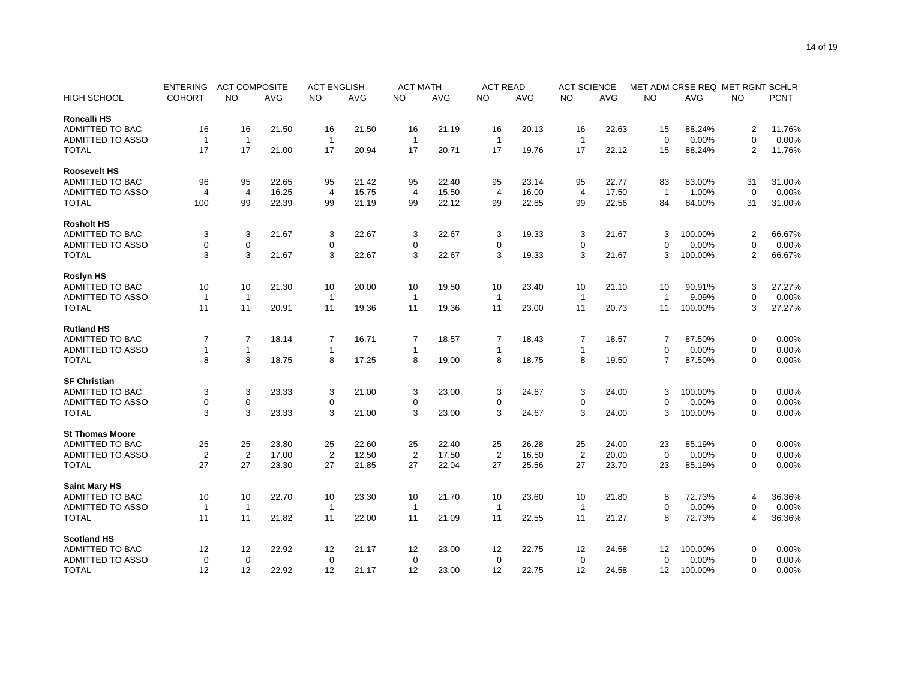| <b>NO</b><br><b>NO</b><br><b>PCNT</b><br><b>HIGH SCHOOL</b><br><b>COHORT</b><br><b>NO</b><br><b>AVG</b><br><b>AVG</b><br><b>NO</b><br><b>AVG</b><br><b>NO</b><br><b>AVG</b><br><b>NO</b><br><b>AVG</b><br><b>AVG</b><br><b>NO</b><br>Roncalli HS<br><b>ADMITTED TO BAC</b><br>21.50<br>21.19<br>16<br>22.63<br>88.24%<br>11.76%<br>16<br>16<br>16<br>21.50<br>16<br>16<br>20.13<br>15<br>$\overline{c}$<br><b>ADMITTED TO ASSO</b><br>$\mathbf{1}$<br>$\mathbf{1}$<br>0.00%<br>$\mathbf 0$<br>0.00%<br>$\overline{1}$<br>$\mathbf{1}$<br>$\mathbf{1}$<br>$\mathbf{1}$<br>$\Omega$<br><b>TOTAL</b><br>17<br>17<br>17<br>17<br>88.24%<br>$\overline{2}$<br>11.76%<br>21.00<br>20.94<br>17<br>20.71<br>17<br>19.76<br>22.12<br>15<br><b>Roosevelt HS</b><br>ADMITTED TO BAC<br>95<br>22.65<br>95<br>22.40<br>23.14<br>95<br>22.77<br>83.00%<br>31.00%<br>96<br>21.42<br>95<br>95<br>83<br>31<br>ADMITTED TO ASSO<br>$\overline{4}$<br>16.25<br>$\boldsymbol{0}$<br>$\overline{4}$<br>15.75<br>$\overline{4}$<br>15.50<br>$\overline{4}$<br>16.00<br>$\overline{4}$<br>17.50<br>$\mathbf{1}$<br>1.00%<br>0.00%<br>4<br>22.39<br>22.12<br><b>TOTAL</b><br>100<br>99<br>99<br>21.19<br>99<br>99<br>22.85<br>99<br>22.56<br>84<br>84.00%<br>31<br>31.00%<br><b>Rosholt HS</b><br><b>ADMITTED TO BAC</b><br>3<br>3<br>21.67<br>3<br>22.67<br>3<br>22.67<br>3<br>19.33<br>3<br>21.67<br>100.00%<br>2<br>66.67%<br>3<br>$\mathbf 0$<br>$\mathbf 0$<br><b>ADMITTED TO ASSO</b><br>0<br>$\mathbf 0$<br>0<br>0<br>0.00%<br>$\mathbf 0$<br>0.00%<br>$\Omega$<br>3<br>3<br>3<br>3<br>3<br>3<br>21.67<br>22.67<br>21.67<br>3<br>2<br>66.67%<br><b>TOTAL</b><br>22.67<br>19.33<br>100.00%<br><b>Roslyn HS</b><br><b>ADMITTED TO BAC</b><br>10<br>21.30<br>10<br>10<br>10<br>20.00<br>10<br>19.50<br>10<br>23.40<br>21.10<br>10<br>90.91%<br>3<br>27.27%<br><b>ADMITTED TO ASSO</b><br>9.09%<br>$\overline{1}$<br>$\mathbf 0$<br>0.00%<br>$\overline{1}$<br>$\mathbf{1}$<br>$\mathbf{1}$<br>$\mathbf{1}$<br>$\mathbf{1}$<br>$\mathbf{1}$<br>11<br>11<br>11<br>3<br>27.27%<br><b>TOTAL</b><br>20.91<br>11<br>19.36<br>11<br>19.36<br>11<br>23.00<br>20.73<br>100.00%<br>11<br><b>Rutland HS</b><br>$\overline{7}$<br>$\overline{7}$<br>18.14<br>$\overline{7}$<br>ADMITTED TO BAC<br>$\overline{7}$<br>16.71<br>7<br>18.57<br>7<br>18.43<br>18.57<br>$\overline{7}$<br>87.50%<br>0.00%<br>0<br><b>ADMITTED TO ASSO</b><br>$\overline{1}$<br>0.00%<br>0.00%<br>$\mathbf{1}$<br>$\mathbf{1}$<br>$\mathbf{1}$<br>$\mathbf 0$<br>$\mathbf 0$<br>$\mathbf{1}$<br>$\mathbf{1}$<br>8<br>8<br>18.75<br>8<br>8<br>8<br>8<br>$\overline{7}$<br>$\mathbf 0$<br>0.00%<br><b>TOTAL</b><br>17.25<br>19.00<br>18.75<br>19.50<br>87.50%<br><b>SF Christian</b><br><b>ADMITTED TO BAC</b><br>3<br>3<br>3<br>23.33<br>3<br>21.00<br>3<br>23.00<br>3<br>24.67<br>24.00<br>100.00%<br>0<br>0.00%<br>3<br><b>ADMITTED TO ASSO</b><br>0<br>$\mathbf 0$<br>$\mathbf 0$<br>$\mathbf 0$<br>$\mathbf 0$<br>$\mathbf 0$<br>0.00%<br>$\mathbf 0$<br>0.00%<br>$\Omega$<br>3<br>3<br>23.33<br>3<br>3<br>3<br>3<br>0.00%<br><b>TOTAL</b><br>21.00<br>23.00<br>24.67<br>24.00<br>3<br>100.00%<br>$\Omega$<br><b>St Thomas Moore</b><br>ADMITTED TO BAC<br>25<br>25<br>23.80<br>25<br>25<br>25<br>22.60<br>22.40<br>25<br>26.28<br>24.00<br>23<br>85.19%<br>0<br>0.00%<br>$\overline{2}$<br><b>ADMITTED TO ASSO</b><br>$\overline{2}$<br>$\overline{2}$<br>0.00%<br>0.00%<br>$\overline{2}$<br>17.00<br>$\overline{2}$<br>12.50<br>17.50<br>16.50<br>$\overline{2}$<br>20.00<br>$\mathbf 0$<br>$\mathbf 0$<br><b>TOTAL</b><br>27<br>27<br>23.30<br>27<br>27<br>27<br>27<br>23.70<br>0.00%<br>21.85<br>22.04<br>25.56<br>23<br>85.19%<br>$\mathbf 0$<br><b>Saint Mary HS</b><br><b>ADMITTED TO BAC</b><br>22.70<br>72.73%<br>10<br>10<br>10<br>23.30<br>21.70<br>10<br>23.60<br>10<br>21.80<br>8<br>36.36%<br>10<br>$\overline{4}$<br><b>ADMITTED TO ASSO</b><br>0.00%<br>0.00%<br>$\overline{1}$<br>$\mathbf{1}$<br>$\mathbf{1}$<br>$\Omega$<br>$\mathbf 0$<br>$\mathbf{1}$<br>$\mathbf{1}$<br>$\mathbf{1}$<br><b>TOTAL</b><br>11<br>11<br>21.82<br>11<br>22.00<br>11<br>21.09<br>11<br>22.55<br>11<br>21.27<br>8<br>72.73%<br>36.36%<br>$\overline{4}$<br><b>Scotland HS</b><br><b>ADMITTED TO BAC</b><br>12<br>12<br>22.92<br>23.00<br>24.58<br>0.00%<br>12<br>21.17<br>12<br>12<br>22.75<br>12<br>12<br>100.00%<br>0<br><b>ADMITTED TO ASSO</b><br>$\mathbf 0$<br>$\mathbf 0$<br>$\mathbf 0$<br>$\mathbf 0$<br>0.00%<br>$\mathbf 0$<br>0.00%<br>0<br>0<br>$\mathbf 0$ | <b>ENTERING</b> | <b>ACT COMPOSITE</b> |  | <b>ACT ENGLISH</b> |  | <b>ACT MATH</b> | <b>ACT READ</b> | <b>ACT SCIENCE</b> |  |  | MET ADM CRSE REQ MET RGNT SCHLR |  |
|----------------------------------------------------------------------------------------------------------------------------------------------------------------------------------------------------------------------------------------------------------------------------------------------------------------------------------------------------------------------------------------------------------------------------------------------------------------------------------------------------------------------------------------------------------------------------------------------------------------------------------------------------------------------------------------------------------------------------------------------------------------------------------------------------------------------------------------------------------------------------------------------------------------------------------------------------------------------------------------------------------------------------------------------------------------------------------------------------------------------------------------------------------------------------------------------------------------------------------------------------------------------------------------------------------------------------------------------------------------------------------------------------------------------------------------------------------------------------------------------------------------------------------------------------------------------------------------------------------------------------------------------------------------------------------------------------------------------------------------------------------------------------------------------------------------------------------------------------------------------------------------------------------------------------------------------------------------------------------------------------------------------------------------------------------------------------------------------------------------------------------------------------------------------------------------------------------------------------------------------------------------------------------------------------------------------------------------------------------------------------------------------------------------------------------------------------------------------------------------------------------------------------------------------------------------------------------------------------------------------------------------------------------------------------------------------------------------------------------------------------------------------------------------------------------------------------------------------------------------------------------------------------------------------------------------------------------------------------------------------------------------------------------------------------------------------------------------------------------------------------------------------------------------------------------------------------------------------------------------------------------------------------------------------------------------------------------------------------------------------------------------------------------------------------------------------------------------------------------------------------------------------------------------------------------------------------------------------------------------------------------------------------------------------------------------------------------------------------------------------------------------------------------------------------------------------------------------------------------------------------------------------------------------------------------------------------------------------------------------------------------------------------------------------------------------------------------------------------------------------------------------------------------------------------------------------------------------------------------------------------------------------------------------------------------------------------------------------------------------------------------------------------------------------------------------------------------------------------------------------------------------------|-----------------|----------------------|--|--------------------|--|-----------------|-----------------|--------------------|--|--|---------------------------------|--|
|                                                                                                                                                                                                                                                                                                                                                                                                                                                                                                                                                                                                                                                                                                                                                                                                                                                                                                                                                                                                                                                                                                                                                                                                                                                                                                                                                                                                                                                                                                                                                                                                                                                                                                                                                                                                                                                                                                                                                                                                                                                                                                                                                                                                                                                                                                                                                                                                                                                                                                                                                                                                                                                                                                                                                                                                                                                                                                                                                                                                                                                                                                                                                                                                                                                                                                                                                                                                                                                                                                                                                                                                                                                                                                                                                                                                                                                                                                                                                                                                                                                                                                                                                                                                                                                                                                                                                                                                                                                                                                                      |                 |                      |  |                    |  |                 |                 |                    |  |  |                                 |  |
|                                                                                                                                                                                                                                                                                                                                                                                                                                                                                                                                                                                                                                                                                                                                                                                                                                                                                                                                                                                                                                                                                                                                                                                                                                                                                                                                                                                                                                                                                                                                                                                                                                                                                                                                                                                                                                                                                                                                                                                                                                                                                                                                                                                                                                                                                                                                                                                                                                                                                                                                                                                                                                                                                                                                                                                                                                                                                                                                                                                                                                                                                                                                                                                                                                                                                                                                                                                                                                                                                                                                                                                                                                                                                                                                                                                                                                                                                                                                                                                                                                                                                                                                                                                                                                                                                                                                                                                                                                                                                                                      |                 |                      |  |                    |  |                 |                 |                    |  |  |                                 |  |
|                                                                                                                                                                                                                                                                                                                                                                                                                                                                                                                                                                                                                                                                                                                                                                                                                                                                                                                                                                                                                                                                                                                                                                                                                                                                                                                                                                                                                                                                                                                                                                                                                                                                                                                                                                                                                                                                                                                                                                                                                                                                                                                                                                                                                                                                                                                                                                                                                                                                                                                                                                                                                                                                                                                                                                                                                                                                                                                                                                                                                                                                                                                                                                                                                                                                                                                                                                                                                                                                                                                                                                                                                                                                                                                                                                                                                                                                                                                                                                                                                                                                                                                                                                                                                                                                                                                                                                                                                                                                                                                      |                 |                      |  |                    |  |                 |                 |                    |  |  |                                 |  |
|                                                                                                                                                                                                                                                                                                                                                                                                                                                                                                                                                                                                                                                                                                                                                                                                                                                                                                                                                                                                                                                                                                                                                                                                                                                                                                                                                                                                                                                                                                                                                                                                                                                                                                                                                                                                                                                                                                                                                                                                                                                                                                                                                                                                                                                                                                                                                                                                                                                                                                                                                                                                                                                                                                                                                                                                                                                                                                                                                                                                                                                                                                                                                                                                                                                                                                                                                                                                                                                                                                                                                                                                                                                                                                                                                                                                                                                                                                                                                                                                                                                                                                                                                                                                                                                                                                                                                                                                                                                                                                                      |                 |                      |  |                    |  |                 |                 |                    |  |  |                                 |  |
|                                                                                                                                                                                                                                                                                                                                                                                                                                                                                                                                                                                                                                                                                                                                                                                                                                                                                                                                                                                                                                                                                                                                                                                                                                                                                                                                                                                                                                                                                                                                                                                                                                                                                                                                                                                                                                                                                                                                                                                                                                                                                                                                                                                                                                                                                                                                                                                                                                                                                                                                                                                                                                                                                                                                                                                                                                                                                                                                                                                                                                                                                                                                                                                                                                                                                                                                                                                                                                                                                                                                                                                                                                                                                                                                                                                                                                                                                                                                                                                                                                                                                                                                                                                                                                                                                                                                                                                                                                                                                                                      |                 |                      |  |                    |  |                 |                 |                    |  |  |                                 |  |
|                                                                                                                                                                                                                                                                                                                                                                                                                                                                                                                                                                                                                                                                                                                                                                                                                                                                                                                                                                                                                                                                                                                                                                                                                                                                                                                                                                                                                                                                                                                                                                                                                                                                                                                                                                                                                                                                                                                                                                                                                                                                                                                                                                                                                                                                                                                                                                                                                                                                                                                                                                                                                                                                                                                                                                                                                                                                                                                                                                                                                                                                                                                                                                                                                                                                                                                                                                                                                                                                                                                                                                                                                                                                                                                                                                                                                                                                                                                                                                                                                                                                                                                                                                                                                                                                                                                                                                                                                                                                                                                      |                 |                      |  |                    |  |                 |                 |                    |  |  |                                 |  |
|                                                                                                                                                                                                                                                                                                                                                                                                                                                                                                                                                                                                                                                                                                                                                                                                                                                                                                                                                                                                                                                                                                                                                                                                                                                                                                                                                                                                                                                                                                                                                                                                                                                                                                                                                                                                                                                                                                                                                                                                                                                                                                                                                                                                                                                                                                                                                                                                                                                                                                                                                                                                                                                                                                                                                                                                                                                                                                                                                                                                                                                                                                                                                                                                                                                                                                                                                                                                                                                                                                                                                                                                                                                                                                                                                                                                                                                                                                                                                                                                                                                                                                                                                                                                                                                                                                                                                                                                                                                                                                                      |                 |                      |  |                    |  |                 |                 |                    |  |  |                                 |  |
|                                                                                                                                                                                                                                                                                                                                                                                                                                                                                                                                                                                                                                                                                                                                                                                                                                                                                                                                                                                                                                                                                                                                                                                                                                                                                                                                                                                                                                                                                                                                                                                                                                                                                                                                                                                                                                                                                                                                                                                                                                                                                                                                                                                                                                                                                                                                                                                                                                                                                                                                                                                                                                                                                                                                                                                                                                                                                                                                                                                                                                                                                                                                                                                                                                                                                                                                                                                                                                                                                                                                                                                                                                                                                                                                                                                                                                                                                                                                                                                                                                                                                                                                                                                                                                                                                                                                                                                                                                                                                                                      |                 |                      |  |                    |  |                 |                 |                    |  |  |                                 |  |
|                                                                                                                                                                                                                                                                                                                                                                                                                                                                                                                                                                                                                                                                                                                                                                                                                                                                                                                                                                                                                                                                                                                                                                                                                                                                                                                                                                                                                                                                                                                                                                                                                                                                                                                                                                                                                                                                                                                                                                                                                                                                                                                                                                                                                                                                                                                                                                                                                                                                                                                                                                                                                                                                                                                                                                                                                                                                                                                                                                                                                                                                                                                                                                                                                                                                                                                                                                                                                                                                                                                                                                                                                                                                                                                                                                                                                                                                                                                                                                                                                                                                                                                                                                                                                                                                                                                                                                                                                                                                                                                      |                 |                      |  |                    |  |                 |                 |                    |  |  |                                 |  |
|                                                                                                                                                                                                                                                                                                                                                                                                                                                                                                                                                                                                                                                                                                                                                                                                                                                                                                                                                                                                                                                                                                                                                                                                                                                                                                                                                                                                                                                                                                                                                                                                                                                                                                                                                                                                                                                                                                                                                                                                                                                                                                                                                                                                                                                                                                                                                                                                                                                                                                                                                                                                                                                                                                                                                                                                                                                                                                                                                                                                                                                                                                                                                                                                                                                                                                                                                                                                                                                                                                                                                                                                                                                                                                                                                                                                                                                                                                                                                                                                                                                                                                                                                                                                                                                                                                                                                                                                                                                                                                                      |                 |                      |  |                    |  |                 |                 |                    |  |  |                                 |  |
|                                                                                                                                                                                                                                                                                                                                                                                                                                                                                                                                                                                                                                                                                                                                                                                                                                                                                                                                                                                                                                                                                                                                                                                                                                                                                                                                                                                                                                                                                                                                                                                                                                                                                                                                                                                                                                                                                                                                                                                                                                                                                                                                                                                                                                                                                                                                                                                                                                                                                                                                                                                                                                                                                                                                                                                                                                                                                                                                                                                                                                                                                                                                                                                                                                                                                                                                                                                                                                                                                                                                                                                                                                                                                                                                                                                                                                                                                                                                                                                                                                                                                                                                                                                                                                                                                                                                                                                                                                                                                                                      |                 |                      |  |                    |  |                 |                 |                    |  |  |                                 |  |
|                                                                                                                                                                                                                                                                                                                                                                                                                                                                                                                                                                                                                                                                                                                                                                                                                                                                                                                                                                                                                                                                                                                                                                                                                                                                                                                                                                                                                                                                                                                                                                                                                                                                                                                                                                                                                                                                                                                                                                                                                                                                                                                                                                                                                                                                                                                                                                                                                                                                                                                                                                                                                                                                                                                                                                                                                                                                                                                                                                                                                                                                                                                                                                                                                                                                                                                                                                                                                                                                                                                                                                                                                                                                                                                                                                                                                                                                                                                                                                                                                                                                                                                                                                                                                                                                                                                                                                                                                                                                                                                      |                 |                      |  |                    |  |                 |                 |                    |  |  |                                 |  |
|                                                                                                                                                                                                                                                                                                                                                                                                                                                                                                                                                                                                                                                                                                                                                                                                                                                                                                                                                                                                                                                                                                                                                                                                                                                                                                                                                                                                                                                                                                                                                                                                                                                                                                                                                                                                                                                                                                                                                                                                                                                                                                                                                                                                                                                                                                                                                                                                                                                                                                                                                                                                                                                                                                                                                                                                                                                                                                                                                                                                                                                                                                                                                                                                                                                                                                                                                                                                                                                                                                                                                                                                                                                                                                                                                                                                                                                                                                                                                                                                                                                                                                                                                                                                                                                                                                                                                                                                                                                                                                                      |                 |                      |  |                    |  |                 |                 |                    |  |  |                                 |  |
|                                                                                                                                                                                                                                                                                                                                                                                                                                                                                                                                                                                                                                                                                                                                                                                                                                                                                                                                                                                                                                                                                                                                                                                                                                                                                                                                                                                                                                                                                                                                                                                                                                                                                                                                                                                                                                                                                                                                                                                                                                                                                                                                                                                                                                                                                                                                                                                                                                                                                                                                                                                                                                                                                                                                                                                                                                                                                                                                                                                                                                                                                                                                                                                                                                                                                                                                                                                                                                                                                                                                                                                                                                                                                                                                                                                                                                                                                                                                                                                                                                                                                                                                                                                                                                                                                                                                                                                                                                                                                                                      |                 |                      |  |                    |  |                 |                 |                    |  |  |                                 |  |
|                                                                                                                                                                                                                                                                                                                                                                                                                                                                                                                                                                                                                                                                                                                                                                                                                                                                                                                                                                                                                                                                                                                                                                                                                                                                                                                                                                                                                                                                                                                                                                                                                                                                                                                                                                                                                                                                                                                                                                                                                                                                                                                                                                                                                                                                                                                                                                                                                                                                                                                                                                                                                                                                                                                                                                                                                                                                                                                                                                                                                                                                                                                                                                                                                                                                                                                                                                                                                                                                                                                                                                                                                                                                                                                                                                                                                                                                                                                                                                                                                                                                                                                                                                                                                                                                                                                                                                                                                                                                                                                      |                 |                      |  |                    |  |                 |                 |                    |  |  |                                 |  |
|                                                                                                                                                                                                                                                                                                                                                                                                                                                                                                                                                                                                                                                                                                                                                                                                                                                                                                                                                                                                                                                                                                                                                                                                                                                                                                                                                                                                                                                                                                                                                                                                                                                                                                                                                                                                                                                                                                                                                                                                                                                                                                                                                                                                                                                                                                                                                                                                                                                                                                                                                                                                                                                                                                                                                                                                                                                                                                                                                                                                                                                                                                                                                                                                                                                                                                                                                                                                                                                                                                                                                                                                                                                                                                                                                                                                                                                                                                                                                                                                                                                                                                                                                                                                                                                                                                                                                                                                                                                                                                                      |                 |                      |  |                    |  |                 |                 |                    |  |  |                                 |  |
|                                                                                                                                                                                                                                                                                                                                                                                                                                                                                                                                                                                                                                                                                                                                                                                                                                                                                                                                                                                                                                                                                                                                                                                                                                                                                                                                                                                                                                                                                                                                                                                                                                                                                                                                                                                                                                                                                                                                                                                                                                                                                                                                                                                                                                                                                                                                                                                                                                                                                                                                                                                                                                                                                                                                                                                                                                                                                                                                                                                                                                                                                                                                                                                                                                                                                                                                                                                                                                                                                                                                                                                                                                                                                                                                                                                                                                                                                                                                                                                                                                                                                                                                                                                                                                                                                                                                                                                                                                                                                                                      |                 |                      |  |                    |  |                 |                 |                    |  |  |                                 |  |
|                                                                                                                                                                                                                                                                                                                                                                                                                                                                                                                                                                                                                                                                                                                                                                                                                                                                                                                                                                                                                                                                                                                                                                                                                                                                                                                                                                                                                                                                                                                                                                                                                                                                                                                                                                                                                                                                                                                                                                                                                                                                                                                                                                                                                                                                                                                                                                                                                                                                                                                                                                                                                                                                                                                                                                                                                                                                                                                                                                                                                                                                                                                                                                                                                                                                                                                                                                                                                                                                                                                                                                                                                                                                                                                                                                                                                                                                                                                                                                                                                                                                                                                                                                                                                                                                                                                                                                                                                                                                                                                      |                 |                      |  |                    |  |                 |                 |                    |  |  |                                 |  |
|                                                                                                                                                                                                                                                                                                                                                                                                                                                                                                                                                                                                                                                                                                                                                                                                                                                                                                                                                                                                                                                                                                                                                                                                                                                                                                                                                                                                                                                                                                                                                                                                                                                                                                                                                                                                                                                                                                                                                                                                                                                                                                                                                                                                                                                                                                                                                                                                                                                                                                                                                                                                                                                                                                                                                                                                                                                                                                                                                                                                                                                                                                                                                                                                                                                                                                                                                                                                                                                                                                                                                                                                                                                                                                                                                                                                                                                                                                                                                                                                                                                                                                                                                                                                                                                                                                                                                                                                                                                                                                                      |                 |                      |  |                    |  |                 |                 |                    |  |  |                                 |  |
|                                                                                                                                                                                                                                                                                                                                                                                                                                                                                                                                                                                                                                                                                                                                                                                                                                                                                                                                                                                                                                                                                                                                                                                                                                                                                                                                                                                                                                                                                                                                                                                                                                                                                                                                                                                                                                                                                                                                                                                                                                                                                                                                                                                                                                                                                                                                                                                                                                                                                                                                                                                                                                                                                                                                                                                                                                                                                                                                                                                                                                                                                                                                                                                                                                                                                                                                                                                                                                                                                                                                                                                                                                                                                                                                                                                                                                                                                                                                                                                                                                                                                                                                                                                                                                                                                                                                                                                                                                                                                                                      |                 |                      |  |                    |  |                 |                 |                    |  |  |                                 |  |
|                                                                                                                                                                                                                                                                                                                                                                                                                                                                                                                                                                                                                                                                                                                                                                                                                                                                                                                                                                                                                                                                                                                                                                                                                                                                                                                                                                                                                                                                                                                                                                                                                                                                                                                                                                                                                                                                                                                                                                                                                                                                                                                                                                                                                                                                                                                                                                                                                                                                                                                                                                                                                                                                                                                                                                                                                                                                                                                                                                                                                                                                                                                                                                                                                                                                                                                                                                                                                                                                                                                                                                                                                                                                                                                                                                                                                                                                                                                                                                                                                                                                                                                                                                                                                                                                                                                                                                                                                                                                                                                      |                 |                      |  |                    |  |                 |                 |                    |  |  |                                 |  |
|                                                                                                                                                                                                                                                                                                                                                                                                                                                                                                                                                                                                                                                                                                                                                                                                                                                                                                                                                                                                                                                                                                                                                                                                                                                                                                                                                                                                                                                                                                                                                                                                                                                                                                                                                                                                                                                                                                                                                                                                                                                                                                                                                                                                                                                                                                                                                                                                                                                                                                                                                                                                                                                                                                                                                                                                                                                                                                                                                                                                                                                                                                                                                                                                                                                                                                                                                                                                                                                                                                                                                                                                                                                                                                                                                                                                                                                                                                                                                                                                                                                                                                                                                                                                                                                                                                                                                                                                                                                                                                                      |                 |                      |  |                    |  |                 |                 |                    |  |  |                                 |  |
|                                                                                                                                                                                                                                                                                                                                                                                                                                                                                                                                                                                                                                                                                                                                                                                                                                                                                                                                                                                                                                                                                                                                                                                                                                                                                                                                                                                                                                                                                                                                                                                                                                                                                                                                                                                                                                                                                                                                                                                                                                                                                                                                                                                                                                                                                                                                                                                                                                                                                                                                                                                                                                                                                                                                                                                                                                                                                                                                                                                                                                                                                                                                                                                                                                                                                                                                                                                                                                                                                                                                                                                                                                                                                                                                                                                                                                                                                                                                                                                                                                                                                                                                                                                                                                                                                                                                                                                                                                                                                                                      |                 |                      |  |                    |  |                 |                 |                    |  |  |                                 |  |
|                                                                                                                                                                                                                                                                                                                                                                                                                                                                                                                                                                                                                                                                                                                                                                                                                                                                                                                                                                                                                                                                                                                                                                                                                                                                                                                                                                                                                                                                                                                                                                                                                                                                                                                                                                                                                                                                                                                                                                                                                                                                                                                                                                                                                                                                                                                                                                                                                                                                                                                                                                                                                                                                                                                                                                                                                                                                                                                                                                                                                                                                                                                                                                                                                                                                                                                                                                                                                                                                                                                                                                                                                                                                                                                                                                                                                                                                                                                                                                                                                                                                                                                                                                                                                                                                                                                                                                                                                                                                                                                      |                 |                      |  |                    |  |                 |                 |                    |  |  |                                 |  |
|                                                                                                                                                                                                                                                                                                                                                                                                                                                                                                                                                                                                                                                                                                                                                                                                                                                                                                                                                                                                                                                                                                                                                                                                                                                                                                                                                                                                                                                                                                                                                                                                                                                                                                                                                                                                                                                                                                                                                                                                                                                                                                                                                                                                                                                                                                                                                                                                                                                                                                                                                                                                                                                                                                                                                                                                                                                                                                                                                                                                                                                                                                                                                                                                                                                                                                                                                                                                                                                                                                                                                                                                                                                                                                                                                                                                                                                                                                                                                                                                                                                                                                                                                                                                                                                                                                                                                                                                                                                                                                                      |                 |                      |  |                    |  |                 |                 |                    |  |  |                                 |  |
|                                                                                                                                                                                                                                                                                                                                                                                                                                                                                                                                                                                                                                                                                                                                                                                                                                                                                                                                                                                                                                                                                                                                                                                                                                                                                                                                                                                                                                                                                                                                                                                                                                                                                                                                                                                                                                                                                                                                                                                                                                                                                                                                                                                                                                                                                                                                                                                                                                                                                                                                                                                                                                                                                                                                                                                                                                                                                                                                                                                                                                                                                                                                                                                                                                                                                                                                                                                                                                                                                                                                                                                                                                                                                                                                                                                                                                                                                                                                                                                                                                                                                                                                                                                                                                                                                                                                                                                                                                                                                                                      |                 |                      |  |                    |  |                 |                 |                    |  |  |                                 |  |
|                                                                                                                                                                                                                                                                                                                                                                                                                                                                                                                                                                                                                                                                                                                                                                                                                                                                                                                                                                                                                                                                                                                                                                                                                                                                                                                                                                                                                                                                                                                                                                                                                                                                                                                                                                                                                                                                                                                                                                                                                                                                                                                                                                                                                                                                                                                                                                                                                                                                                                                                                                                                                                                                                                                                                                                                                                                                                                                                                                                                                                                                                                                                                                                                                                                                                                                                                                                                                                                                                                                                                                                                                                                                                                                                                                                                                                                                                                                                                                                                                                                                                                                                                                                                                                                                                                                                                                                                                                                                                                                      |                 |                      |  |                    |  |                 |                 |                    |  |  |                                 |  |
|                                                                                                                                                                                                                                                                                                                                                                                                                                                                                                                                                                                                                                                                                                                                                                                                                                                                                                                                                                                                                                                                                                                                                                                                                                                                                                                                                                                                                                                                                                                                                                                                                                                                                                                                                                                                                                                                                                                                                                                                                                                                                                                                                                                                                                                                                                                                                                                                                                                                                                                                                                                                                                                                                                                                                                                                                                                                                                                                                                                                                                                                                                                                                                                                                                                                                                                                                                                                                                                                                                                                                                                                                                                                                                                                                                                                                                                                                                                                                                                                                                                                                                                                                                                                                                                                                                                                                                                                                                                                                                                      |                 |                      |  |                    |  |                 |                 |                    |  |  |                                 |  |
|                                                                                                                                                                                                                                                                                                                                                                                                                                                                                                                                                                                                                                                                                                                                                                                                                                                                                                                                                                                                                                                                                                                                                                                                                                                                                                                                                                                                                                                                                                                                                                                                                                                                                                                                                                                                                                                                                                                                                                                                                                                                                                                                                                                                                                                                                                                                                                                                                                                                                                                                                                                                                                                                                                                                                                                                                                                                                                                                                                                                                                                                                                                                                                                                                                                                                                                                                                                                                                                                                                                                                                                                                                                                                                                                                                                                                                                                                                                                                                                                                                                                                                                                                                                                                                                                                                                                                                                                                                                                                                                      |                 |                      |  |                    |  |                 |                 |                    |  |  |                                 |  |
|                                                                                                                                                                                                                                                                                                                                                                                                                                                                                                                                                                                                                                                                                                                                                                                                                                                                                                                                                                                                                                                                                                                                                                                                                                                                                                                                                                                                                                                                                                                                                                                                                                                                                                                                                                                                                                                                                                                                                                                                                                                                                                                                                                                                                                                                                                                                                                                                                                                                                                                                                                                                                                                                                                                                                                                                                                                                                                                                                                                                                                                                                                                                                                                                                                                                                                                                                                                                                                                                                                                                                                                                                                                                                                                                                                                                                                                                                                                                                                                                                                                                                                                                                                                                                                                                                                                                                                                                                                                                                                                      |                 |                      |  |                    |  |                 |                 |                    |  |  |                                 |  |
|                                                                                                                                                                                                                                                                                                                                                                                                                                                                                                                                                                                                                                                                                                                                                                                                                                                                                                                                                                                                                                                                                                                                                                                                                                                                                                                                                                                                                                                                                                                                                                                                                                                                                                                                                                                                                                                                                                                                                                                                                                                                                                                                                                                                                                                                                                                                                                                                                                                                                                                                                                                                                                                                                                                                                                                                                                                                                                                                                                                                                                                                                                                                                                                                                                                                                                                                                                                                                                                                                                                                                                                                                                                                                                                                                                                                                                                                                                                                                                                                                                                                                                                                                                                                                                                                                                                                                                                                                                                                                                                      |                 |                      |  |                    |  |                 |                 |                    |  |  |                                 |  |
|                                                                                                                                                                                                                                                                                                                                                                                                                                                                                                                                                                                                                                                                                                                                                                                                                                                                                                                                                                                                                                                                                                                                                                                                                                                                                                                                                                                                                                                                                                                                                                                                                                                                                                                                                                                                                                                                                                                                                                                                                                                                                                                                                                                                                                                                                                                                                                                                                                                                                                                                                                                                                                                                                                                                                                                                                                                                                                                                                                                                                                                                                                                                                                                                                                                                                                                                                                                                                                                                                                                                                                                                                                                                                                                                                                                                                                                                                                                                                                                                                                                                                                                                                                                                                                                                                                                                                                                                                                                                                                                      |                 |                      |  |                    |  |                 |                 |                    |  |  |                                 |  |
|                                                                                                                                                                                                                                                                                                                                                                                                                                                                                                                                                                                                                                                                                                                                                                                                                                                                                                                                                                                                                                                                                                                                                                                                                                                                                                                                                                                                                                                                                                                                                                                                                                                                                                                                                                                                                                                                                                                                                                                                                                                                                                                                                                                                                                                                                                                                                                                                                                                                                                                                                                                                                                                                                                                                                                                                                                                                                                                                                                                                                                                                                                                                                                                                                                                                                                                                                                                                                                                                                                                                                                                                                                                                                                                                                                                                                                                                                                                                                                                                                                                                                                                                                                                                                                                                                                                                                                                                                                                                                                                      |                 |                      |  |                    |  |                 |                 |                    |  |  |                                 |  |
|                                                                                                                                                                                                                                                                                                                                                                                                                                                                                                                                                                                                                                                                                                                                                                                                                                                                                                                                                                                                                                                                                                                                                                                                                                                                                                                                                                                                                                                                                                                                                                                                                                                                                                                                                                                                                                                                                                                                                                                                                                                                                                                                                                                                                                                                                                                                                                                                                                                                                                                                                                                                                                                                                                                                                                                                                                                                                                                                                                                                                                                                                                                                                                                                                                                                                                                                                                                                                                                                                                                                                                                                                                                                                                                                                                                                                                                                                                                                                                                                                                                                                                                                                                                                                                                                                                                                                                                                                                                                                                                      |                 |                      |  |                    |  |                 |                 |                    |  |  |                                 |  |
|                                                                                                                                                                                                                                                                                                                                                                                                                                                                                                                                                                                                                                                                                                                                                                                                                                                                                                                                                                                                                                                                                                                                                                                                                                                                                                                                                                                                                                                                                                                                                                                                                                                                                                                                                                                                                                                                                                                                                                                                                                                                                                                                                                                                                                                                                                                                                                                                                                                                                                                                                                                                                                                                                                                                                                                                                                                                                                                                                                                                                                                                                                                                                                                                                                                                                                                                                                                                                                                                                                                                                                                                                                                                                                                                                                                                                                                                                                                                                                                                                                                                                                                                                                                                                                                                                                                                                                                                                                                                                                                      |                 |                      |  |                    |  |                 |                 |                    |  |  |                                 |  |
|                                                                                                                                                                                                                                                                                                                                                                                                                                                                                                                                                                                                                                                                                                                                                                                                                                                                                                                                                                                                                                                                                                                                                                                                                                                                                                                                                                                                                                                                                                                                                                                                                                                                                                                                                                                                                                                                                                                                                                                                                                                                                                                                                                                                                                                                                                                                                                                                                                                                                                                                                                                                                                                                                                                                                                                                                                                                                                                                                                                                                                                                                                                                                                                                                                                                                                                                                                                                                                                                                                                                                                                                                                                                                                                                                                                                                                                                                                                                                                                                                                                                                                                                                                                                                                                                                                                                                                                                                                                                                                                      |                 |                      |  |                    |  |                 |                 |                    |  |  |                                 |  |
|                                                                                                                                                                                                                                                                                                                                                                                                                                                                                                                                                                                                                                                                                                                                                                                                                                                                                                                                                                                                                                                                                                                                                                                                                                                                                                                                                                                                                                                                                                                                                                                                                                                                                                                                                                                                                                                                                                                                                                                                                                                                                                                                                                                                                                                                                                                                                                                                                                                                                                                                                                                                                                                                                                                                                                                                                                                                                                                                                                                                                                                                                                                                                                                                                                                                                                                                                                                                                                                                                                                                                                                                                                                                                                                                                                                                                                                                                                                                                                                                                                                                                                                                                                                                                                                                                                                                                                                                                                                                                                                      |                 |                      |  |                    |  |                 |                 |                    |  |  |                                 |  |
|                                                                                                                                                                                                                                                                                                                                                                                                                                                                                                                                                                                                                                                                                                                                                                                                                                                                                                                                                                                                                                                                                                                                                                                                                                                                                                                                                                                                                                                                                                                                                                                                                                                                                                                                                                                                                                                                                                                                                                                                                                                                                                                                                                                                                                                                                                                                                                                                                                                                                                                                                                                                                                                                                                                                                                                                                                                                                                                                                                                                                                                                                                                                                                                                                                                                                                                                                                                                                                                                                                                                                                                                                                                                                                                                                                                                                                                                                                                                                                                                                                                                                                                                                                                                                                                                                                                                                                                                                                                                                                                      |                 |                      |  |                    |  |                 |                 |                    |  |  |                                 |  |
| 0.00%<br><b>TOTAL</b><br>12<br>12<br>22.92<br>12<br>21.17<br>12<br>23.00<br>12<br>22.75<br>12<br>24.58<br>12<br>100.00%<br>$\Omega$                                                                                                                                                                                                                                                                                                                                                                                                                                                                                                                                                                                                                                                                                                                                                                                                                                                                                                                                                                                                                                                                                                                                                                                                                                                                                                                                                                                                                                                                                                                                                                                                                                                                                                                                                                                                                                                                                                                                                                                                                                                                                                                                                                                                                                                                                                                                                                                                                                                                                                                                                                                                                                                                                                                                                                                                                                                                                                                                                                                                                                                                                                                                                                                                                                                                                                                                                                                                                                                                                                                                                                                                                                                                                                                                                                                                                                                                                                                                                                                                                                                                                                                                                                                                                                                                                                                                                                                  |                 |                      |  |                    |  |                 |                 |                    |  |  |                                 |  |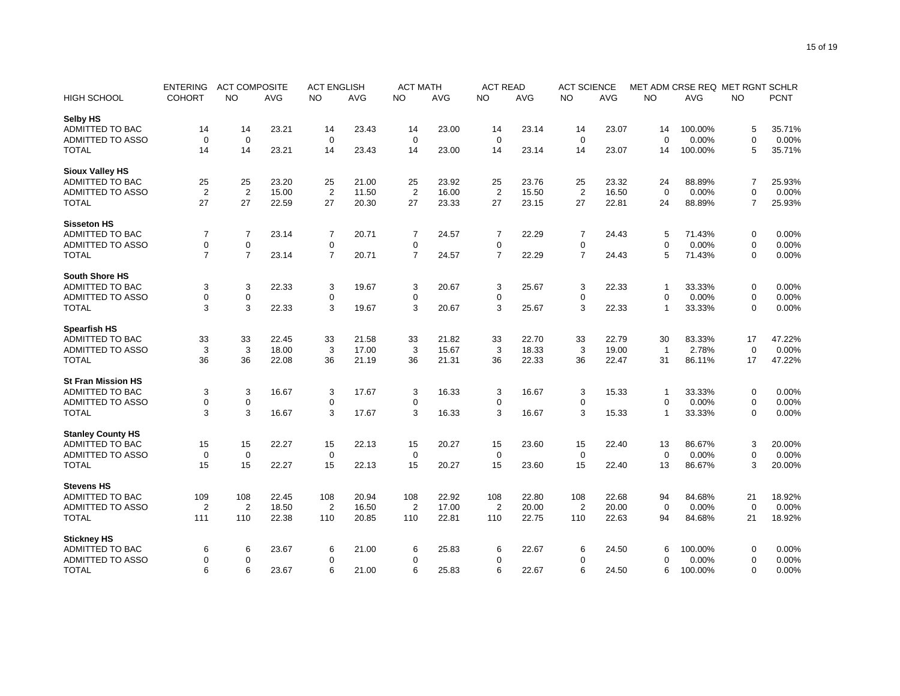|                           | <b>ENTERING</b> |                | <b>ACT COMPOSITE</b> |                | <b>ACT ENGLISH</b> |                | <b>ACT MATH</b> | <b>ACT READ</b> |            | <b>ACT SCIENCE</b> |            |                |            | MET ADM CRSE REQ MET RGNT SCHLR |             |
|---------------------------|-----------------|----------------|----------------------|----------------|--------------------|----------------|-----------------|-----------------|------------|--------------------|------------|----------------|------------|---------------------------------|-------------|
| <b>HIGH SCHOOL</b>        | <b>COHORT</b>   | <b>NO</b>      | <b>AVG</b>           | <b>NO</b>      | <b>AVG</b>         | <b>NO</b>      | <b>AVG</b>      | <b>NO</b>       | <b>AVG</b> | <b>NO</b>          | <b>AVG</b> | <b>NO</b>      | <b>AVG</b> | <b>NO</b>                       | <b>PCNT</b> |
| Selby HS                  |                 |                |                      |                |                    |                |                 |                 |            |                    |            |                |            |                                 |             |
| ADMITTED TO BAC           | 14              | 14             | 23.21                | 14             | 23.43              | 14             | 23.00           | 14              | 23.14      | 14                 | 23.07      | 14             | 100.00%    | 5                               | 35.71%      |
| <b>ADMITTED TO ASSO</b>   | $\mathbf 0$     | $\mathbf 0$    |                      | $\mathbf 0$    |                    | $\mathbf 0$    |                 | $\mathbf 0$     |            | $\mathbf 0$        |            | $\Omega$       | 0.00%      | $\mathbf 0$                     | 0.00%       |
| <b>TOTAL</b>              | 14              | 14             | 23.21                | 14             | 23.43              | 14             | 23.00           | 14              | 23.14      | 14                 | 23.07      | 14             | 100.00%    | 5                               | 35.71%      |
| <b>Sioux Valley HS</b>    |                 |                |                      |                |                    |                |                 |                 |            |                    |            |                |            |                                 |             |
| ADMITTED TO BAC           | 25              | 25             | 23.20                | 25             | 21.00              | 25             | 23.92           | 25              | 23.76      | 25                 | 23.32      | 24             | 88.89%     | 7                               | 25.93%      |
| <b>ADMITTED TO ASSO</b>   | $\overline{2}$  | $\overline{2}$ | 15.00                | $\overline{2}$ | 11.50              | $\overline{2}$ | 16.00           | $\overline{2}$  | 15.50      | $\overline{2}$     | 16.50      | $\Omega$       | 0.00%      | $\mathbf 0$                     | 0.00%       |
| <b>TOTAL</b>              | 27              | 27             | 22.59                | 27             | 20.30              | 27             | 23.33           | 27              | 23.15      | 27                 | 22.81      | 24             | 88.89%     | $\overline{7}$                  | 25.93%      |
| <b>Sisseton HS</b>        |                 |                |                      |                |                    |                |                 |                 |            |                    |            |                |            |                                 |             |
| ADMITTED TO BAC           | $\overline{7}$  | $\overline{7}$ | 23.14                | $\overline{7}$ | 20.71              | 7              | 24.57           | $\overline{7}$  | 22.29      | $\overline{7}$     | 24.43      | 5              | 71.43%     | 0                               | 0.00%       |
| <b>ADMITTED TO ASSO</b>   | 0               | $\pmb{0}$      |                      | $\pmb{0}$      |                    | 0              |                 | 0               |            | $\mathbf 0$        |            | $\mathbf 0$    | 0.00%      | $\mathbf 0$                     | 0.00%       |
| <b>TOTAL</b>              | $\overline{7}$  | $\overline{7}$ | 23.14                | $\overline{7}$ | 20.71              | $\overline{7}$ | 24.57           | $\overline{7}$  | 22.29      | $\overline{7}$     | 24.43      | 5              | 71.43%     | $\mathbf 0$                     | 0.00%       |
|                           |                 |                |                      |                |                    |                |                 |                 |            |                    |            |                |            |                                 |             |
| <b>South Shore HS</b>     |                 |                |                      |                |                    |                |                 |                 |            |                    |            |                |            |                                 |             |
| <b>ADMITTED TO BAC</b>    | 3               | 3              | 22.33                | 3              | 19.67              | 3              | 20.67           | 3               | 25.67      | 3                  | 22.33      | -1             | 33.33%     | 0                               | 0.00%       |
| <b>ADMITTED TO ASSO</b>   | 0               | $\mathbf 0$    |                      | $\mathbf 0$    |                    | $\mathbf 0$    |                 | $\mathbf 0$     |            | $\mathbf 0$        |            | $\Omega$       | 0.00%      | $\mathbf 0$                     | 0.00%       |
| <b>TOTAL</b>              | 3               | 3              | 22.33                | 3              | 19.67              | 3              | 20.67           | 3               | 25.67      | 3                  | 22.33      | $\mathbf{1}$   | 33.33%     | $\mathbf 0$                     | 0.00%       |
| <b>Spearfish HS</b>       |                 |                |                      |                |                    |                |                 |                 |            |                    |            |                |            |                                 |             |
| ADMITTED TO BAC           | 33              | 33             | 22.45                | 33             | 21.58              | 33             | 21.82           | 33              | 22.70      | 33                 | 22.79      | 30             | 83.33%     | 17                              | 47.22%      |
| <b>ADMITTED TO ASSO</b>   | 3               | 3              | 18.00                | 3              | 17.00              | 3              | 15.67           | 3               | 18.33      | 3                  | 19.00      | $\overline{1}$ | 2.78%      | $\mathbf 0$                     | 0.00%       |
| <b>TOTAL</b>              | 36              | 36             | 22.08                | 36             | 21.19              | 36             | 21.31           | 36              | 22.33      | 36                 | 22.47      | 31             | 86.11%     | 17                              | 47.22%      |
| <b>St Fran Mission HS</b> |                 |                |                      |                |                    |                |                 |                 |            |                    |            |                |            |                                 |             |
| <b>ADMITTED TO BAC</b>    | 3               | 3              | 16.67                | 3              | 17.67              | 3              | 16.33           | 3               | 16.67      | 3                  | 15.33      | -1             | 33.33%     | 0                               | 0.00%       |
| ADMITTED TO ASSO          | 0               | $\pmb{0}$      |                      | $\mathbf 0$    |                    | 0              |                 | 0               |            | $\mathbf 0$        |            | $\mathbf 0$    | 0.00%      | $\mathbf 0$                     | 0.00%       |
| <b>TOTAL</b>              | 3               | 3              | 16.67                | 3              | 17.67              | 3              | 16.33           | 3               | 16.67      | 3                  | 15.33      | $\mathbf{1}$   | 33.33%     | $\mathbf 0$                     | 0.00%       |
|                           |                 |                |                      |                |                    |                |                 |                 |            |                    |            |                |            |                                 |             |
| <b>Stanley County HS</b>  |                 |                |                      |                |                    |                |                 |                 |            |                    |            |                |            |                                 |             |
| <b>ADMITTED TO BAC</b>    | 15              | 15             | 22.27                | 15             | 22.13              | 15             | 20.27           | 15              | 23.60      | 15                 | 22.40      | 13             | 86.67%     | 3                               | 20.00%      |
| <b>ADMITTED TO ASSO</b>   | $\mathbf 0$     | $\mathbf 0$    |                      | $\mathbf 0$    |                    | $\mathbf 0$    |                 | $\mathbf 0$     |            | $\mathbf 0$        |            | $\Omega$       | 0.00%      | $\mathbf 0$                     | 0.00%       |
| <b>TOTAL</b>              | 15              | 15             | 22.27                | 15             | 22.13              | 15             | 20.27           | 15              | 23.60      | 15                 | 22.40      | 13             | 86.67%     | 3                               | 20.00%      |
| <b>Stevens HS</b>         |                 |                |                      |                |                    |                |                 |                 |            |                    |            |                |            |                                 |             |
| <b>ADMITTED TO BAC</b>    | 109             | 108            | 22.45                | 108            | 20.94              | 108            | 22.92           | 108             | 22.80      | 108                | 22.68      | 94             | 84.68%     | 21                              | 18.92%      |
| ADMITTED TO ASSO          | $\overline{2}$  | $\overline{2}$ | 18.50                | $\overline{2}$ | 16.50              | $\overline{2}$ | 17.00           | $\overline{2}$  | 20.00      | 2                  | 20.00      | $\mathbf 0$    | 0.00%      | $\mathbf 0$                     | 0.00%       |
| <b>TOTAL</b>              | 111             | 110            | 22.38                | 110            | 20.85              | 110            | 22.81           | 110             | 22.75      | 110                | 22.63      | 94             | 84.68%     | 21                              | 18.92%      |
| <b>Stickney HS</b>        |                 |                |                      |                |                    |                |                 |                 |            |                    |            |                |            |                                 |             |
| ADMITTED TO BAC           | 6               | 6              | 23.67                | 6              | 21.00              | 6              | 25.83           | 6               | 22.67      | 6                  | 24.50      | 6              | 100.00%    | 0                               | 0.00%       |
| ADMITTED TO ASSO          | 0               | $\mathbf 0$    |                      | $\mathbf 0$    |                    | 0              |                 | 0               |            | 0                  |            | $\Omega$       | 0.00%      | $\mathbf 0$                     | 0.00%       |
| <b>TOTAL</b>              | 6               | 6              | 23.67                | 6              | 21.00              | 6              | 25.83           | 6               | 22.67      | 6                  | 24.50      | 6              | 100.00%    | $\mathbf 0$                     | 0.00%       |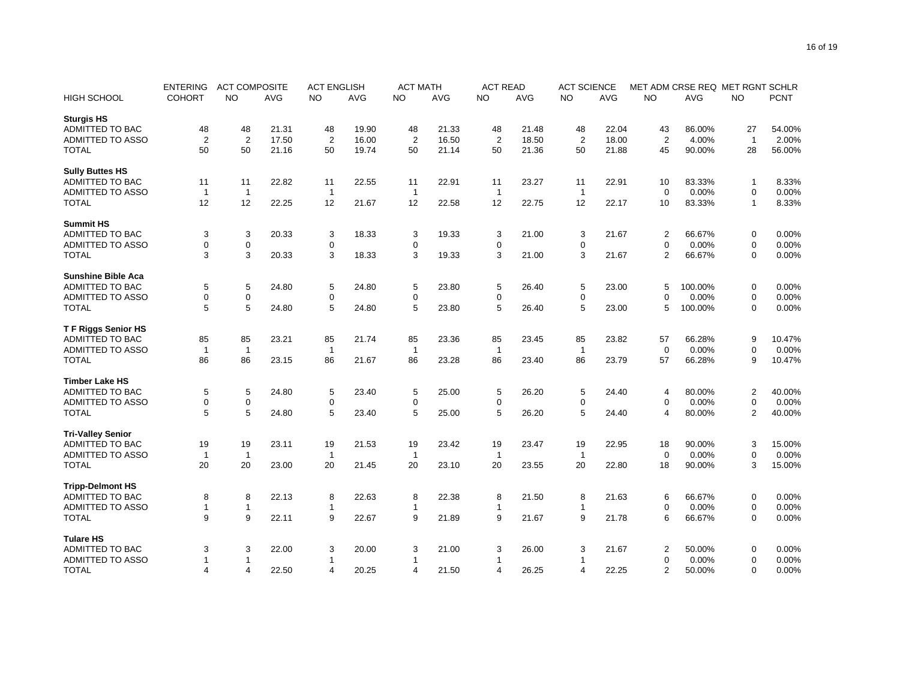|                           | <b>ENTERING</b>      | <b>ACT COMPOSITE</b> |            | <b>ACT ENGLISH</b> |       |                    | <b>ACT MATH</b> |                | <b>ACT READ</b> | <b>ACT SCIENCE</b> |            | MET ADM CRSE REQ MET RGNT SCHLR |            |                |             |
|---------------------------|----------------------|----------------------|------------|--------------------|-------|--------------------|-----------------|----------------|-----------------|--------------------|------------|---------------------------------|------------|----------------|-------------|
| HIGH SCHOOL               | <b>COHORT</b>        | <b>NO</b>            | <b>AVG</b> | <b>NO</b>          | AVG   | <b>NO</b>          | <b>AVG</b>      | <b>NO</b>      | <b>AVG</b>      | <b>NO</b>          | <b>AVG</b> | <b>NO</b>                       | <b>AVG</b> | <b>NO</b>      | <b>PCNT</b> |
| <b>Sturgis HS</b>         |                      |                      |            |                    |       |                    |                 |                |                 |                    |            |                                 |            |                |             |
| <b>ADMITTED TO BAC</b>    | 48                   | 48                   | 21.31      | 48                 | 19.90 | 48                 | 21.33           | 48             | 21.48           | 48                 | 22.04      | 43                              | 86.00%     | 27             | 54.00%      |
| <b>ADMITTED TO ASSO</b>   | $\overline{2}$       | $\overline{2}$       | 17.50      | $\overline{2}$     | 16.00 | $\overline{2}$     | 16.50           | 2              | 18.50           | $\overline{2}$     | 18.00      | 2                               | 4.00%      | $\mathbf{1}$   | 2.00%       |
| <b>TOTAL</b>              | 50                   | 50                   | 21.16      | 50                 | 19.74 | 50                 | 21.14           | 50             | 21.36           | 50                 | 21.88      | 45                              | 90.00%     | 28             | 56.00%      |
| <b>Sully Buttes HS</b>    |                      |                      |            |                    |       |                    |                 |                |                 |                    |            |                                 |            |                |             |
| ADMITTED TO BAC           | 11                   | 11                   | 22.82      | 11                 | 22.55 | 11                 | 22.91           | 11             | 23.27           | 11                 | 22.91      | 10                              | 83.33%     | $\mathbf 1$    | 8.33%       |
| <b>ADMITTED TO ASSO</b>   | $\overline{1}$       | $\overline{1}$       |            | $\mathbf{1}$       |       | $\mathbf{1}$       |                 | $\mathbf{1}$   |                 | $\mathbf{1}$       |            | $\mathbf 0$                     | 0.00%      | $\mathbf 0$    | 0.00%       |
| <b>TOTAL</b>              | 12                   | 12                   | 22.25      | 12                 | 21.67 | 12                 | 22.58           | 12             | 22.75           | 12                 | 22.17      | 10                              | 83.33%     | $\mathbf{1}$   | 8.33%       |
| <b>Summit HS</b>          |                      |                      |            |                    |       |                    |                 |                |                 |                    |            |                                 |            |                |             |
| <b>ADMITTED TO BAC</b>    | 3                    | $\mathbf{3}$         | 20.33      | 3                  | 18.33 | 3                  | 19.33           | 3              | 21.00           | 3                  | 21.67      | 2                               | 66.67%     | 0              | 0.00%       |
| <b>ADMITTED TO ASSO</b>   | 0                    | $\mathbf 0$          |            | $\mathbf 0$        |       | 0                  |                 | 0              |                 | 0                  |            | $\Omega$                        | 0.00%      | $\mathbf 0$    | 0.00%       |
| <b>TOTAL</b>              | 3                    | 3                    | 20.33      | 3                  | 18.33 | 3                  | 19.33           | 3              | 21.00           | 3                  | 21.67      | $\overline{2}$                  | 66.67%     | $\mathbf 0$    | 0.00%       |
|                           |                      |                      |            |                    |       |                    |                 |                |                 |                    |            |                                 |            |                |             |
| <b>Sunshine Bible Aca</b> |                      |                      |            |                    |       |                    |                 |                |                 |                    |            |                                 |            |                |             |
| <b>ADMITTED TO BAC</b>    | 5                    | 5                    | 24.80      | 5                  | 24.80 | 5                  | 23.80           | 5              | 26.40           | 5                  | 23.00      | 5                               | 100.00%    | $\pmb{0}$      | 0.00%       |
| <b>ADMITTED TO ASSO</b>   | 0                    | $\mathbf 0$          |            | 0                  |       | 0                  |                 | 0              |                 | 0                  |            | $\Omega$                        | 0.00%      | $\mathbf 0$    | 0.00%       |
| <b>TOTAL</b>              | 5                    | 5                    | 24.80      | 5                  | 24.80 | 5                  | 23.80           | 5              | 26.40           | 5                  | 23.00      | 5                               | 100.00%    | $\mathbf 0$    | 0.00%       |
| <b>TF Riggs Senior HS</b> |                      |                      |            |                    |       |                    |                 |                |                 |                    |            |                                 |            |                |             |
| ADMITTED TO BAC           | 85                   | 85                   | 23.21      | 85                 | 21.74 | 85                 | 23.36           | 85             | 23.45           | 85                 | 23.82      | 57                              | 66.28%     | 9              | 10.47%      |
| <b>ADMITTED TO ASSO</b>   | $\overline{1}$       | $\overline{1}$       |            | $\mathbf{1}$       |       | $\mathbf{1}$       |                 | $\overline{1}$ |                 | $\mathbf{1}$       |            | $\mathbf 0$                     | 0.00%      | $\mathbf 0$    | 0.00%       |
| <b>TOTAL</b>              | 86                   | 86                   | 23.15      | 86                 | 21.67 | 86                 | 23.28           | 86             | 23.40           | 86                 | 23.79      | 57                              | 66.28%     | 9              | 10.47%      |
| <b>Timber Lake HS</b>     |                      |                      |            |                    |       |                    |                 |                |                 |                    |            |                                 |            |                |             |
| <b>ADMITTED TO BAC</b>    | 5                    | $\,$ 5 $\,$          | 24.80      | 5                  | 23.40 | 5                  | 25.00           | 5              | 26.20           | 5                  | 24.40      | $\overline{4}$                  | 80.00%     | $\overline{2}$ | 40.00%      |
| <b>ADMITTED TO ASSO</b>   | 0                    | $\mathbf 0$          |            | $\mathbf 0$        |       | 0                  |                 | 0              |                 | 0                  |            | 0                               | 0.00%      | $\mathbf 0$    | 0.00%       |
| <b>TOTAL</b>              | 5                    | 5                    | 24.80      | 5                  | 23.40 | 5                  | 25.00           | 5              | 26.20           | 5                  | 24.40      | 4                               | 80.00%     | $\overline{2}$ | 40.00%      |
|                           |                      |                      |            |                    |       |                    |                 |                |                 |                    |            |                                 |            |                |             |
| <b>Tri-Valley Senior</b>  |                      |                      |            |                    |       |                    |                 |                |                 |                    |            |                                 |            |                |             |
| <b>ADMITTED TO BAC</b>    | 19                   | 19                   | 23.11      | 19                 | 21.53 | 19                 | 23.42           | 19             | 23.47           | 19                 | 22.95      | 18                              | 90.00%     | 3              | 15.00%      |
| ADMITTED TO ASSO          | $\overline{1}$<br>20 | $\overline{1}$       |            | $\mathbf{1}$       |       | $\mathbf{1}$<br>20 |                 | $\mathbf{1}$   |                 | $\mathbf{1}$       |            | $\mathbf 0$                     | 0.00%      | $\mathbf 0$    | 0.00%       |
| <b>TOTAL</b>              |                      | 20                   | 23.00      | 20                 | 21.45 |                    | 23.10           | 20             | 23.55           | 20                 | 22.80      | 18                              | 90.00%     | 3              | 15.00%      |
| <b>Tripp-Delmont HS</b>   |                      |                      |            |                    |       |                    |                 |                |                 |                    |            |                                 |            |                |             |
| <b>ADMITTED TO BAC</b>    | 8                    | 8                    | 22.13      | 8                  | 22.63 | 8                  | 22.38           | 8              | 21.50           | 8                  | 21.63      | 6                               | 66.67%     | 0              | 0.00%       |
| ADMITTED TO ASSO          | 1                    | $\mathbf{1}$         |            | 1                  |       | 1                  |                 | 1              |                 | $\mathbf{1}$       |            | 0                               | 0.00%      | $\mathbf 0$    | 0.00%       |
| <b>TOTAL</b>              | 9                    | 9                    | 22.11      | 9                  | 22.67 | 9                  | 21.89           | 9              | 21.67           | 9                  | 21.78      | 6                               | 66.67%     | $\mathbf 0$    | 0.00%       |
| <b>Tulare HS</b>          |                      |                      |            |                    |       |                    |                 |                |                 |                    |            |                                 |            |                |             |
| <b>ADMITTED TO BAC</b>    | 3                    | 3                    | 22.00      | 3                  | 20.00 | 3                  | 21.00           | 3              | 26.00           | 3                  | 21.67      | 2                               | 50.00%     | 0              | 0.00%       |
| <b>ADMITTED TO ASSO</b>   | 1                    | -1                   |            | $\mathbf{1}$       |       | 1                  |                 | 1              |                 |                    |            | $\mathbf 0$                     | 0.00%      | $\mathbf 0$    | 0.00%       |
| <b>TOTAL</b>              | 4                    | $\overline{4}$       | 22.50      | $\overline{4}$     | 20.25 | 4                  | 21.50           | 4              | 26.25           | 4                  | 22.25      | $\overline{2}$                  | 50.00%     | $\mathbf 0$    | 0.00%       |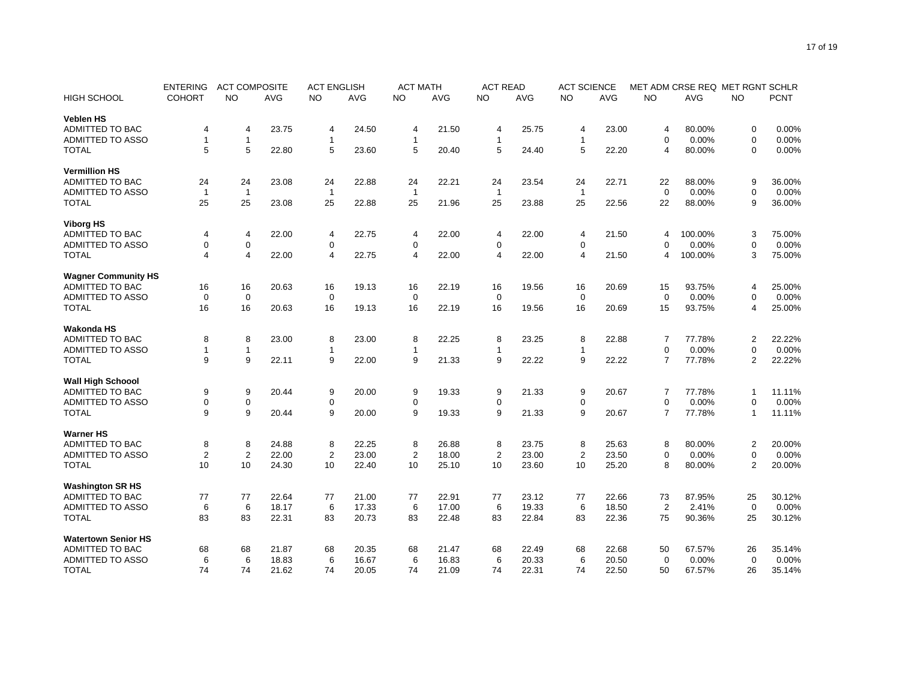|                                                      | <b>ENTERING</b> | <b>ACT COMPOSITE</b> |                | <b>ACT ENGLISH</b> |                | <b>ACT MATH</b> |                | <b>ACT READ</b> |                | <b>ACT SCIENCE</b> |                | MET ADM CRSE REQ MET RGNT SCHLR |                 |                |             |
|------------------------------------------------------|-----------------|----------------------|----------------|--------------------|----------------|-----------------|----------------|-----------------|----------------|--------------------|----------------|---------------------------------|-----------------|----------------|-------------|
| HIGH SCHOOL                                          | <b>COHORT</b>   | <b>NO</b>            | <b>AVG</b>     | <b>NO</b>          | AVG            | <b>NO</b>       | <b>AVG</b>     | <b>NO</b>       | AVG            | <b>NO</b>          | <b>AVG</b>     | <b>NO</b>                       | <b>AVG</b>      | <b>NO</b>      | <b>PCNT</b> |
| <b>Veblen HS</b>                                     |                 |                      |                |                    |                |                 |                |                 |                |                    |                |                                 |                 |                |             |
| <b>ADMITTED TO BAC</b>                               | 4               | 4                    | 23.75          | 4                  | 24.50          | 4               | 21.50          | 4               | 25.75          | 4                  | 23.00          | $\overline{4}$                  | 80.00%          | 0              | 0.00%       |
| <b>ADMITTED TO ASSO</b>                              | 1               | $\mathbf{1}$         |                | $\mathbf{1}$       |                | 1               |                | $\mathbf{1}$    |                | $\mathbf{1}$       |                | $\Omega$                        | 0.00%           | $\mathbf 0$    | 0.00%       |
| <b>TOTAL</b>                                         | 5               | 5                    | 22.80          | 5                  | 23.60          | 5               | 20.40          | 5               | 24.40          | 5                  | 22.20          | 4                               | 80.00%          | $\mathbf 0$    | 0.00%       |
| <b>Vermillion HS</b>                                 |                 |                      |                |                    |                |                 |                |                 |                |                    |                |                                 |                 |                |             |
| <b>ADMITTED TO BAC</b>                               | 24              | 24                   | 23.08          | 24                 | 22.88          | 24              | 22.21          | 24              | 23.54          | 24                 | 22.71          | 22                              | 88.00%          | 9              | 36.00%      |
| <b>ADMITTED TO ASSO</b>                              | $\overline{1}$  | $\overline{1}$       |                | $\mathbf{1}$       |                | $\mathbf{1}$    |                | $\overline{1}$  |                | $\mathbf{1}$       |                | $\mathbf 0$                     | 0.00%           | $\mathbf 0$    | 0.00%       |
| <b>TOTAL</b>                                         | 25              | 25                   | 23.08          | 25                 | 22.88          | 25              | 21.96          | 25              | 23.88          | 25                 | 22.56          | 22                              | 88.00%          | 9              | 36.00%      |
|                                                      |                 |                      |                |                    |                |                 |                |                 |                |                    |                |                                 |                 |                |             |
| <b>Viborg HS</b>                                     |                 |                      |                |                    |                |                 |                |                 |                |                    |                |                                 |                 |                |             |
| <b>ADMITTED TO BAC</b>                               | 4               | 4                    | 22.00          | $\overline{4}$     | 22.75          | 4               | 22.00          | 4               | 22.00          | 4                  | 21.50          | 4                               | 100.00%         | 3              | 75.00%      |
| <b>ADMITTED TO ASSO</b>                              | 0               | $\mathbf 0$          |                | $\mathbf 0$        |                | 0               |                | 0               |                | 0                  |                | $\Omega$                        | 0.00%           | $\mathbf 0$    | 0.00%       |
| <b>TOTAL</b>                                         | 4               | $\overline{4}$       | 22.00          | $\overline{4}$     | 22.75          | 4               | 22.00          | 4               | 22.00          | 4                  | 21.50          | 4                               | 100.00%         | 3              | 75.00%      |
| <b>Wagner Community HS</b>                           |                 |                      |                |                    |                |                 |                |                 |                |                    |                |                                 |                 |                |             |
| <b>ADMITTED TO BAC</b>                               | 16              | 16                   | 20.63          | 16                 | 19.13          | 16              | 22.19          | 16              | 19.56          | 16                 | 20.69          | 15                              | 93.75%          | $\overline{4}$ | 25.00%      |
| <b>ADMITTED TO ASSO</b>                              | 0               | $\mathbf 0$          |                | 0                  |                | 0               |                | 0               |                | $\mathbf 0$        |                | $\mathbf 0$                     | 0.00%           | $\mathbf 0$    | 0.00%       |
| <b>TOTAL</b>                                         | 16              | 16                   | 20.63          | 16                 | 19.13          | 16              | 22.19          | 16              | 19.56          | 16                 | 20.69          | 15                              | 93.75%          | $\overline{4}$ | 25.00%      |
| <b>Wakonda HS</b>                                    |                 |                      |                |                    |                |                 |                |                 |                |                    |                |                                 |                 |                |             |
| <b>ADMITTED TO BAC</b>                               | 8               | 8                    | 23.00          | 8                  | 23.00          | 8               | 22.25          | 8               | 23.25          | 8                  | 22.88          | 7                               | 77.78%          | $\overline{2}$ | 22.22%      |
| <b>ADMITTED TO ASSO</b>                              | 1               | $\mathbf{1}$         |                | $\mathbf{1}$       |                | 1               |                | $\mathbf{1}$    |                | $\mathbf{1}$       |                | $\mathbf 0$                     | 0.00%           | $\mathbf 0$    | 0.00%       |
| <b>TOTAL</b>                                         | 9               | 9                    | 22.11          | 9                  | 22.00          | 9               | 21.33          | 9               | 22.22          | 9                  | 22.22          | $\overline{7}$                  | 77.78%          | $\overline{2}$ | 22.22%      |
|                                                      |                 |                      |                |                    |                |                 |                |                 |                |                    |                |                                 |                 |                |             |
| <b>Wall High Schoool</b>                             |                 |                      |                |                    |                |                 |                |                 |                |                    |                |                                 |                 |                |             |
| <b>ADMITTED TO BAC</b>                               | 9               | 9                    | 20.44          | 9                  | 20.00          | 9               | 19.33          | 9               | 21.33          | 9                  | 20.67          | $\overline{7}$                  | 77.78%          | $\overline{1}$ | 11.11%      |
| <b>ADMITTED TO ASSO</b>                              | 0               | $\mathbf 0$          |                | $\mathbf 0$        |                | 0               |                | 0               |                | 0                  |                | $\mathbf 0$                     | 0.00%           | $\mathbf 0$    | 0.00%       |
| <b>TOTAL</b>                                         | 9               | 9                    | 20.44          | 9                  | 20.00          | 9               | 19.33          | 9               | 21.33          | 9                  | 20.67          | $\overline{7}$                  | 77.78%          | $\mathbf{1}$   | 11.11%      |
| <b>Warner HS</b>                                     |                 |                      |                |                    |                |                 |                |                 |                |                    |                |                                 |                 |                |             |
| <b>ADMITTED TO BAC</b>                               | 8               | 8                    | 24.88          | 8                  | 22.25          | 8               | 26.88          | 8               | 23.75          | 8                  | 25.63          | 8                               | 80.00%          | $\overline{2}$ | 20.00%      |
| ADMITTED TO ASSO                                     | $\overline{2}$  | $\overline{2}$       | 22.00          | $\overline{2}$     | 23.00          | $\overline{2}$  | 18.00          | $\overline{2}$  | 23.00          | $\overline{c}$     | 23.50          | $\mathbf 0$                     | 0.00%           | $\mathbf 0$    | 0.00%       |
| <b>TOTAL</b>                                         | 10              | 10                   | 24.30          | 10                 | 22.40          | 10              | 25.10          | 10              | 23.60          | 10                 | 25.20          | 8                               | 80.00%          | $\overline{2}$ | 20.00%      |
| <b>Washington SR HS</b>                              |                 |                      |                |                    |                |                 |                |                 |                |                    |                |                                 |                 |                |             |
| ADMITTED TO BAC                                      | 77              | 77                   | 22.64          | 77                 | 21.00          | 77              | 22.91          | 77              | 23.12          | 77                 | 22.66          | 73                              | 87.95%          | 25             | 30.12%      |
| ADMITTED TO ASSO                                     | 6               | 6                    | 18.17          | 6                  | 17.33          | 6               | 17.00          | 6               | 19.33          | 6                  | 18.50          | $\overline{2}$                  | 2.41%           | $\mathbf 0$    | 0.00%       |
| <b>TOTAL</b>                                         | 83              | 83                   | 22.31          | 83                 | 20.73          | 83              | 22.48          | 83              | 22.84          | 83                 | 22.36          | 75                              | 90.36%          | 25             | 30.12%      |
|                                                      |                 |                      |                |                    |                |                 |                |                 |                |                    |                |                                 |                 |                |             |
| <b>Watertown Senior HS</b><br><b>ADMITTED TO BAC</b> |                 |                      | 21.87          |                    |                |                 |                |                 |                |                    |                |                                 |                 |                | 35.14%      |
| ADMITTED TO ASSO                                     | 68              | 68                   |                | 68                 | 20.35          | 68<br>6         | 21.47          | 68              | 22.49          | 68                 | 22.68          | 50                              | 67.57%          | 26             | 0.00%       |
| <b>TOTAL</b>                                         | 6<br>74         | 6<br>74              | 18.83<br>21.62 | 6<br>74            | 16.67<br>20.05 | 74              | 16.83<br>21.09 | 6<br>74         | 20.33<br>22.31 | 6<br>74            | 20.50<br>22.50 | $\mathbf 0$<br>50               | 0.00%<br>67.57% | $\mathbf 0$    | 35.14%      |
|                                                      |                 |                      |                |                    |                |                 |                |                 |                |                    |                |                                 |                 | 26             |             |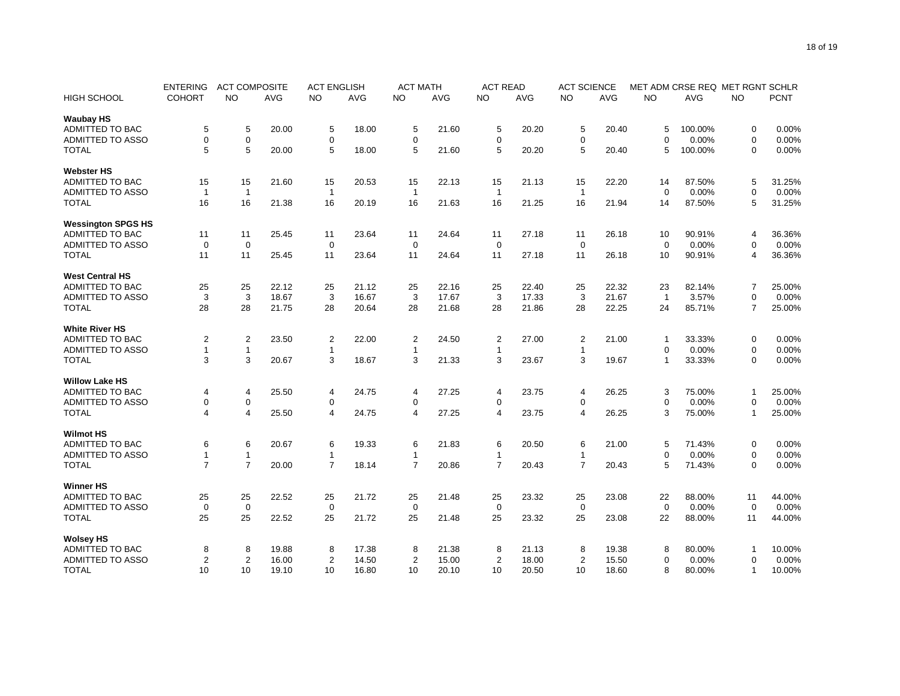|                           | <b>ENTERING</b> | <b>ACT COMPOSITE</b> |            | <b>ACT ENGLISH</b> |            |                         | <b>ACT MATH</b> |                | <b>ACT READ</b> | <b>ACT SCIENCE</b> |            | MET ADM CRSE REQ MET RGNT SCHLR |            |                |             |
|---------------------------|-----------------|----------------------|------------|--------------------|------------|-------------------------|-----------------|----------------|-----------------|--------------------|------------|---------------------------------|------------|----------------|-------------|
| <b>HIGH SCHOOL</b>        | <b>COHORT</b>   | <b>NO</b>            | <b>AVG</b> | <b>NO</b>          | <b>AVG</b> | <b>NO</b>               | <b>AVG</b>      | <b>NO</b>      | <b>AVG</b>      | <b>NO</b>          | <b>AVG</b> | <b>NO</b>                       | <b>AVG</b> | <b>NO</b>      | <b>PCNT</b> |
| <b>Waubay HS</b>          |                 |                      |            |                    |            |                         |                 |                |                 |                    |            |                                 |            |                |             |
| <b>ADMITTED TO BAC</b>    | 5               | 5                    | 20.00      | 5                  | 18.00      | 5                       | 21.60           | 5              | 20.20           | 5                  | 20.40      | 5                               | 100.00%    | 0              | 0.00%       |
| <b>ADMITTED TO ASSO</b>   | 0               | $\mathbf 0$          |            | $\mathbf 0$        |            | $\mathbf 0$             |                 | 0              |                 | 0                  |            | $\Omega$                        | 0.00%      | $\mathbf 0$    | 0.00%       |
| <b>TOTAL</b>              | 5               | 5                    | 20.00      | 5                  | 18.00      | 5                       | 21.60           | 5              | 20.20           | 5                  | 20.40      | 5                               | 100.00%    | $\Omega$       | 0.00%       |
| <b>Webster HS</b>         |                 |                      |            |                    |            |                         |                 |                |                 |                    |            |                                 |            |                |             |
| ADMITTED TO BAC           | 15              | 15                   | 21.60      | 15                 | 20.53      | 15                      | 22.13           | 15             | 21.13           | 15                 | 22.20      | 14                              | 87.50%     | 5              | 31.25%      |
| <b>ADMITTED TO ASSO</b>   | $\overline{1}$  | $\mathbf{1}$         |            | $\mathbf{1}$       |            | $\mathbf{1}$            |                 | $\mathbf{1}$   |                 | $\mathbf{1}$       |            | $\mathbf 0$                     | 0.00%      | $\mathbf 0$    | 0.00%       |
| <b>TOTAL</b>              | 16              | 16                   | 21.38      | 16                 | 20.19      | 16                      | 21.63           | 16             | 21.25           | 16                 | 21.94      | 14                              | 87.50%     | 5              | 31.25%      |
|                           |                 |                      |            |                    |            |                         |                 |                |                 |                    |            |                                 |            |                |             |
| <b>Wessington SPGS HS</b> |                 |                      |            |                    |            |                         |                 |                |                 |                    |            |                                 |            |                |             |
| <b>ADMITTED TO BAC</b>    | 11              | 11                   | 25.45      | 11                 | 23.64      | 11                      | 24.64           | 11             | 27.18           | 11                 | 26.18      | 10                              | 90.91%     | 4              | 36.36%      |
| <b>ADMITTED TO ASSO</b>   | $\mathbf 0$     | $\mathbf 0$          |            | $\mathbf 0$        |            | $\mathbf 0$             |                 | 0              |                 | $\mathbf 0$        |            | $\mathbf 0$                     | 0.00%      | $\mathbf 0$    | 0.00%       |
| <b>TOTAL</b>              | 11              | 11                   | 25.45      | 11                 | 23.64      | 11                      | 24.64           | 11             | 27.18           | 11                 | 26.18      | 10                              | 90.91%     | $\overline{4}$ | 36.36%      |
| <b>West Central HS</b>    |                 |                      |            |                    |            |                         |                 |                |                 |                    |            |                                 |            |                |             |
| <b>ADMITTED TO BAC</b>    | 25              | 25                   | 22.12      | 25                 | 21.12      | 25                      | 22.16           | 25             | 22.40           | 25                 | 22.32      | 23                              | 82.14%     | 7              | 25.00%      |
| <b>ADMITTED TO ASSO</b>   | 3               | 3                    | 18.67      | 3                  | 16.67      | 3                       | 17.67           | 3              | 17.33           | 3                  | 21.67      | $\overline{1}$                  | 3.57%      | $\mathbf 0$    | 0.00%       |
| <b>TOTAL</b>              | 28              | 28                   | 21.75      | 28                 | 20.64      | 28                      | 21.68           | 28             | 21.86           | 28                 | 22.25      | 24                              | 85.71%     | $\overline{7}$ | 25.00%      |
| <b>White River HS</b>     |                 |                      |            |                    |            |                         |                 |                |                 |                    |            |                                 |            |                |             |
| ADMITTED TO BAC           | 2               | $\overline{2}$       | 23.50      | $\overline{2}$     | 22.00      | $\overline{\mathbf{c}}$ | 24.50           | $\overline{c}$ | 27.00           | $\overline{c}$     | 21.00      | $\mathbf{1}$                    | 33.33%     | 0              | 0.00%       |
| ADMITTED TO ASSO          | $\mathbf{1}$    | $\mathbf{1}$         |            | $\mathbf{1}$       |            | 1                       |                 | $\mathbf{1}$   |                 | $\mathbf{1}$       |            | $\Omega$                        | 0.00%      | $\mathbf 0$    | 0.00%       |
| <b>TOTAL</b>              | 3               | 3                    | 20.67      | 3                  | 18.67      | 3                       | 21.33           | 3              | 23.67           | 3                  | 19.67      | $\mathbf{1}$                    | 33.33%     | $\mathbf 0$    | 0.00%       |
|                           |                 |                      |            |                    |            |                         |                 |                |                 |                    |            |                                 |            |                |             |
| <b>Willow Lake HS</b>     |                 |                      |            |                    |            |                         |                 |                |                 |                    |            |                                 |            |                |             |
| <b>ADMITTED TO BAC</b>    | 4               | 4                    | 25.50      | 4                  | 24.75      | 4                       | 27.25           | 4              | 23.75           | 4                  | 26.25      | 3                               | 75.00%     | -1             | 25.00%      |
| <b>ADMITTED TO ASSO</b>   | 0               | $\mathbf 0$          |            | $\mathbf 0$        |            | $\mathbf 0$             |                 | $\mathbf 0$    |                 | $\mathbf 0$        |            | $\Omega$                        | 0.00%      | $\mathbf 0$    | 0.00%       |
| <b>TOTAL</b>              | 4               | $\overline{4}$       | 25.50      | $\overline{4}$     | 24.75      | 4                       | 27.25           | 4              | 23.75           | 4                  | 26.25      | 3                               | 75.00%     | $\mathbf{1}$   | 25.00%      |
| <b>Wilmot HS</b>          |                 |                      |            |                    |            |                         |                 |                |                 |                    |            |                                 |            |                |             |
| ADMITTED TO BAC           | 6               | 6                    | 20.67      | 6                  | 19.33      | 6                       | 21.83           | 6              | 20.50           | 6                  | 21.00      | 5                               | 71.43%     | 0              | 0.00%       |
| <b>ADMITTED TO ASSO</b>   | $\mathbf{1}$    | $\mathbf{1}$         |            | $\mathbf{1}$       |            | 1                       |                 | $\mathbf{1}$   |                 | $\mathbf{1}$       |            | 0                               | 0.00%      | $\mathbf 0$    | 0.00%       |
| <b>TOTAL</b>              | $\overline{7}$  | $\overline{7}$       | 20.00      | $\overline{7}$     | 18.14      | $\overline{7}$          | 20.86           | $\overline{7}$ | 20.43           | $\overline{7}$     | 20.43      | 5                               | 71.43%     | $\mathbf 0$    | 0.00%       |
| <b>Winner HS</b>          |                 |                      |            |                    |            |                         |                 |                |                 |                    |            |                                 |            |                |             |
| <b>ADMITTED TO BAC</b>    | 25              | 25                   | 22.52      | 25                 | 21.72      | 25                      | 21.48           | 25             | 23.32           | 25                 | 23.08      | 22                              | 88.00%     | 11             | 44.00%      |
| <b>ADMITTED TO ASSO</b>   | $\mathbf 0$     | $\mathbf 0$          |            | 0                  |            | $\mathbf 0$             |                 | 0              |                 | $\mathbf 0$        |            | $\mathbf 0$                     | 0.00%      | $\mathbf 0$    | 0.00%       |
| <b>TOTAL</b>              | 25              | 25                   | 22.52      | 25                 | 21.72      | 25                      | 21.48           | 25             | 23.32           | 25                 | 23.08      | 22                              | 88.00%     | 11             | 44.00%      |
|                           |                 |                      |            |                    |            |                         |                 |                |                 |                    |            |                                 |            |                |             |
| <b>Wolsey HS</b>          |                 |                      |            |                    |            |                         |                 |                |                 |                    |            |                                 |            |                |             |
| <b>ADMITTED TO BAC</b>    | 8               | 8                    | 19.88      | 8                  | 17.38      | 8                       | 21.38           | 8              | 21.13           | 8                  | 19.38      | 8                               | 80.00%     | -1             | 10.00%      |
| <b>ADMITTED TO ASSO</b>   | $\overline{2}$  | $\overline{2}$       | 16.00      | $\overline{2}$     | 14.50      | $\overline{2}$          | 15.00           | $\overline{2}$ | 18.00           | $\overline{2}$     | 15.50      | 0                               | 0.00%      | $\mathbf 0$    | 0.00%       |
| <b>TOTAL</b>              | 10              | 10                   | 19.10      | 10                 | 16.80      | 10                      | 20.10           | 10             | 20.50           | 10                 | 18.60      | 8                               | 80.00%     | $\overline{1}$ | 10.00%      |